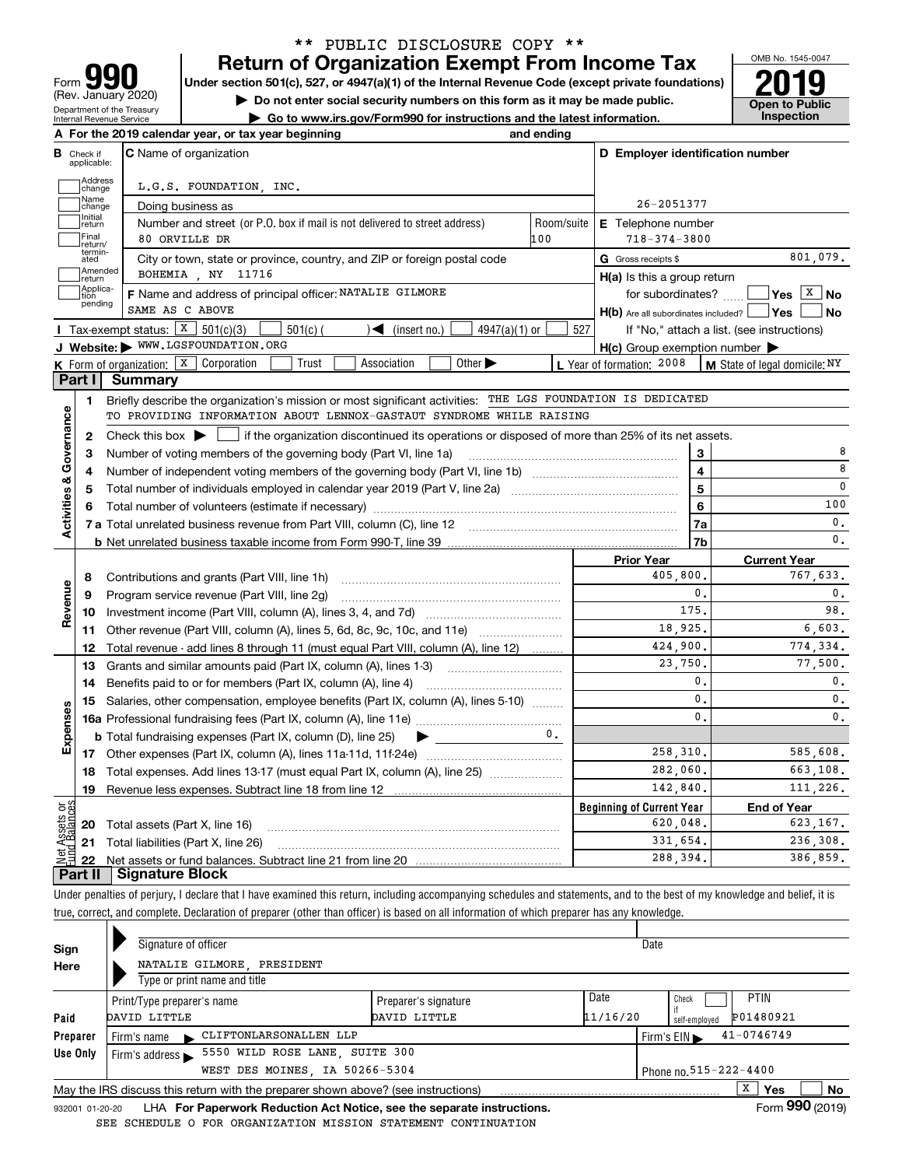| IU<br>Form                                                    |
|---------------------------------------------------------------|
| (Rev. January 2020)                                           |
| Department of the Treasury<br><b>Internal Revenue Service</b> |

**A**

## **Return of Organization Exempt From Income Tax** \*\* PUBLIC DISCLOSURE COPY \*\*

Under section 501(c), 527, or 4947(a)(1) of the Internal Revenue Code (except private foundations) **2019** 

**| Do not enter social security numbers on this form as it may be made public.**

**| Go to www.irs.gov/Form990 for instructions and the latest information. Inspection**



|                         |                         | A For the 2019 calendar year, or tax year beginning                                                                                                 | and ending |                                                     |                                            |
|-------------------------|-------------------------|-----------------------------------------------------------------------------------------------------------------------------------------------------|------------|-----------------------------------------------------|--------------------------------------------|
| В                       | Check if<br>applicable: | <b>C</b> Name of organization                                                                                                                       |            | D Employer identification number                    |                                            |
|                         | Address<br>change       | L.G.S. FOUNDATION, INC.                                                                                                                             |            |                                                     |                                            |
|                         | Name<br>change          | Doing business as                                                                                                                                   |            | 26-2051377                                          |                                            |
|                         | Initial<br>return       | Number and street (or P.O. box if mail is not delivered to street address)                                                                          | Room/suite | <b>E</b> Telephone number                           |                                            |
|                         | Final<br>return/        | 80 ORVILLE DR                                                                                                                                       | 100        | $718 - 374 - 3800$                                  |                                            |
|                         | termin-<br>ated         | City or town, state or province, country, and ZIP or foreign postal code                                                                            |            | G Gross receipts \$                                 | 801.079.                                   |
|                         | Amended<br>return       | BOHEMIA , NY 11716                                                                                                                                  |            | $H(a)$ is this a group return                       |                                            |
|                         | Applica-<br>tion        | F Name and address of principal officer: NATALIE GILMORE                                                                                            |            | for subordinates? $\Box$                            | $Yes \boxed{X}$ No                         |
|                         | pending                 | SAME AS C ABOVE                                                                                                                                     |            | $H(b)$ Are all subordinates included? $\Box$ Yes    | <b>No</b>                                  |
|                         |                         | Tax-exempt status: $X$ 501(c)(3)<br>$501(c)$ (<br>$\mathcal{L}$ (insert no.)<br>$4947(a)(1)$ or                                                     | 527        |                                                     | If "No," attach a list. (see instructions) |
|                         |                         | J Website: WWW.LGSFOUNDATION.ORG                                                                                                                    |            | $H(c)$ Group exemption number $\blacktriangleright$ |                                            |
|                         |                         | K Form of organization: $X$ Corporation<br>Trust<br>Association<br>Other $\blacktriangleright$                                                      |            | L Year of formation: 2008                           | M State of legal domicile: NY              |
|                         | Part I                  | Summary                                                                                                                                             |            |                                                     |                                            |
|                         | 1.                      | Briefly describe the organization's mission or most significant activities: THE LGS FOUNDATION IS DEDICATED                                         |            |                                                     |                                            |
|                         |                         | TO PROVIDING INFORMATION ABOUT LENNOX-GASTAUT SYNDROME WHILE RAISING                                                                                |            |                                                     |                                            |
|                         | 2                       | Check this box $\blacktriangleright$ $\blacksquare$ if the organization discontinued its operations or disposed of more than 25% of its net assets. |            |                                                     |                                            |
| Activities & Governance | З                       | Number of voting members of the governing body (Part VI, line 1a)                                                                                   |            | 3                                                   | 8                                          |
|                         | 4                       |                                                                                                                                                     |            | $\overline{4}$                                      | 8                                          |
|                         | 5                       |                                                                                                                                                     | 5          | 0                                                   |                                            |
|                         | 6                       |                                                                                                                                                     |            | 6                                                   | 100                                        |
|                         |                         |                                                                                                                                                     |            | 7a                                                  | 0.                                         |
|                         |                         |                                                                                                                                                     |            | 7b                                                  | 0.                                         |
|                         |                         |                                                                                                                                                     |            | <b>Prior Year</b>                                   | <b>Current Year</b>                        |
|                         | 8                       | Contributions and grants (Part VIII, line 1h)                                                                                                       |            | 405,800.                                            | 767,633.                                   |
| Revenue                 | 9                       | Program service revenue (Part VIII, line 2g)                                                                                                        |            | 0.                                                  | 0.                                         |
|                         | 10                      |                                                                                                                                                     |            | 175.                                                | 98.                                        |
|                         | 11                      | Other revenue (Part VIII, column (A), lines 5, 6d, 8c, 9c, 10c, and 11e)                                                                            |            | 18,925.                                             | 6,603.                                     |
|                         | 12                      | Total revenue - add lines 8 through 11 (must equal Part VIII, column (A), line 12)                                                                  |            | 424,900.                                            | 774,334.                                   |
|                         | 13                      | Grants and similar amounts paid (Part IX, column (A), lines 1-3)                                                                                    |            | 23,750.                                             | 77.500.                                    |
|                         | 14                      |                                                                                                                                                     |            | 0.                                                  | $\mathbf{0}$ .                             |
|                         | 15                      | Salaries, other compensation, employee benefits (Part IX, column (A), lines 5-10)                                                                   |            | $\mathbf{0}$ .                                      | $\mathbf{0}$ .                             |
|                         |                         |                                                                                                                                                     |            | $\mathbf{0}$ .                                      | 0.                                         |
| Expenses                |                         | <b>b</b> Total fundraising expenses (Part IX, column (D), line 25)<br>$\blacktriangleright$                                                         | $0-$       |                                                     |                                            |
|                         |                         |                                                                                                                                                     |            | 258,310.                                            | 585,608.                                   |
|                         |                         | Total expenses. Add lines 13-17 (must equal Part IX, column (A), line 25) <i></i>                                                                   |            | 282,060.                                            | 663.108.                                   |
|                         | 18                      |                                                                                                                                                     |            |                                                     |                                            |
|                         | 19                      |                                                                                                                                                     |            | 142,840.                                            |                                            |
|                         |                         |                                                                                                                                                     |            | <b>Beginning of Current Year</b>                    | <b>End of Year</b>                         |
| äğ                      |                         | <b>20</b> Total assets (Part X, line 16)                                                                                                            |            | 620,048.                                            | 111,226.<br>623, 167.                      |
| ssets<br>Palae          |                         | 21 Total liabilities (Part X, line 26)                                                                                                              |            | 331,654.<br>288.394.                                | 236,308.<br>386.859.                       |

Under penalties of perjury, I declare that I have examined this return, including accompanying schedules and statements, and to the best of my knowledge and belief, it is true, correct, and complete. Declaration of preparer (other than officer) is based on all information of which preparer has any knowledge.

| Sign     | Signature of officer                 |                                                                                   |                      | Date     |                                                    |  |
|----------|--------------------------------------|-----------------------------------------------------------------------------------|----------------------|----------|----------------------------------------------------|--|
| Here     |                                      | NATALIE GILMORE PRESIDENT                                                         |                      |          |                                                    |  |
|          | Type or print name and title         |                                                                                   |                      |          |                                                    |  |
|          | Print/Type preparer's name           |                                                                                   | Preparer's signature | Date     | PTIN<br>Check                                      |  |
| Paid     | DAVID LITTLE                         |                                                                                   | DAVID LITTLE         | 11/16/20 | P01480921<br>self-emploved                         |  |
| Preparer | Firm's name                          | CLIFTONLARSONALLEN LLP                                                            |                      |          | $41 - 0746749$<br>Firm's $EIN \blacktriangleright$ |  |
| Use Only | Firm's address $\blacktriangleright$ | 5550 WILD ROSE LANE, SUITE 300                                                    |                      |          |                                                    |  |
|          | Phone no. 515-222-4400               |                                                                                   |                      |          |                                                    |  |
|          |                                      | May the IRS discuss this return with the preparer shown above? (see instructions) |                      |          | x<br>No<br><b>Yes</b>                              |  |
|          |                                      |                                                                                   |                      |          | $F_{\text{max}}$ 000 $(0.010)$                     |  |

932001 01-20-20 LHA **For Paperwork Reduction Act Notice, see the separate instructions. Form 990 (2019)** SEE SCHEDULE O FOR ORGANIZATION MISSION STATEMENT CONTINUATION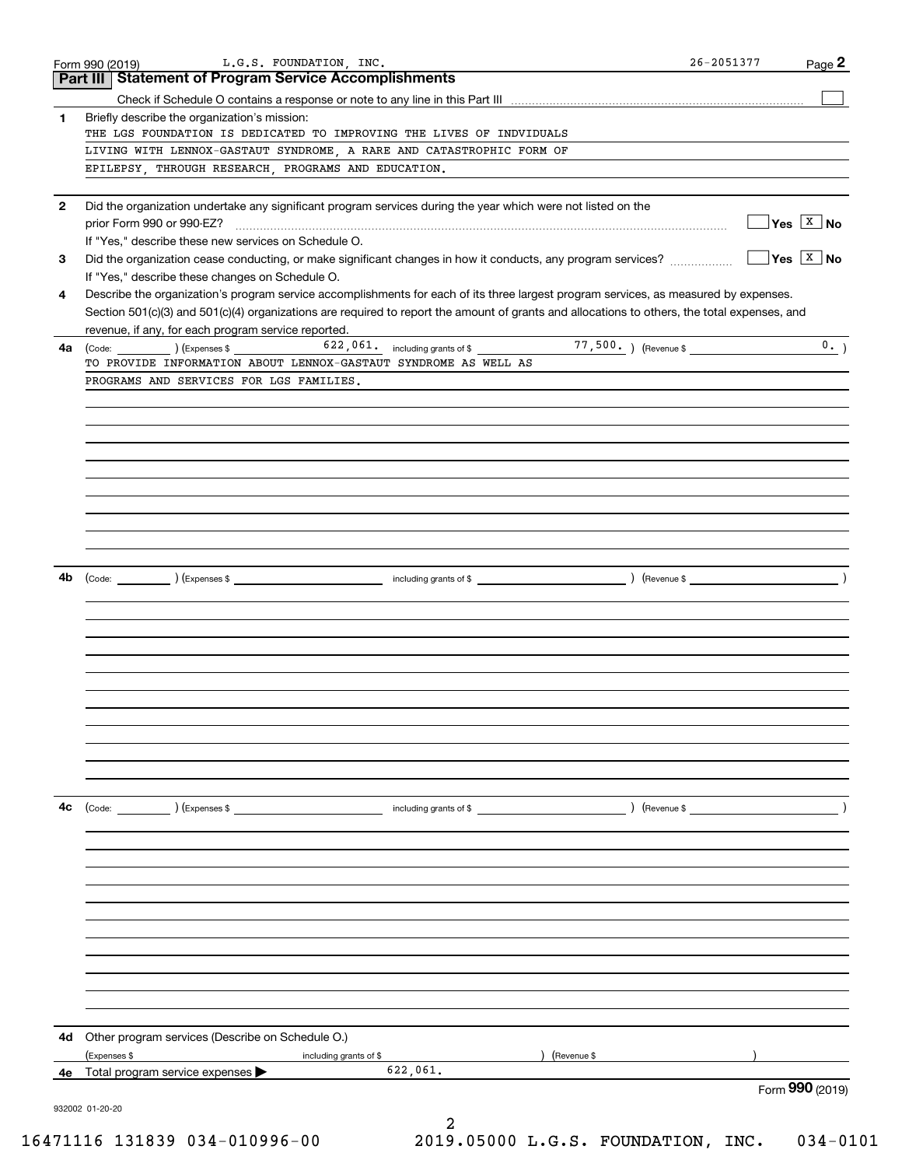|              | L.G.S. FOUNDATION, INC.<br>Form 990 (2019)                                                                                                   |                                                                                                                                                                                                                                | 26-2051377                                       | Page 2                                |
|--------------|----------------------------------------------------------------------------------------------------------------------------------------------|--------------------------------------------------------------------------------------------------------------------------------------------------------------------------------------------------------------------------------|--------------------------------------------------|---------------------------------------|
|              | <b>Part III   Statement of Program Service Accomplishments</b>                                                                               |                                                                                                                                                                                                                                |                                                  |                                       |
|              |                                                                                                                                              |                                                                                                                                                                                                                                |                                                  |                                       |
| 1            | Briefly describe the organization's mission:                                                                                                 |                                                                                                                                                                                                                                |                                                  |                                       |
|              | THE LGS FOUNDATION IS DEDICATED TO IMPROVING THE LIVES OF INDVIDUALS                                                                         |                                                                                                                                                                                                                                |                                                  |                                       |
|              | LIVING WITH LENNOX-GASTAUT SYNDROME, A RARE AND CATASTROPHIC FORM OF                                                                         |                                                                                                                                                                                                                                |                                                  |                                       |
|              | EPILEPSY, THROUGH RESEARCH, PROGRAMS AND EDUCATION.                                                                                          |                                                                                                                                                                                                                                |                                                  |                                       |
|              |                                                                                                                                              |                                                                                                                                                                                                                                |                                                  |                                       |
| $\mathbf{2}$ | Did the organization undertake any significant program services during the year which were not listed on the                                 |                                                                                                                                                                                                                                |                                                  | $\sqrt{\mathsf{Yes} \ \mathsf{X}}$ No |
|              |                                                                                                                                              |                                                                                                                                                                                                                                |                                                  |                                       |
|              | If "Yes," describe these new services on Schedule O.                                                                                         |                                                                                                                                                                                                                                |                                                  | $\sqrt{}$ Yes $\sqrt{X}$ No           |
| 3            | Did the organization cease conducting, or make significant changes in how it conducts, any program services?                                 |                                                                                                                                                                                                                                |                                                  |                                       |
|              | If "Yes," describe these changes on Schedule O.                                                                                              |                                                                                                                                                                                                                                |                                                  |                                       |
| 4            | Describe the organization's program service accomplishments for each of its three largest program services, as measured by expenses.         |                                                                                                                                                                                                                                |                                                  |                                       |
|              | Section 501(c)(3) and 501(c)(4) organizations are required to report the amount of grants and allocations to others, the total expenses, and |                                                                                                                                                                                                                                |                                                  |                                       |
|              | revenue, if any, for each program service reported.                                                                                          |                                                                                                                                                                                                                                |                                                  |                                       |
| 4a           | (Code: ) (Expenses \$<br>TO PROVIDE INFORMATION ABOUT LENNOX-GASTAUT SYNDROME AS WELL AS                                                     | 622, 061. including grants of \$                                                                                                                                                                                               | 77,500. ) (Revenue \$                            | 0.                                    |
|              | PROGRAMS AND SERVICES FOR LGS FAMILIES.                                                                                                      |                                                                                                                                                                                                                                |                                                  |                                       |
|              |                                                                                                                                              |                                                                                                                                                                                                                                |                                                  |                                       |
|              |                                                                                                                                              |                                                                                                                                                                                                                                |                                                  |                                       |
|              |                                                                                                                                              |                                                                                                                                                                                                                                |                                                  |                                       |
|              |                                                                                                                                              |                                                                                                                                                                                                                                |                                                  |                                       |
|              |                                                                                                                                              |                                                                                                                                                                                                                                |                                                  |                                       |
|              |                                                                                                                                              |                                                                                                                                                                                                                                |                                                  |                                       |
|              |                                                                                                                                              |                                                                                                                                                                                                                                |                                                  |                                       |
|              |                                                                                                                                              |                                                                                                                                                                                                                                |                                                  |                                       |
|              |                                                                                                                                              |                                                                                                                                                                                                                                |                                                  |                                       |
|              |                                                                                                                                              |                                                                                                                                                                                                                                |                                                  |                                       |
|              |                                                                                                                                              |                                                                                                                                                                                                                                |                                                  |                                       |
| 4b           | (Code: ) (Expenses \$                                                                                                                        | and the set of the set of the set of the set of the set of the set of the set of the set of the set of the set of the set of the set of the set of the set of the set of the set of the set of the set of the set of the set o | $($ Revenue \$ $\frac{1}{\sqrt{1-\frac{1}{2}}}\$ |                                       |
|              |                                                                                                                                              |                                                                                                                                                                                                                                |                                                  |                                       |
|              |                                                                                                                                              |                                                                                                                                                                                                                                |                                                  |                                       |
|              |                                                                                                                                              |                                                                                                                                                                                                                                |                                                  |                                       |
|              |                                                                                                                                              |                                                                                                                                                                                                                                |                                                  |                                       |
|              |                                                                                                                                              |                                                                                                                                                                                                                                |                                                  |                                       |
|              |                                                                                                                                              |                                                                                                                                                                                                                                |                                                  |                                       |
|              |                                                                                                                                              |                                                                                                                                                                                                                                |                                                  |                                       |
|              |                                                                                                                                              |                                                                                                                                                                                                                                |                                                  |                                       |
|              |                                                                                                                                              |                                                                                                                                                                                                                                |                                                  |                                       |
|              |                                                                                                                                              |                                                                                                                                                                                                                                |                                                  |                                       |
|              |                                                                                                                                              |                                                                                                                                                                                                                                |                                                  |                                       |
|              |                                                                                                                                              |                                                                                                                                                                                                                                |                                                  |                                       |
| 4с           | ) (Expenses \$<br>(Code:                                                                                                                     | including grants of \$                                                                                                                                                                                                         | ) (Revenue \$                                    |                                       |
|              |                                                                                                                                              |                                                                                                                                                                                                                                |                                                  |                                       |
|              |                                                                                                                                              |                                                                                                                                                                                                                                |                                                  |                                       |
|              |                                                                                                                                              |                                                                                                                                                                                                                                |                                                  |                                       |
|              |                                                                                                                                              |                                                                                                                                                                                                                                |                                                  |                                       |
|              |                                                                                                                                              |                                                                                                                                                                                                                                |                                                  |                                       |
|              |                                                                                                                                              |                                                                                                                                                                                                                                |                                                  |                                       |
|              |                                                                                                                                              |                                                                                                                                                                                                                                |                                                  |                                       |
|              |                                                                                                                                              |                                                                                                                                                                                                                                |                                                  |                                       |
|              |                                                                                                                                              |                                                                                                                                                                                                                                |                                                  |                                       |
|              |                                                                                                                                              |                                                                                                                                                                                                                                |                                                  |                                       |
|              |                                                                                                                                              |                                                                                                                                                                                                                                |                                                  |                                       |
|              |                                                                                                                                              |                                                                                                                                                                                                                                |                                                  |                                       |
| 4d           | Other program services (Describe on Schedule O.)                                                                                             |                                                                                                                                                                                                                                |                                                  |                                       |
|              | (Expenses \$<br>including grants of \$                                                                                                       |                                                                                                                                                                                                                                | (Revenue \$                                      |                                       |
| 4е           | Total program service expenses                                                                                                               | 622,061.                                                                                                                                                                                                                       |                                                  |                                       |
|              |                                                                                                                                              |                                                                                                                                                                                                                                |                                                  | Form 990 (2019)                       |
|              | 932002 01-20-20                                                                                                                              |                                                                                                                                                                                                                                |                                                  |                                       |
|              |                                                                                                                                              | 2                                                                                                                                                                                                                              |                                                  |                                       |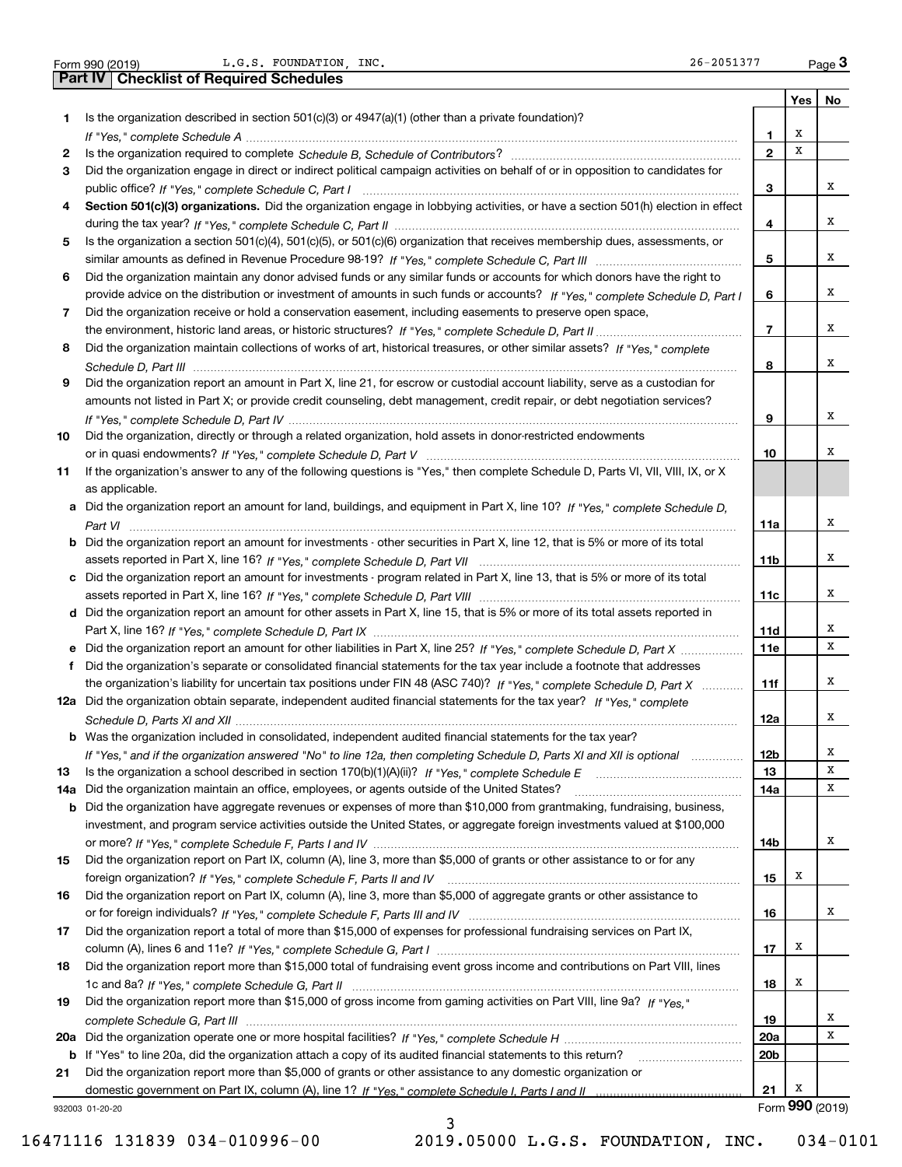|     | L.G.S. FOUNDATION, INC.<br>26-2051377<br>Form 990 (2019)                                                                              |                         |     | $_{\text{Page}}$ 3 |
|-----|---------------------------------------------------------------------------------------------------------------------------------------|-------------------------|-----|--------------------|
|     | <b>Part IV   Checklist of Required Schedules</b>                                                                                      |                         |     |                    |
|     |                                                                                                                                       |                         | Yes | No                 |
| 1   | Is the organization described in section $501(c)(3)$ or $4947(a)(1)$ (other than a private foundation)?                               |                         |     |                    |
|     |                                                                                                                                       | 1                       | х   |                    |
| 2   |                                                                                                                                       | $\mathbf{2}$            | X   |                    |
| 3   | Did the organization engage in direct or indirect political campaign activities on behalf of or in opposition to candidates for       |                         |     |                    |
|     |                                                                                                                                       | з                       |     | х                  |
| 4   | Section 501(c)(3) organizations. Did the organization engage in lobbying activities, or have a section 501(h) election in effect      |                         |     |                    |
|     |                                                                                                                                       | 4                       |     | х                  |
| 5   | Is the organization a section 501(c)(4), 501(c)(5), or 501(c)(6) organization that receives membership dues, assessments, or          |                         |     |                    |
|     |                                                                                                                                       | 5                       |     | х                  |
| 6   | Did the organization maintain any donor advised funds or any similar funds or accounts for which donors have the right to             |                         |     |                    |
|     | provide advice on the distribution or investment of amounts in such funds or accounts? If "Yes," complete Schedule D, Part I          | 6                       |     | х                  |
| 7   | Did the organization receive or hold a conservation easement, including easements to preserve open space,                             |                         |     |                    |
|     |                                                                                                                                       | $\overline{\mathbf{r}}$ |     | х                  |
| 8   | Did the organization maintain collections of works of art, historical treasures, or other similar assets? If "Yes," complete          |                         |     |                    |
|     |                                                                                                                                       | 8                       |     | х                  |
| 9   | Did the organization report an amount in Part X, line 21, for escrow or custodial account liability, serve as a custodian for         |                         |     |                    |
|     | amounts not listed in Part X; or provide credit counseling, debt management, credit repair, or debt negotiation services?             |                         |     |                    |
|     |                                                                                                                                       | 9                       |     | х                  |
| 10  | Did the organization, directly or through a related organization, hold assets in donor-restricted endowments                          |                         |     |                    |
|     |                                                                                                                                       | 10                      |     | х                  |
| 11  | If the organization's answer to any of the following questions is "Yes," then complete Schedule D, Parts VI, VII, VIII, IX, or X      |                         |     |                    |
|     | as applicable.                                                                                                                        |                         |     |                    |
|     | a Did the organization report an amount for land, buildings, and equipment in Part X, line 10? If "Yes," complete Schedule D,         |                         |     |                    |
|     |                                                                                                                                       | 11a                     |     | х                  |
|     | <b>b</b> Did the organization report an amount for investments - other securities in Part X, line 12, that is 5% or more of its total |                         |     |                    |
|     |                                                                                                                                       | 11b                     |     | х                  |
|     | c Did the organization report an amount for investments - program related in Part X, line 13, that is 5% or more of its total         |                         |     |                    |
|     |                                                                                                                                       | 11c                     |     | х                  |
|     | d Did the organization report an amount for other assets in Part X, line 15, that is 5% or more of its total assets reported in       |                         |     |                    |
|     |                                                                                                                                       | 11d                     |     | х                  |
|     | e Did the organization report an amount for other liabilities in Part X, line 25? If "Yes," complete Schedule D, Part X               | <b>11e</b>              |     | х                  |
| f   | Did the organization's separate or consolidated financial statements for the tax year include a footnote that addresses               |                         |     |                    |
|     | the organization's liability for uncertain tax positions under FIN 48 (ASC 740)? If "Yes," complete Schedule D, Part X                | 11f                     |     | х                  |
|     | 12a Did the organization obtain separate, independent audited financial statements for the tax year? If "Yes," complete               |                         |     |                    |
|     |                                                                                                                                       | 12a                     |     | х                  |
|     | <b>b</b> Was the organization included in consolidated, independent audited financial statements for the tax year?                    |                         |     |                    |
|     | If "Yes," and if the organization answered "No" to line 12a, then completing Schedule D, Parts XI and XII is optional                 | 12b                     |     | х                  |
| 13  |                                                                                                                                       | 13                      |     | х                  |
| 14a | Did the organization maintain an office, employees, or agents outside of the United States?                                           | 14a                     |     | х                  |
| b   | Did the organization have aggregate revenues or expenses of more than \$10,000 from grantmaking, fundraising, business,               |                         |     |                    |
|     | investment, and program service activities outside the United States, or aggregate foreign investments valued at \$100,000            |                         |     |                    |
|     |                                                                                                                                       | 14b                     |     | х                  |
| 15  | Did the organization report on Part IX, column (A), line 3, more than \$5,000 of grants or other assistance to or for any             |                         |     |                    |
|     |                                                                                                                                       | 15                      | х   |                    |
| 16  | Did the organization report on Part IX, column (A), line 3, more than \$5,000 of aggregate grants or other assistance to              |                         |     |                    |
|     |                                                                                                                                       | 16                      |     | х                  |
| 17  | Did the organization report a total of more than \$15,000 of expenses for professional fundraising services on Part IX,               |                         |     |                    |
|     |                                                                                                                                       | 17                      | х   |                    |
| 18  | Did the organization report more than \$15,000 total of fundraising event gross income and contributions on Part VIII, lines          |                         |     |                    |
|     |                                                                                                                                       | 18                      | x   |                    |
| 19  | Did the organization report more than \$15,000 of gross income from gaming activities on Part VIII, line 9a? If "Yes."                |                         |     |                    |
|     |                                                                                                                                       | 19                      |     | x                  |
|     |                                                                                                                                       | 20a                     |     | х                  |
|     |                                                                                                                                       |                         |     |                    |
|     | b If "Yes" to line 20a, did the organization attach a copy of its audited financial statements to this return?                        | 20 <sub>b</sub>         |     |                    |
| 21  | Did the organization report more than \$5,000 of grants or other assistance to any domestic organization or                           | 21                      | х   |                    |
|     |                                                                                                                                       |                         |     | Form 990 (2019)    |
|     | 932003 01-20-20                                                                                                                       |                         |     |                    |

3

16471116 131839 034-010996-00 2019.05000 L.G.S. FOUNDATION, INC. 034-0101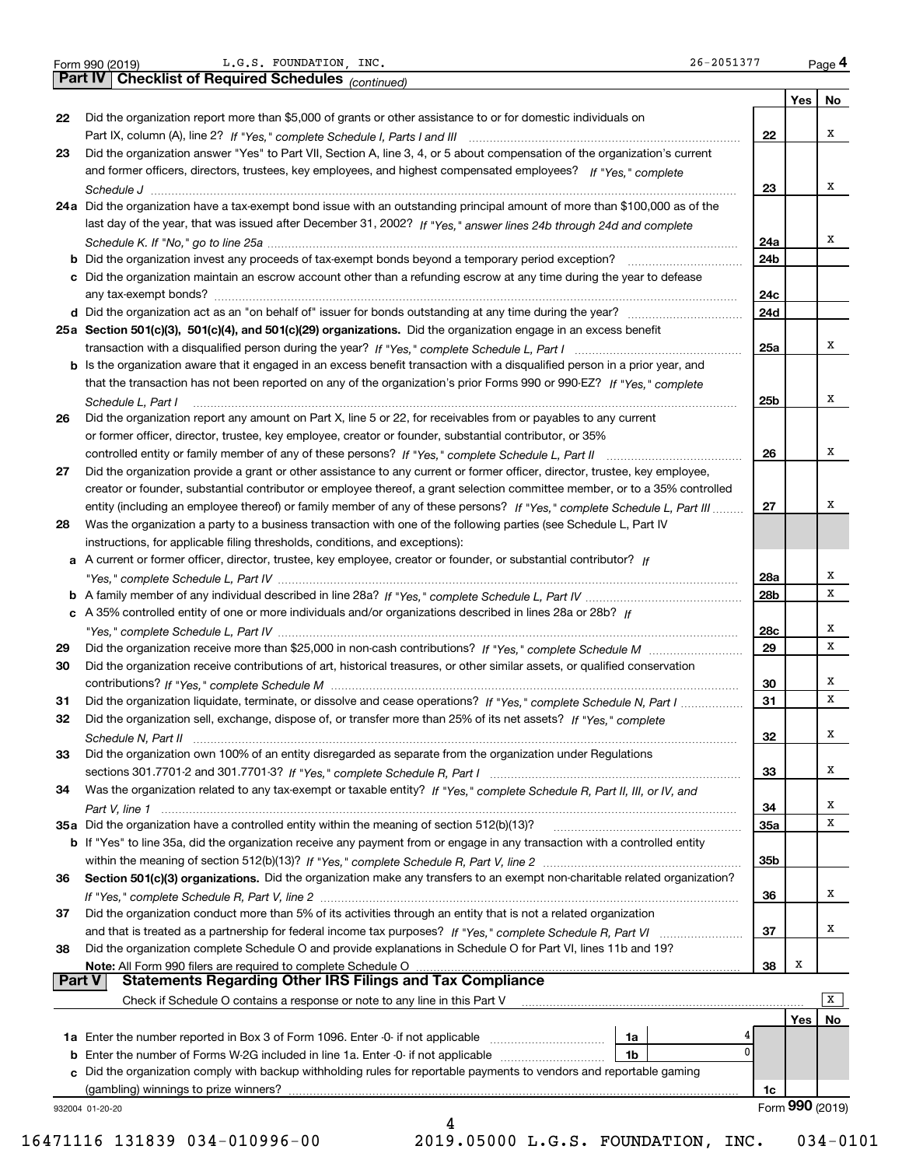|    |                                                                                                                              |              | Yes | No     |
|----|------------------------------------------------------------------------------------------------------------------------------|--------------|-----|--------|
| 22 | Did the organization report more than \$5,000 of grants or other assistance to or for domestic individuals on                |              |     |        |
|    |                                                                                                                              | 22           |     | x      |
| 23 | Did the organization answer "Yes" to Part VII, Section A, line 3, 4, or 5 about compensation of the organization's current   |              |     |        |
|    | and former officers, directors, trustees, key employees, and highest compensated employees? If "Yes." complete               |              |     |        |
|    |                                                                                                                              | 23           |     | х      |
|    | 24a Did the organization have a tax-exempt bond issue with an outstanding principal amount of more than \$100,000 as of the  |              |     |        |
|    | last day of the year, that was issued after December 31, 2002? If "Yes," answer lines 24b through 24d and complete           |              |     |        |
|    |                                                                                                                              | 24a          |     | x      |
|    |                                                                                                                              | 24b          |     |        |
|    | c Did the organization maintain an escrow account other than a refunding escrow at any time during the year to defease       |              |     |        |
|    |                                                                                                                              | 24c          |     |        |
|    |                                                                                                                              | 24d          |     |        |
|    | 25a Section 501(c)(3), 501(c)(4), and 501(c)(29) organizations. Did the organization engage in an excess benefit             |              |     |        |
|    |                                                                                                                              | 25a          |     | x      |
|    | b Is the organization aware that it engaged in an excess benefit transaction with a disqualified person in a prior year, and |              |     |        |
|    | that the transaction has not been reported on any of the organization's prior Forms 990 or 990-EZ? If "Yes," complete        |              |     |        |
|    | Schedule L. Part I                                                                                                           | 25b          |     | х      |
| 26 | Did the organization report any amount on Part X, line 5 or 22, for receivables from or payables to any current              |              |     |        |
|    | or former officer, director, trustee, key employee, creator or founder, substantial contributor, or 35%                      |              |     |        |
|    |                                                                                                                              | 26           |     | х      |
| 27 | Did the organization provide a grant or other assistance to any current or former officer, director, trustee, key employee,  |              |     |        |
|    | creator or founder, substantial contributor or employee thereof, a grant selection committee member, or to a 35% controlled  |              |     |        |
|    | entity (including an employee thereof) or family member of any of these persons? If "Yes," complete Schedule L, Part III     | 27           |     | Х      |
| 28 | Was the organization a party to a business transaction with one of the following parties (see Schedule L, Part IV            |              |     |        |
|    | instructions, for applicable filing thresholds, conditions, and exceptions):                                                 |              |     |        |
|    | a A current or former officer, director, trustee, key employee, creator or founder, or substantial contributor? If           |              |     |        |
|    |                                                                                                                              | 28a          |     | Χ      |
| b  |                                                                                                                              | 28b          |     | X      |
|    | c A 35% controlled entity of one or more individuals and/or organizations described in lines 28a or 28b? If                  |              |     |        |
|    |                                                                                                                              | 28c          |     | x      |
|    |                                                                                                                              | 29           |     | X      |
| 29 |                                                                                                                              |              |     |        |
| 30 | Did the organization receive contributions of art, historical treasures, or other similar assets, or qualified conservation  |              |     |        |
|    |                                                                                                                              | 30           |     | х<br>х |
| 31 | Did the organization liquidate, terminate, or dissolve and cease operations? If "Yes," complete Schedule N, Part I           | 31           |     |        |
| 32 | Did the organization sell, exchange, dispose of, or transfer more than 25% of its net assets? If "Yes," complete             |              |     |        |
|    |                                                                                                                              | 32           |     | x      |
| 33 | Did the organization own 100% of an entity disregarded as separate from the organization under Regulations                   |              |     |        |
|    |                                                                                                                              | 33           |     | х      |
| 34 | Was the organization related to any tax-exempt or taxable entity? If "Yes," complete Schedule R, Part II, III, or IV, and    |              |     |        |
|    |                                                                                                                              | 34           |     | х      |
|    | 35a Did the organization have a controlled entity within the meaning of section 512(b)(13)?                                  | 35a          |     | х      |
|    | b If "Yes" to line 35a, did the organization receive any payment from or engage in any transaction with a controlled entity  |              |     |        |
|    |                                                                                                                              | 35b          |     |        |
| 36 | Section 501(c)(3) organizations. Did the organization make any transfers to an exempt non-charitable related organization?   |              |     |        |
|    |                                                                                                                              | 36           |     | x      |
| 37 | Did the organization conduct more than 5% of its activities through an entity that is not a related organization             |              |     |        |
|    |                                                                                                                              | 37           |     | x      |
| 38 | Did the organization complete Schedule O and provide explanations in Schedule O for Part VI, lines 11b and 19?               |              |     |        |
|    | Note: All Form 990 filers are required to complete Schedule O                                                                | 38           | х   |        |
|    | <b>Statements Regarding Other IRS Filings and Tax Compliance</b><br><b>Part V</b>                                            |              |     |        |
|    | Check if Schedule O contains a response or note to any line in this Part V                                                   |              |     | X      |
|    |                                                                                                                              |              | Yes | No     |
|    | 1a                                                                                                                           |              |     |        |
|    | 1 <sub>b</sub><br><b>b</b> Enter the number of Forms W-2G included in line 1a. Enter -0- if not applicable                   | $\mathbf{0}$ |     |        |
|    | c Did the organization comply with backup withholding rules for reportable payments to vendors and reportable gaming         |              |     |        |
|    |                                                                                                                              |              |     |        |
|    | (gambling) winnings to prize winners?                                                                                        | 1c           |     |        |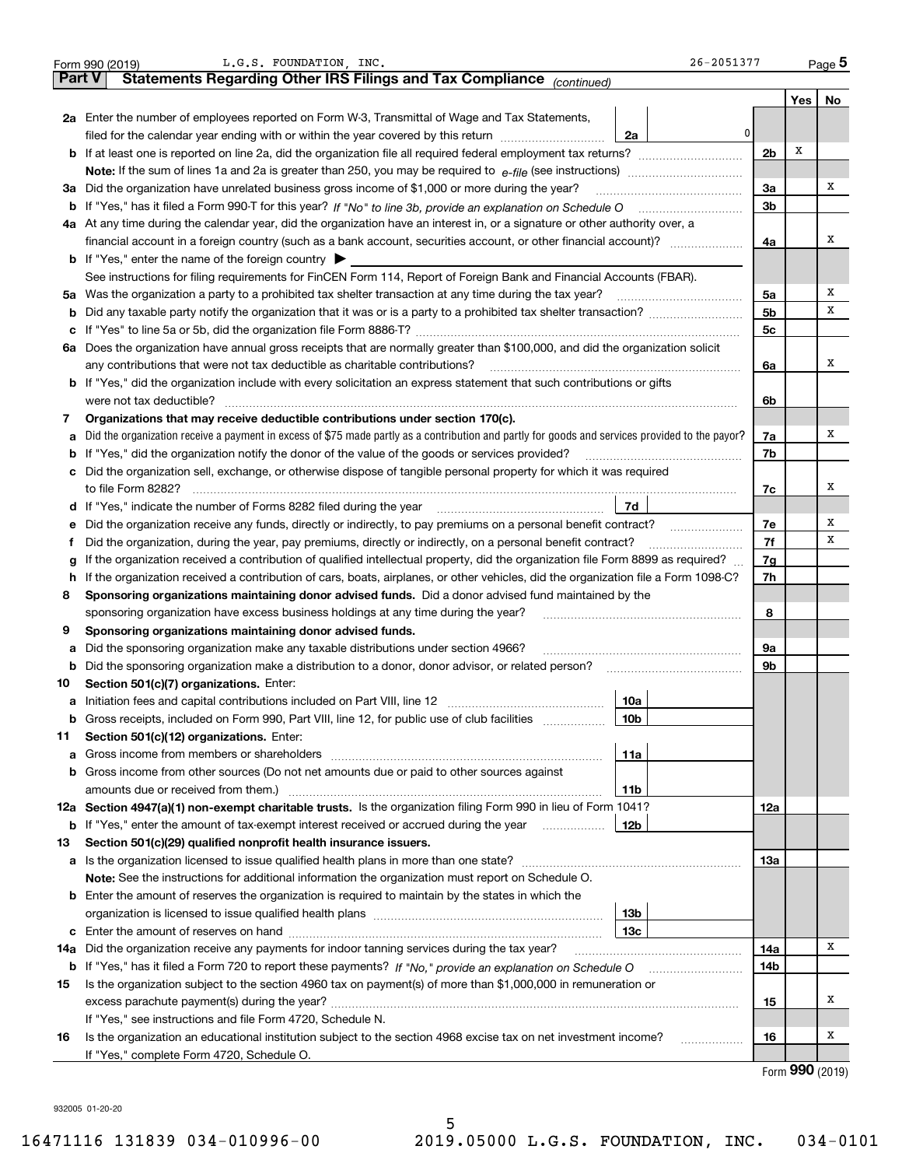|        | 26-2051377<br>L.G.S. FOUNDATION, INC.<br>Form 990 (2019)                                                                                        |                |      | $_{\text{Page}}$ 5 |
|--------|-------------------------------------------------------------------------------------------------------------------------------------------------|----------------|------|--------------------|
| Part V | Statements Regarding Other IRS Filings and Tax Compliance (continued)                                                                           |                |      |                    |
|        |                                                                                                                                                 |                | Yes  | No                 |
|        | 2a Enter the number of employees reported on Form W-3, Transmittal of Wage and Tax Statements,                                                  |                |      |                    |
|        | 0 <br>filed for the calendar year ending with or within the year covered by this return<br>2a                                                   |                |      |                    |
|        |                                                                                                                                                 | 2 <sub>b</sub> | х    |                    |
|        |                                                                                                                                                 |                |      |                    |
|        | 3a Did the organization have unrelated business gross income of \$1,000 or more during the year?                                                | 3a             |      | x                  |
|        |                                                                                                                                                 | 3b             |      |                    |
|        | 4a At any time during the calendar year, did the organization have an interest in, or a signature or other authority over, a                    |                |      |                    |
|        |                                                                                                                                                 | 4a             |      | х                  |
|        | <b>b</b> If "Yes," enter the name of the foreign country $\blacktriangleright$                                                                  |                |      |                    |
|        | See instructions for filing requirements for FinCEN Form 114, Report of Foreign Bank and Financial Accounts (FBAR).                             |                |      |                    |
|        | 5a Was the organization a party to a prohibited tax shelter transaction at any time during the tax year?                                        | 5a             |      | x                  |
|        |                                                                                                                                                 | 5 <sub>b</sub> |      | х                  |
| c      |                                                                                                                                                 | 5c             |      |                    |
|        | 6a Does the organization have annual gross receipts that are normally greater than \$100,000, and did the organization solicit                  |                |      |                    |
|        | any contributions that were not tax deductible as charitable contributions?                                                                     | 6a             |      | x                  |
|        | <b>b</b> If "Yes," did the organization include with every solicitation an express statement that such contributions or gifts                   |                |      |                    |
|        | were not tax deductible?                                                                                                                        | 6b             |      |                    |
| 7      | Organizations that may receive deductible contributions under section 170(c).                                                                   |                |      |                    |
| а      | Did the organization receive a payment in excess of \$75 made partly as a contribution and partly for goods and services provided to the payor? | 7a             |      | х                  |
| b      | If "Yes," did the organization notify the donor of the value of the goods or services provided?                                                 | 7b             |      |                    |
|        | c Did the organization sell, exchange, or otherwise dispose of tangible personal property for which it was required                             |                |      |                    |
|        |                                                                                                                                                 | 7c             |      | х                  |
|        | 7d<br>d If "Yes," indicate the number of Forms 8282 filed during the year manufacture intervent contains the New Yes                            |                |      |                    |
|        | e Did the organization receive any funds, directly or indirectly, to pay premiums on a personal benefit contract?                               | 7e             |      | х                  |
| Ť      | Did the organization, during the year, pay premiums, directly or indirectly, on a personal benefit contract?                                    | 7f             |      | х                  |
| g      | If the organization received a contribution of qualified intellectual property, did the organization file Form 8899 as required?                | 7g             |      |                    |
|        | h If the organization received a contribution of cars, boats, airplanes, or other vehicles, did the organization file a Form 1098-C?            | 7h             |      |                    |
| 8      | Sponsoring organizations maintaining donor advised funds. Did a donor advised fund maintained by the                                            |                |      |                    |
|        | sponsoring organization have excess business holdings at any time during the year?                                                              | 8              |      |                    |
| 9      | Sponsoring organizations maintaining donor advised funds.                                                                                       |                |      |                    |
| а      | Did the sponsoring organization make any taxable distributions under section 4966?                                                              | 9а             |      |                    |
| b      | Did the sponsoring organization make a distribution to a donor, donor advisor, or related person?                                               | 9b             |      |                    |
| 10     | Section 501(c)(7) organizations. Enter:                                                                                                         |                |      |                    |
|        | 10a                                                                                                                                             |                |      |                    |
| b      | Gross receipts, included on Form 990, Part VIII, line 12, for public use of club facilities<br>10b                                              |                |      |                    |
| 11     | Section 501(c)(12) organizations. Enter:                                                                                                        |                |      |                    |
| а      | 11a                                                                                                                                             |                |      |                    |
|        | b Gross income from other sources (Do not net amounts due or paid to other sources against                                                      |                |      |                    |
|        | amounts due or received from them.)<br>11b                                                                                                      |                |      |                    |
|        | 12a Section 4947(a)(1) non-exempt charitable trusts. Is the organization filing Form 990 in lieu of Form 1041?                                  | 12a            |      |                    |
|        | <b>b</b> If "Yes," enter the amount of tax-exempt interest received or accrued during the year <i>manument</i> of<br>12b                        |                |      |                    |
| 13     | Section 501(c)(29) qualified nonprofit health insurance issuers.                                                                                |                |      |                    |
|        | a Is the organization licensed to issue qualified health plans in more than one state?                                                          | 13a            |      |                    |
|        | Note: See the instructions for additional information the organization must report on Schedule O.                                               |                |      |                    |
|        | <b>b</b> Enter the amount of reserves the organization is required to maintain by the states in which the                                       |                |      |                    |
|        | 13b                                                                                                                                             |                |      |                    |
|        | 13с                                                                                                                                             | 14a            |      | х                  |
| 14a    | Did the organization receive any payments for indoor tanning services during the tax year?                                                      |                |      |                    |
|        |                                                                                                                                                 | 14b            |      |                    |
| 15     | Is the organization subject to the section 4960 tax on payment(s) of more than \$1,000,000 in remuneration or                                   |                |      | х                  |
|        | If "Yes," see instructions and file Form 4720, Schedule N.                                                                                      | 15             |      |                    |
| 16     | Is the organization an educational institution subject to the section 4968 excise tax on net investment income?                                 | 16             |      | x                  |
|        | .<br>If "Yes," complete Form 4720, Schedule O.                                                                                                  |                |      |                    |
|        |                                                                                                                                                 |                | റററ. |                    |

Form (2019) **990**

932005 01-20-20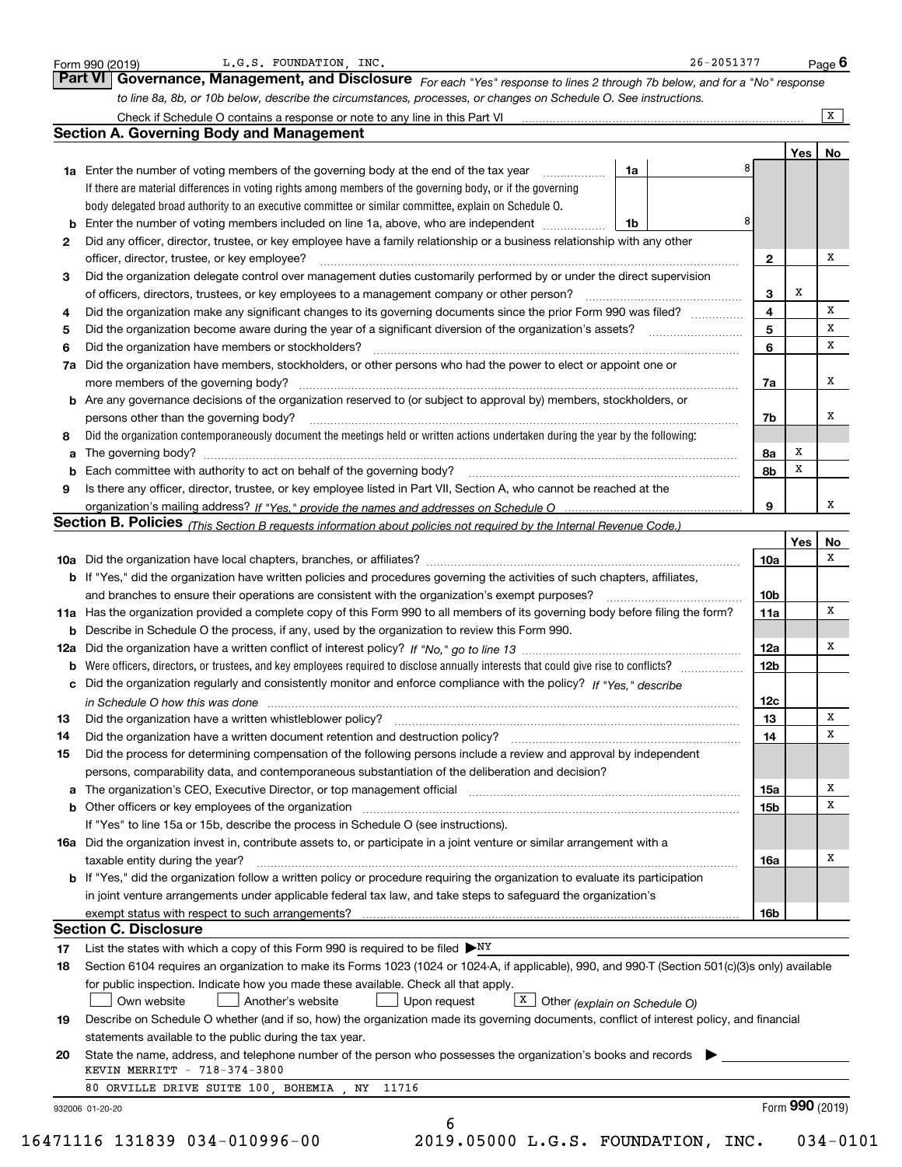|    | to line 8a, 8b, or 10b below, describe the circumstances, processes, or changes on Schedule O. See instructions.                                                                                                                |                 |     | $\overline{X}$ |
|----|---------------------------------------------------------------------------------------------------------------------------------------------------------------------------------------------------------------------------------|-----------------|-----|----------------|
|    | <b>Section A. Governing Body and Management</b>                                                                                                                                                                                 |                 |     |                |
|    |                                                                                                                                                                                                                                 |                 | Yes | No             |
|    | 1a Enter the number of voting members of the governing body at the end of the tax year <i>manuming</i><br>1a                                                                                                                    |                 |     |                |
|    | If there are material differences in voting rights among members of the governing body, or if the governing                                                                                                                     |                 |     |                |
|    | body delegated broad authority to an executive committee or similar committee, explain on Schedule O.                                                                                                                           |                 |     |                |
| b  | 8<br>Enter the number of voting members included on line 1a, above, who are independent<br>1b                                                                                                                                   |                 |     |                |
| 2  | Did any officer, director, trustee, or key employee have a family relationship or a business relationship with any other                                                                                                        |                 |     |                |
|    | officer, director, trustee, or key employee?                                                                                                                                                                                    | 2               |     | х              |
| 3  | Did the organization delegate control over management duties customarily performed by or under the direct supervision                                                                                                           |                 |     |                |
|    | of officers, directors, trustees, or key employees to a management company or other person?                                                                                                                                     | 3               | х   |                |
| 4  | Did the organization make any significant changes to its governing documents since the prior Form 990 was filed?                                                                                                                | 4               |     | X              |
| 5  |                                                                                                                                                                                                                                 | 5               |     | x              |
| 6  | Did the organization have members or stockholders?                                                                                                                                                                              | 6               |     | x              |
| 7a | Did the organization have members, stockholders, or other persons who had the power to elect or appoint one or                                                                                                                  |                 |     |                |
|    | more members of the governing body?                                                                                                                                                                                             | 7a              |     | X              |
|    | <b>b</b> Are any governance decisions of the organization reserved to (or subject to approval by) members, stockholders, or                                                                                                     |                 |     |                |
|    | persons other than the governing body?                                                                                                                                                                                          | 7b              |     | х              |
| 8  | Did the organization contemporaneously document the meetings held or written actions undertaken during the year by the following:                                                                                               |                 |     |                |
| a  |                                                                                                                                                                                                                                 | 8а              | X   |                |
|    | Each committee with authority to act on behalf of the governing body?                                                                                                                                                           | 8b              | x   |                |
| 9  | Is there any officer, director, trustee, or key employee listed in Part VII, Section A, who cannot be reached at the                                                                                                            |                 |     |                |
|    |                                                                                                                                                                                                                                 | 9               |     | x              |
|    | Section B. Policies <i>(This Section B requests information about policies not required by the Internal Revenue Code.)</i>                                                                                                      |                 |     |                |
|    |                                                                                                                                                                                                                                 |                 | Yes | No<br>x        |
|    |                                                                                                                                                                                                                                 | 10a             |     |                |
|    | b If "Yes," did the organization have written policies and procedures governing the activities of such chapters, affiliates,<br>and branches to ensure their operations are consistent with the organization's exempt purposes? | 10 <sub>b</sub> |     |                |
|    | 11a Has the organization provided a complete copy of this Form 990 to all members of its governing body before filing the form?                                                                                                 | 11a             |     | x              |
|    | <b>b</b> Describe in Schedule O the process, if any, used by the organization to review this Form 990.                                                                                                                          |                 |     |                |
|    |                                                                                                                                                                                                                                 | 12a             |     | x              |
| b  | Were officers, directors, or trustees, and key employees required to disclose annually interests that could give rise to conflicts?                                                                                             | 12 <sub>b</sub> |     |                |
|    | c Did the organization regularly and consistently monitor and enforce compliance with the policy? If "Yes," describe                                                                                                            |                 |     |                |
|    | in Schedule O how this was done manufactured and contain an account of the state of the state of the state of                                                                                                                   | 12c             |     |                |
| 13 | Did the organization have a written whistleblower policy?                                                                                                                                                                       | 13              |     | х              |
| 14 | Did the organization have a written document retention and destruction policy? manufactured and the organization have a written document retention and destruction policy?                                                      | 14              |     | x              |
| 15 | Did the process for determining compensation of the following persons include a review and approval by independent                                                                                                              |                 |     |                |
|    | persons, comparability data, and contemporaneous substantiation of the deliberation and decision?                                                                                                                               |                 |     |                |
| a  | The organization's CEO, Executive Director, or top management official manufactured content content of the organization's CEO, executive Director, or top management official                                                   | 15a             |     | х              |
|    |                                                                                                                                                                                                                                 | 15b             |     | X              |
|    | If "Yes" to line 15a or 15b, describe the process in Schedule O (see instructions).                                                                                                                                             |                 |     |                |
|    | 16a Did the organization invest in, contribute assets to, or participate in a joint venture or similar arrangement with a                                                                                                       |                 |     |                |
|    | taxable entity during the year?                                                                                                                                                                                                 | 16a             |     | x              |
|    | <b>b</b> If "Yes," did the organization follow a written policy or procedure requiring the organization to evaluate its participation                                                                                           |                 |     |                |
|    | in joint venture arrangements under applicable federal tax law, and take steps to safeguard the organization's                                                                                                                  |                 |     |                |
|    |                                                                                                                                                                                                                                 | 16b             |     |                |
|    | <b>Section C. Disclosure</b>                                                                                                                                                                                                    |                 |     |                |
| 17 | List the states with which a copy of this Form 990 is required to be filed $\blacktriangleright^{\mathrm{NY}}$                                                                                                                  |                 |     |                |
| 18 | Section 6104 requires an organization to make its Forms 1023 (1024 or 1024-A, if applicable), 990, and 990-T (Section 501(c)(3)s only) available                                                                                |                 |     |                |
|    | for public inspection. Indicate how you made these available. Check all that apply.                                                                                                                                             |                 |     |                |
|    | $\boxed{\text{X}}$ Other (explain on Schedule O)<br>Own website<br>Another's website<br>Upon request                                                                                                                            |                 |     |                |
|    | Describe on Schedule O whether (and if so, how) the organization made its governing documents, conflict of interest policy, and financial                                                                                       |                 |     |                |
| 19 | statements available to the public during the tax year.                                                                                                                                                                         |                 |     |                |
|    |                                                                                                                                                                                                                                 |                 |     |                |
| 20 | State the name, address, and telephone number of the person who possesses the organization's books and records                                                                                                                  |                 |     |                |
|    | KEVIN MERRITT - 718-374-3800<br>80 ORVILLE DRIVE SUITE 100, BOHEMIA, NY 11716                                                                                                                                                   |                 |     |                |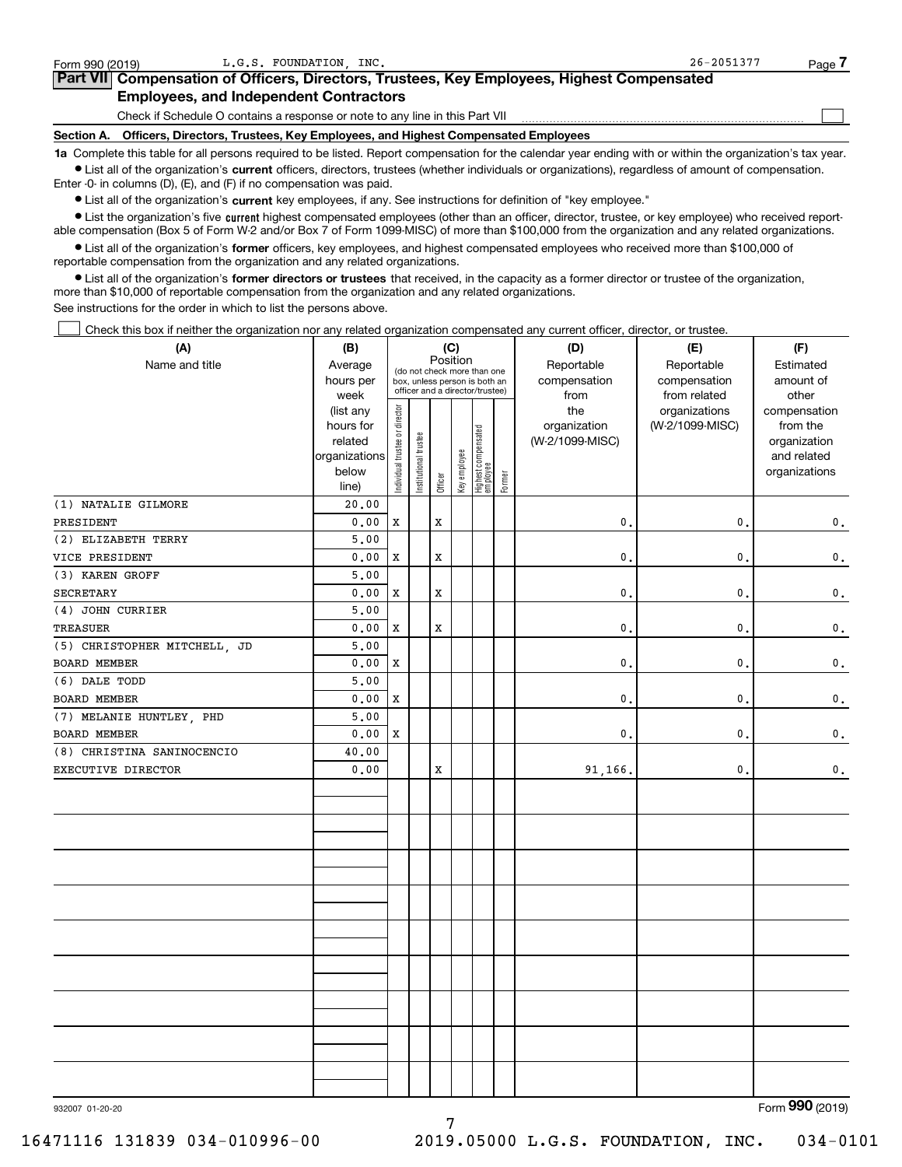| Form 990 (2019) | L.G.S. FOUNDATION INC.                                                                                                                                     | $26 - 2051377$ | Page |
|-----------------|------------------------------------------------------------------------------------------------------------------------------------------------------------|----------------|------|
|                 | Part VII Compensation of Officers, Directors, Trustees, Key Employees, Highest Compensated                                                                 |                |      |
|                 | <b>Employees, and Independent Contractors</b>                                                                                                              |                |      |
|                 | Check if Schedule O contains a response or note to any line in this Part VII                                                                               |                |      |
| Section A.      | Officers, Directors, Trustees, Key Employees, and Highest Compensated Employees                                                                            |                |      |
|                 | 1a Complete this table for all persons required to be listed. Report compensation for the calendar year ending with or within the organization's tax year. |                |      |

 $L_{G}$  C.S. FOUNDATION, INC.  $R_{G}$  is the set of the set of the set of the set of the set of the set of the set of the set of the set of the set of the set of the set of the set of the set of the set of the set of the se

**•** List all of the organization's current officers, directors, trustees (whether individuals or organizations), regardless of amount of compensation. Enter -0- in columns (D), (E), and (F) if no compensation was paid.

 $\bullet$  List all of the organization's  $\,$ current key employees, if any. See instructions for definition of "key employee."

**•** List the organization's five current highest compensated employees (other than an officer, director, trustee, or key employee) who received reportable compensation (Box 5 of Form W-2 and/or Box 7 of Form 1099-MISC) of more than \$100,000 from the organization and any related organizations.

**•** List all of the organization's former officers, key employees, and highest compensated employees who received more than \$100,000 of reportable compensation from the organization and any related organizations.

**former directors or trustees**  ¥ List all of the organization's that received, in the capacity as a former director or trustee of the organization, more than \$10,000 of reportable compensation from the organization and any related organizations.

See instructions for the order in which to list the persons above.

Check this box if neither the organization nor any related organization compensated any current officer, director, or trustee.  $\mathcal{L}^{\text{max}}$ 

| (A)                          | (B)                    |                                |                       |             | (C)          |                                                                  |        | (D)                             | (E)             | (F)                      |
|------------------------------|------------------------|--------------------------------|-----------------------|-------------|--------------|------------------------------------------------------------------|--------|---------------------------------|-----------------|--------------------------|
| Name and title               | Average                |                                |                       | Position    |              | (do not check more than one                                      |        | Reportable                      | Reportable      | Estimated                |
|                              | hours per              |                                |                       |             |              | box, unless person is both an<br>officer and a director/trustee) |        | compensation                    | compensation    | amount of                |
|                              | week                   |                                |                       |             |              |                                                                  |        | from                            | from related    | other                    |
|                              | (list any<br>hours for |                                |                       |             |              |                                                                  |        | the                             | organizations   | compensation<br>from the |
|                              | related                |                                |                       |             |              |                                                                  |        | organization<br>(W-2/1099-MISC) | (W-2/1099-MISC) | organization             |
|                              | organizations          |                                |                       |             |              |                                                                  |        |                                 |                 | and related              |
|                              | below                  |                                |                       |             |              |                                                                  |        |                                 |                 | organizations            |
|                              | line)                  | Individual trustee or director | Institutional trustee | Officer     | Key employee | Highest compensated<br> employee                                 | Former |                                 |                 |                          |
| (1) NATALIE GILMORE          | 20.00                  |                                |                       |             |              |                                                                  |        |                                 |                 |                          |
| PRESIDENT                    | 0.00                   | X                              |                       | X           |              |                                                                  |        | 0.                              | 0.              | 0.                       |
| (2) ELIZABETH TERRY          | 5,00                   |                                |                       |             |              |                                                                  |        |                                 |                 |                          |
| VICE PRESIDENT               | 0.00                   | X                              |                       | $\mathbf x$ |              |                                                                  |        | 0.                              | $\mathbf{0}$ .  | $\mathbf 0$ .            |
| (3) KAREN GROFF              | 5.00                   |                                |                       |             |              |                                                                  |        |                                 |                 |                          |
| <b>SECRETARY</b>             | 0.00                   | X                              |                       | $\mathbf x$ |              |                                                                  |        | 0.                              | $\mathbf{0}$ .  | 0.                       |
| (4) JOHN CURRIER             | 5.00                   |                                |                       |             |              |                                                                  |        |                                 |                 |                          |
| <b>TREASUER</b>              | 0.00                   | X                              |                       | $\mathbf x$ |              |                                                                  |        | 0.                              | $\mathbf{0}$ .  | $\mathbf 0$ .            |
| (5) CHRISTOPHER MITCHELL, JD | 5.00                   |                                |                       |             |              |                                                                  |        |                                 |                 |                          |
| BOARD MEMBER                 | 0.00                   | X                              |                       |             |              |                                                                  |        | 0.                              | $\mathbf{0}$ .  | 0.                       |
| (6) DALE TODD                | 5.00                   |                                |                       |             |              |                                                                  |        |                                 |                 |                          |
| BOARD MEMBER                 | 0.00                   | $\mathbf x$                    |                       |             |              |                                                                  |        | 0.                              | $\mathbf{0}$ .  | $\mathbf 0$ .            |
| (7) MELANIE HUNTLEY, PHD     | 5,00                   |                                |                       |             |              |                                                                  |        |                                 |                 |                          |
| <b>BOARD MEMBER</b>          | 0.00                   | X                              |                       |             |              |                                                                  |        | $\mathbf{0}$                    | $\mathbf{0}$ .  | $\mathbf 0$ .            |
| (8) CHRISTINA SANINOCENCIO   | 40.00                  |                                |                       |             |              |                                                                  |        |                                 |                 |                          |
| EXECUTIVE DIRECTOR           | 0.00                   |                                |                       | X           |              |                                                                  |        | 91,166,                         | 0.              | $\mathbf 0$ .            |
|                              |                        |                                |                       |             |              |                                                                  |        |                                 |                 |                          |
|                              |                        |                                |                       |             |              |                                                                  |        |                                 |                 |                          |
|                              |                        |                                |                       |             |              |                                                                  |        |                                 |                 |                          |
|                              |                        |                                |                       |             |              |                                                                  |        |                                 |                 |                          |
|                              |                        |                                |                       |             |              |                                                                  |        |                                 |                 |                          |
|                              |                        |                                |                       |             |              |                                                                  |        |                                 |                 |                          |
|                              |                        |                                |                       |             |              |                                                                  |        |                                 |                 |                          |
|                              |                        |                                |                       |             |              |                                                                  |        |                                 |                 |                          |
|                              |                        |                                |                       |             |              |                                                                  |        |                                 |                 |                          |
|                              |                        |                                |                       |             |              |                                                                  |        |                                 |                 |                          |
|                              |                        |                                |                       |             |              |                                                                  |        |                                 |                 |                          |
|                              |                        |                                |                       |             |              |                                                                  |        |                                 |                 |                          |
|                              |                        |                                |                       |             |              |                                                                  |        |                                 |                 |                          |
|                              |                        |                                |                       |             |              |                                                                  |        |                                 |                 |                          |
|                              |                        |                                |                       |             |              |                                                                  |        |                                 |                 |                          |
|                              |                        |                                |                       |             |              |                                                                  |        |                                 |                 |                          |
|                              |                        |                                |                       |             |              |                                                                  |        |                                 |                 |                          |
|                              |                        |                                |                       |             |              |                                                                  |        |                                 |                 |                          |
|                              |                        |                                |                       |             |              |                                                                  |        |                                 |                 | $\Gamma$ - $\sim$        |

7

932007 01-20-20

Form (2019) **990**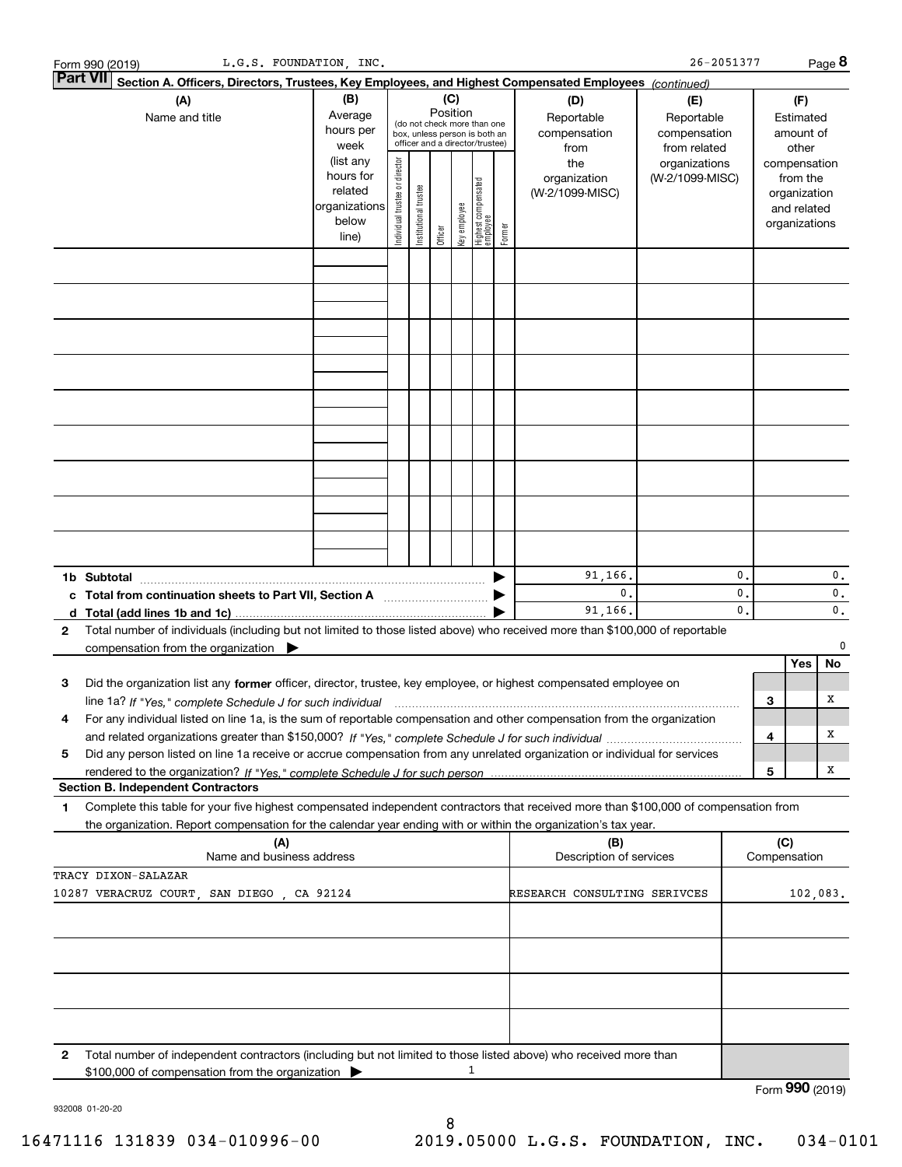|   | L.G.S. FOUNDATION, INC.<br>Form 990 (2019)                                                                                                                                                                                                 |                                                                      |                                |                        |          |              |                                                                                                 |        |                                        | $26 - 2051377$                             |                                  |     |                                                                          | Page 8               |
|---|--------------------------------------------------------------------------------------------------------------------------------------------------------------------------------------------------------------------------------------------|----------------------------------------------------------------------|--------------------------------|------------------------|----------|--------------|-------------------------------------------------------------------------------------------------|--------|----------------------------------------|--------------------------------------------|----------------------------------|-----|--------------------------------------------------------------------------|----------------------|
|   | <b>Part VII</b><br>Section A. Officers, Directors, Trustees, Key Employees, and Highest Compensated Employees (continued)                                                                                                                  |                                                                      |                                |                        |          |              |                                                                                                 |        |                                        |                                            |                                  |     |                                                                          |                      |
|   | (A)                                                                                                                                                                                                                                        | (B)                                                                  |                                |                        |          | (C)          |                                                                                                 |        | (D)                                    | (E)                                        |                                  |     | (F)                                                                      |                      |
|   | Name and title                                                                                                                                                                                                                             | Average<br>hours per<br>week                                         |                                |                        | Position |              | (do not check more than one<br>box, unless person is both an<br>officer and a director/trustee) |        | Reportable<br>compensation<br>from     | Reportable<br>compensation<br>from related |                                  |     | Estimated<br>amount of<br>other                                          |                      |
|   |                                                                                                                                                                                                                                            | (list any<br>hours for<br>related<br>organizations<br>below<br>line) | Individual trustee or director | In stitutional trustee | Officer  | Key employee | Highest compensated<br>employee                                                                 | Former | the<br>organization<br>(W-2/1099-MISC) | organizations<br>(W-2/1099-MISC)           |                                  |     | compensation<br>from the<br>organization<br>and related<br>organizations |                      |
|   |                                                                                                                                                                                                                                            |                                                                      |                                |                        |          |              |                                                                                                 |        |                                        |                                            |                                  |     |                                                                          |                      |
|   |                                                                                                                                                                                                                                            |                                                                      |                                |                        |          |              |                                                                                                 |        |                                        |                                            |                                  |     |                                                                          |                      |
|   |                                                                                                                                                                                                                                            |                                                                      |                                |                        |          |              |                                                                                                 |        |                                        |                                            |                                  |     |                                                                          |                      |
|   |                                                                                                                                                                                                                                            |                                                                      |                                |                        |          |              |                                                                                                 |        |                                        |                                            |                                  |     |                                                                          |                      |
|   |                                                                                                                                                                                                                                            |                                                                      |                                |                        |          |              |                                                                                                 |        |                                        |                                            |                                  |     |                                                                          |                      |
|   |                                                                                                                                                                                                                                            |                                                                      |                                |                        |          |              |                                                                                                 |        |                                        |                                            |                                  |     |                                                                          |                      |
|   |                                                                                                                                                                                                                                            |                                                                      |                                |                        |          |              |                                                                                                 |        |                                        |                                            |                                  |     |                                                                          |                      |
|   |                                                                                                                                                                                                                                            |                                                                      |                                |                        |          |              |                                                                                                 |        |                                        |                                            |                                  |     |                                                                          |                      |
|   |                                                                                                                                                                                                                                            |                                                                      |                                |                        |          |              |                                                                                                 |        |                                        |                                            |                                  |     |                                                                          |                      |
|   |                                                                                                                                                                                                                                            |                                                                      |                                |                        |          |              |                                                                                                 |        |                                        |                                            |                                  |     |                                                                          |                      |
|   | 1b Subtotal                                                                                                                                                                                                                                |                                                                      |                                |                        |          |              |                                                                                                 |        | 91,166.                                |                                            | $\mathbf{0}$ .                   |     |                                                                          | 0.                   |
|   |                                                                                                                                                                                                                                            |                                                                      |                                |                        |          |              |                                                                                                 |        | $\mathbf{0}$ .<br>91,166.              |                                            | $\mathbf{0}$ .<br>$\mathbf{0}$ . |     |                                                                          | 0.<br>$\mathbf{0}$ . |
| 2 | d Total (add lines 1b and 1c)<br>Total number of individuals (including but not limited to those listed above) who received more than \$100,000 of reportable                                                                              |                                                                      |                                |                        |          |              |                                                                                                 |        |                                        |                                            |                                  |     |                                                                          |                      |
|   | compensation from the organization                                                                                                                                                                                                         |                                                                      |                                |                        |          |              |                                                                                                 |        |                                        |                                            |                                  |     |                                                                          | 0                    |
|   |                                                                                                                                                                                                                                            |                                                                      |                                |                        |          |              |                                                                                                 |        |                                        |                                            |                                  |     | Yes                                                                      | No                   |
| 3 | Did the organization list any former officer, director, trustee, key employee, or highest compensated employee on                                                                                                                          |                                                                      |                                |                        |          |              |                                                                                                 |        |                                        |                                            |                                  |     |                                                                          |                      |
|   | line 1a? If "Yes," complete Schedule J for such individual material content content to the complete Schedule J<br>For any individual listed on line 1a, is the sum of reportable compensation and other compensation from the organization |                                                                      |                                |                        |          |              |                                                                                                 |        |                                        |                                            |                                  | 3   |                                                                          | X                    |
|   |                                                                                                                                                                                                                                            |                                                                      |                                |                        |          |              |                                                                                                 |        |                                        |                                            |                                  | 4   |                                                                          | х                    |
| 5 | Did any person listed on line 1a receive or accrue compensation from any unrelated organization or individual for services                                                                                                                 |                                                                      |                                |                        |          |              |                                                                                                 |        |                                        |                                            |                                  |     |                                                                          |                      |
|   |                                                                                                                                                                                                                                            |                                                                      |                                |                        |          |              |                                                                                                 |        |                                        |                                            |                                  | 5   |                                                                          | X                    |
|   | <b>Section B. Independent Contractors</b><br>Complete this table for your five highest compensated independent contractors that received more than \$100,000 of compensation from                                                          |                                                                      |                                |                        |          |              |                                                                                                 |        |                                        |                                            |                                  |     |                                                                          |                      |
| 1 | the organization. Report compensation for the calendar year ending with or within the organization's tax year.                                                                                                                             |                                                                      |                                |                        |          |              |                                                                                                 |        |                                        |                                            |                                  |     |                                                                          |                      |
|   | (A)                                                                                                                                                                                                                                        |                                                                      |                                |                        |          |              |                                                                                                 |        | (B)                                    |                                            |                                  | (C) |                                                                          |                      |
|   | Name and business address                                                                                                                                                                                                                  |                                                                      |                                |                        |          |              |                                                                                                 |        | Description of services                |                                            |                                  |     | Compensation                                                             |                      |
|   | TRACY DIXON-SALAZAR<br>10287 VERACRUZ COURT, SAN DIEGO, CA 92124                                                                                                                                                                           |                                                                      |                                |                        |          |              |                                                                                                 |        | RESEARCH CONSULTING SERIVCES           |                                            |                                  |     | 102,083.                                                                 |                      |
|   |                                                                                                                                                                                                                                            |                                                                      |                                |                        |          |              |                                                                                                 |        |                                        |                                            |                                  |     |                                                                          |                      |
|   |                                                                                                                                                                                                                                            |                                                                      |                                |                        |          |              |                                                                                                 |        |                                        |                                            |                                  |     |                                                                          |                      |
|   |                                                                                                                                                                                                                                            |                                                                      |                                |                        |          |              |                                                                                                 |        |                                        |                                            |                                  |     |                                                                          |                      |
|   |                                                                                                                                                                                                                                            |                                                                      |                                |                        |          |              |                                                                                                 |        |                                        |                                            |                                  |     |                                                                          |                      |
| 2 | Total number of independent contractors (including but not limited to those listed above) who received more than                                                                                                                           |                                                                      |                                |                        |          |              |                                                                                                 |        |                                        |                                            |                                  |     |                                                                          |                      |
|   | \$100,000 of compensation from the organization                                                                                                                                                                                            |                                                                      |                                |                        |          |              | 1                                                                                               |        |                                        |                                            |                                  |     |                                                                          |                      |
|   |                                                                                                                                                                                                                                            |                                                                      |                                |                        |          |              |                                                                                                 |        |                                        |                                            |                                  |     | Form 990 (2019)                                                          |                      |

932008 01-20-20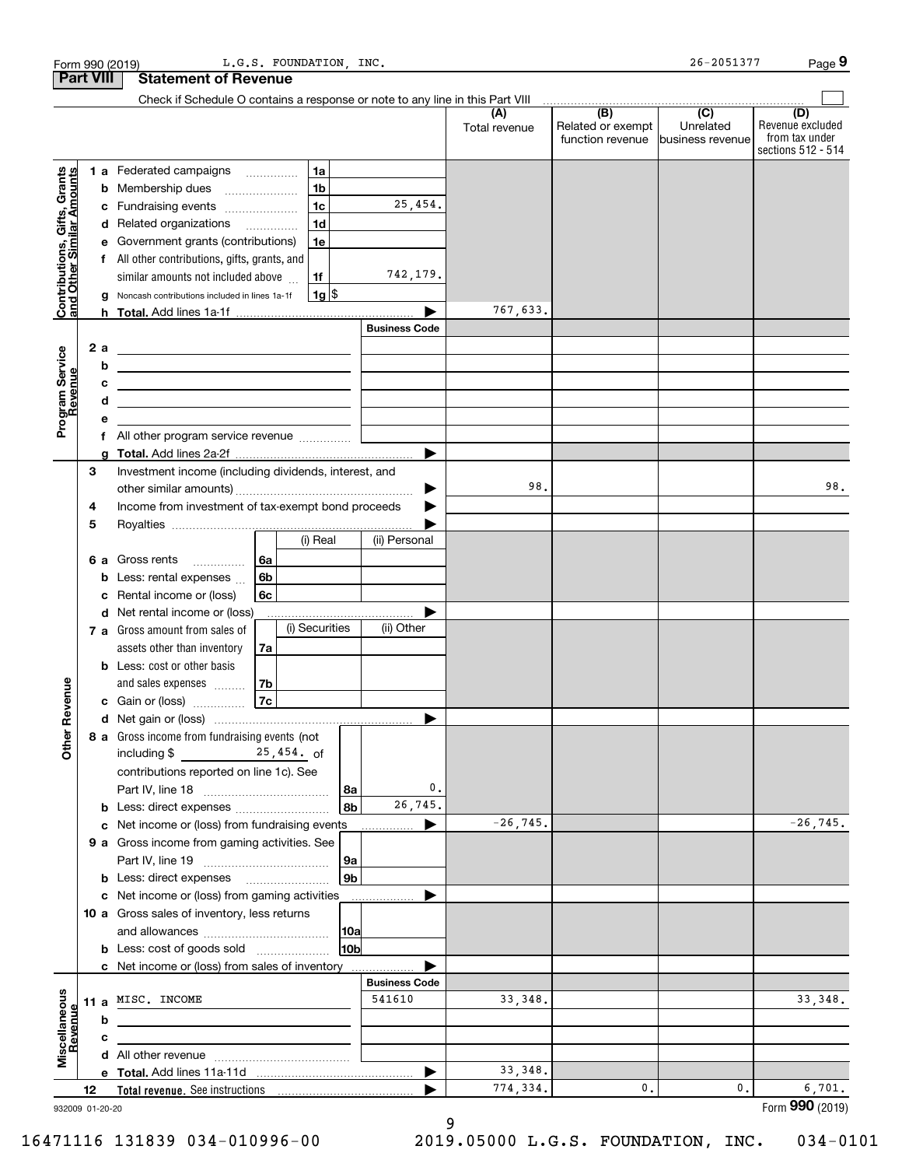|                                                           | <b>Part VIII</b> | <b>Statement of Revenue</b>                                                                                          |                      |                      |                                                               |                  |                                                                 |
|-----------------------------------------------------------|------------------|----------------------------------------------------------------------------------------------------------------------|----------------------|----------------------|---------------------------------------------------------------|------------------|-----------------------------------------------------------------|
|                                                           |                  | Check if Schedule O contains a response or note to any line in this Part VIII                                        |                      |                      |                                                               |                  |                                                                 |
|                                                           |                  |                                                                                                                      |                      | (A)<br>Total revenue | (B)<br>Related or exempt<br>function revenue business revenue | (C)<br>Unrelated | (D)<br>Revenue excluded<br>from tax under<br>sections 512 - 514 |
|                                                           |                  | 1a<br>1 a Federated campaigns                                                                                        |                      |                      |                                                               |                  |                                                                 |
| Contributions, Gifts, Grants<br>and Other Similar Amounts | b                | 1 <sub>b</sub><br>Membership dues                                                                                    |                      |                      |                                                               |                  |                                                                 |
|                                                           | c                | 1 <sub>c</sub><br>Fundraising events                                                                                 | 25,454.              |                      |                                                               |                  |                                                                 |
|                                                           | d                | 1 <sub>d</sub><br>Related organizations                                                                              |                      |                      |                                                               |                  |                                                                 |
|                                                           | е                | Government grants (contributions)<br>1e                                                                              |                      |                      |                                                               |                  |                                                                 |
|                                                           |                  | f All other contributions, gifts, grants, and                                                                        |                      |                      |                                                               |                  |                                                                 |
|                                                           |                  | similar amounts not included above<br>1f                                                                             | 742,179.             |                      |                                                               |                  |                                                                 |
|                                                           | a                | <u>1g \$</u><br>Noncash contributions included in lines 1a-1f                                                        |                      |                      |                                                               |                  |                                                                 |
|                                                           |                  |                                                                                                                      |                      | 767,633.             |                                                               |                  |                                                                 |
|                                                           |                  |                                                                                                                      | <b>Business Code</b> |                      |                                                               |                  |                                                                 |
| Program Service<br>Revenue                                | 2a               | <u> 1989 - Johann Stein, marwolaethau a bhann an t-Amhair an t-Amhair an t-Amhair an t-Amhair an t-Amhair an t-A</u> |                      |                      |                                                               |                  |                                                                 |
|                                                           | b                | <u> 1989 - Johann Barn, mars eta biztanleria (h. 1989).</u>                                                          |                      |                      |                                                               |                  |                                                                 |
| evenue                                                    | c                | the contract of the contract of the contract of the contract of the contract of                                      |                      |                      |                                                               |                  |                                                                 |
|                                                           | d                | the contract of the contract of the contract of the contract of the contract of                                      |                      |                      |                                                               |                  |                                                                 |
|                                                           | е                |                                                                                                                      |                      |                      |                                                               |                  |                                                                 |
|                                                           | g                |                                                                                                                      | ▶                    |                      |                                                               |                  |                                                                 |
|                                                           | 3                | Investment income (including dividends, interest, and                                                                |                      |                      |                                                               |                  |                                                                 |
|                                                           |                  |                                                                                                                      | ▶                    | 98.                  |                                                               |                  | 98.                                                             |
|                                                           | 4                | Income from investment of tax-exempt bond proceeds                                                                   |                      |                      |                                                               |                  |                                                                 |
|                                                           | 5                |                                                                                                                      |                      |                      |                                                               |                  |                                                                 |
|                                                           |                  | (i) Real                                                                                                             | (ii) Personal        |                      |                                                               |                  |                                                                 |
|                                                           | 6а               | Gross rents<br>6a<br>.                                                                                               |                      |                      |                                                               |                  |                                                                 |
|                                                           | b                | 6b<br>Less: rental expenses                                                                                          |                      |                      |                                                               |                  |                                                                 |
|                                                           | с                | 6c<br>Rental income or (loss)                                                                                        |                      |                      |                                                               |                  |                                                                 |
|                                                           | d                | Net rental income or (loss)                                                                                          |                      |                      |                                                               |                  |                                                                 |
|                                                           |                  | (i) Securities<br>7 a Gross amount from sales of                                                                     | (ii) Other           |                      |                                                               |                  |                                                                 |
|                                                           |                  | assets other than inventory<br>7a                                                                                    |                      |                      |                                                               |                  |                                                                 |
|                                                           |                  | <b>b</b> Less: cost or other basis                                                                                   |                      |                      |                                                               |                  |                                                                 |
| Revenue                                                   |                  | 7b<br>and sales expenses<br>7c                                                                                       |                      |                      |                                                               |                  |                                                                 |
|                                                           |                  | Gain or (loss)                                                                                                       |                      |                      |                                                               |                  |                                                                 |
|                                                           |                  | 8 a Gross income from fundraising events (not                                                                        |                      |                      |                                                               |                  |                                                                 |
| <b>Other</b>                                              |                  | $\frac{25,454}{\pi}$ of<br>including \$<br>contributions reported on line 1c). See<br>  8a                           | 0.                   |                      |                                                               |                  |                                                                 |
|                                                           | b                | 8 <sub>b</sub>                                                                                                       | 26,745.              |                      |                                                               |                  |                                                                 |
|                                                           |                  | c Net income or (loss) from fundraising events                                                                       |                      | $-26, 745.$          |                                                               |                  | $-26, 745.$                                                     |
|                                                           |                  | 9 a Gross income from gaming activities. See                                                                         |                      |                      |                                                               |                  |                                                                 |
|                                                           |                  | 9a                                                                                                                   |                      |                      |                                                               |                  |                                                                 |
|                                                           |                  | 9b                                                                                                                   |                      |                      |                                                               |                  |                                                                 |
|                                                           |                  | c Net income or (loss) from gaming activities                                                                        |                      |                      |                                                               |                  |                                                                 |
|                                                           |                  | 10 a Gross sales of inventory, less returns                                                                          |                      |                      |                                                               |                  |                                                                 |
|                                                           |                  | 10a                                                                                                                  |                      |                      |                                                               |                  |                                                                 |
|                                                           |                  | 10b<br><b>b</b> Less: cost of goods sold                                                                             |                      |                      |                                                               |                  |                                                                 |
|                                                           |                  | c Net income or (loss) from sales of inventory                                                                       | <b>Business Code</b> |                      |                                                               |                  |                                                                 |
|                                                           |                  | 11 a MISC. INCOME                                                                                                    | 541610               | 33, 348.             |                                                               |                  | 33,348.                                                         |
|                                                           | b                |                                                                                                                      |                      |                      |                                                               |                  |                                                                 |
|                                                           | с                |                                                                                                                      |                      |                      |                                                               |                  |                                                                 |
| Miscellaneous<br>Revenue                                  | d                |                                                                                                                      |                      |                      |                                                               |                  |                                                                 |
|                                                           |                  |                                                                                                                      |                      | 33, 348.             |                                                               |                  |                                                                 |
|                                                           | 12               | Total revenue. See instructions                                                                                      |                      | 774,334.             | 0.                                                            | 0.               | 6,701.                                                          |
|                                                           | 932009 01-20-20  |                                                                                                                      |                      |                      |                                                               |                  | Form 990 (2019)                                                 |

9

Form 990 (2019) L.G.S. FOUNDATION, INC. 26-2051377 Page

932009 01-20-20

16471116 131839 034-010996-00 2019.05000 L.G.S. FOUNDATION, INC. 034-0101

**9**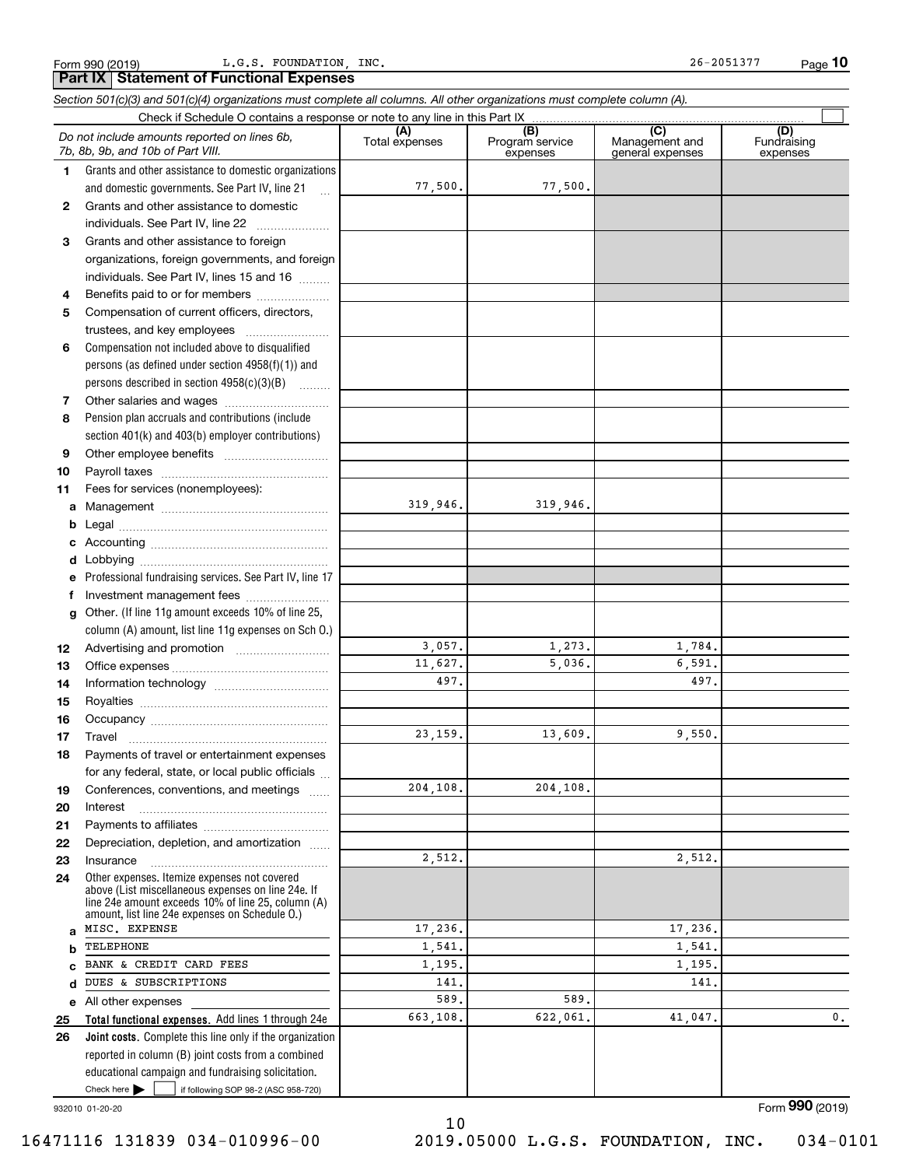Form 990 (2019) L.G.S. FOUNDATION, INC. 26-2051377 Page

**10**

Check here  $\bullet$  if following SOP 98-2 (ASC 958-720) **Total functional expenses.**  Add lines 1 through 24e **Joint costs.** Complete this line only if the organization **(A)**<br>Total expenses **(B) (C) (D) 1234567891011abcdefg12131415161718192021222324abcde2526***Section 501(c)(3) and 501(c)(4) organizations must complete all columns. All other organizations must complete column (A).* Grants and other assistance to domestic organizations and domestic governments. See Part IV, line 21 Compensation not included above to disqualified persons (as defined under section 4958(f)(1)) and persons described in section 4958(c)(3)(B) Pension plan accruals and contributions (include section 401(k) and 403(b) employer contributions) Professional fundraising services. See Part IV, line 17 Other. (If line 11g amount exceeds 10% of line 25, column (A) amount, list line 11g expenses on Sch O.) Other expenses. Itemize expenses not covered above (List miscellaneous expenses on line 24e. If line 24e amount exceeds 10% of line 25, column (A) amount, list line 24e expenses on Schedule O.) reported in column (B) joint costs from a combined educational campaign and fundraising solicitation. Check if Schedule O contains a response or note to any line in this Part IX (C) (C) (C) (C) (C) (C) Program service expensesManagement and general expenses Fundraising expensesGrants and other assistance to domestic individuals. See Part IV, line 22 ~~~~~~~ Grants and other assistance to foreign organizations, foreign governments, and foreign individuals. See Part IV, lines 15 and 16  $\ldots$ Benefits paid to or for members ..................... Compensation of current officers, directors, trustees, and key employees  $\ldots$   $\ldots$   $\ldots$   $\ldots$   $\ldots$   $\ldots$ Other salaries and wages ~~~~~~~~~~ Other employee benefits ~~~~~~~~~~ Payroll taxes ~~~~~~~~~~~~~~~~ Fees for services (nonemployees): Management ~~~~~~~~~~~~~~~~ Legal ~~~~~~~~~~~~~~~~~~~~Accounting ~~~~~~~~~~~~~~~~~ Lobbying ~~~~~~~~~~~~~~~~~~ lnvestment management fees ....................... Advertising and promotion \_\_\_\_\_\_\_\_\_\_\_\_\_\_\_\_\_\_\_ Office expenses ~~~~~~~~~~~~~~~ Information technology ~~~~~~~~~~~ Royalties ~~~~~~~~~~~~~~~~~~ Occupancy ~~~~~~~~~~~~~~~~~ Travel ……………………………………………… Payments of travel or entertainment expenses for any federal, state, or local public officials ... Conferences, conventions, and meetings InterestPayments to affiliates [*[[[[[[[[[[[[[]]]]]* ~~~~~~~~~~~~~~~~~~Depreciation, depletion, and amortization  $\,\,\ldots\,\,$ Insurance~~~~~~~~~~~~~~~~~All other expenses Check here  $\blacktriangleright$ *Do not include amounts reported on lines 6b, 7b, 8b, 9b, and 10b of Part VIII.*  $\mathcal{L}^{\text{max}}$ 77,500. 319,946. 3,057. 11,627. 497.23,159. 204,108. 2,512. 17,236. 1,541. 1,195. 141.589.663,108. 77,500. 319,946. 1,273. 1,784. 5,036. 6,591. 497.13,609. 9,550. 204,108. 2,512. 17,236. 1,541. 1,195. 141.589.622,061. 41,047. 0. MISC. EXPENSE TELEPHONEBANK & CREDIT CARD FEES DUES & SUBSCRIPTIONS

10

932010 01-20-20

Form (2019) **990**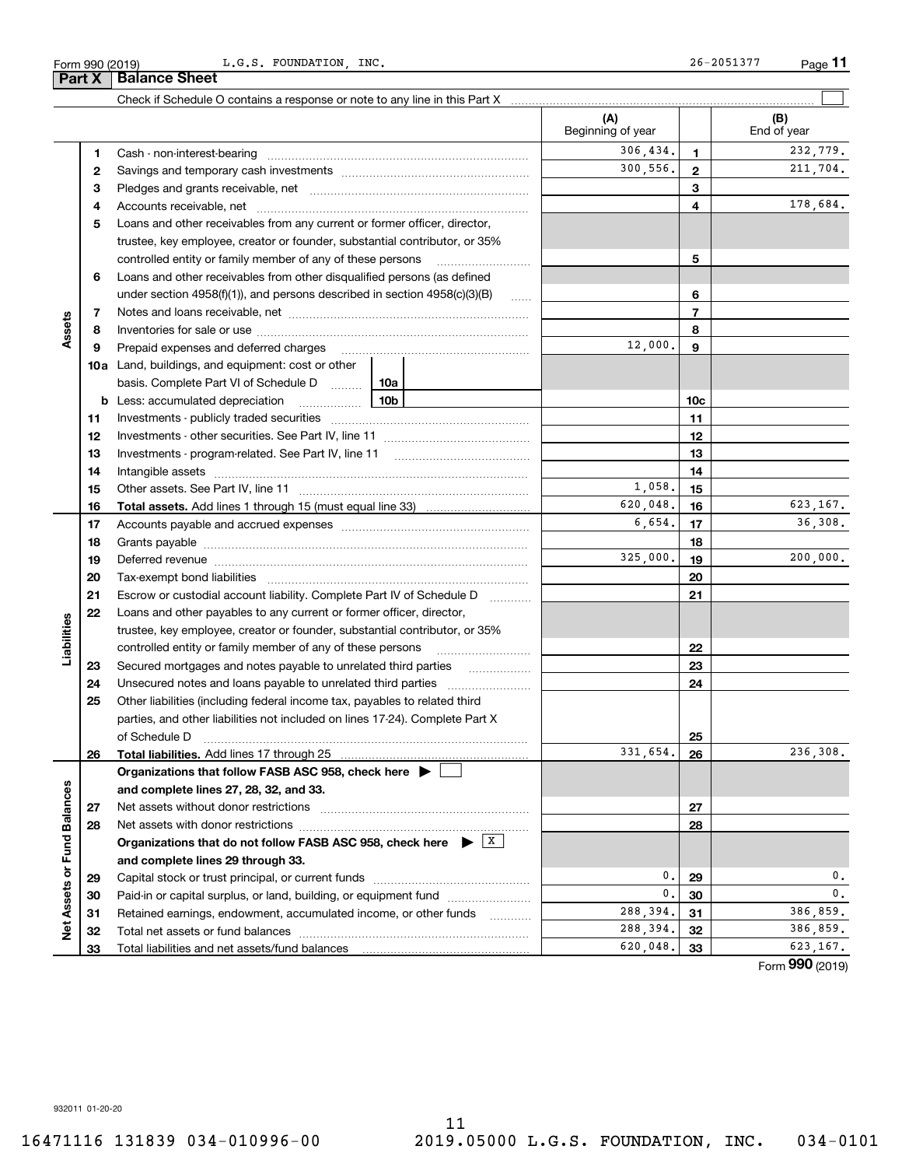**Part X Balance Sheet**

L.G.S. FOUNDATION, INC. 26-2051377

|                             |          |                                                                                                                                                                                                                                | (A)<br>Beginning of year |                 | (B)<br>End of year |
|-----------------------------|----------|--------------------------------------------------------------------------------------------------------------------------------------------------------------------------------------------------------------------------------|--------------------------|-----------------|--------------------|
|                             | 1        |                                                                                                                                                                                                                                | 306, 434.                | $\mathbf{1}$    | 232,779.           |
|                             | 2        |                                                                                                                                                                                                                                | 300,556.                 | $\mathbf{2}$    | 211,704.           |
|                             | 3        |                                                                                                                                                                                                                                |                          | 3               |                    |
|                             | 4        |                                                                                                                                                                                                                                |                          | 4               | 178,684.           |
|                             | 5        | Loans and other receivables from any current or former officer, director,                                                                                                                                                      |                          |                 |                    |
|                             |          | trustee, key employee, creator or founder, substantial contributor, or 35%                                                                                                                                                     |                          |                 |                    |
|                             |          | controlled entity or family member of any of these persons                                                                                                                                                                     |                          | 5               |                    |
|                             | 6        | Loans and other receivables from other disqualified persons (as defined                                                                                                                                                        |                          |                 |                    |
|                             |          | under section $4958(f)(1)$ , and persons described in section $4958(c)(3)(B)$                                                                                                                                                  | $\ldots$                 | 6               |                    |
|                             | 7        |                                                                                                                                                                                                                                |                          | $\overline{7}$  |                    |
| Assets                      | 8        |                                                                                                                                                                                                                                |                          | 8               |                    |
|                             | 9        | Prepaid expenses and deferred charges                                                                                                                                                                                          | 12,000.                  | 9               |                    |
|                             |          | <b>10a</b> Land, buildings, and equipment: cost or other                                                                                                                                                                       |                          |                 |                    |
|                             |          | basis. Complete Part VI of Schedule D  10a                                                                                                                                                                                     |                          |                 |                    |
|                             | b        | 10b<br>Less: accumulated depreciation<br>. 1                                                                                                                                                                                   |                          | 10 <sub>c</sub> |                    |
|                             | 11       |                                                                                                                                                                                                                                |                          | 11              |                    |
|                             | 12       |                                                                                                                                                                                                                                |                          | 12              |                    |
|                             | 13       |                                                                                                                                                                                                                                |                          | 13              |                    |
|                             | 14       |                                                                                                                                                                                                                                |                          | 14              |                    |
|                             | 15       |                                                                                                                                                                                                                                | 1,058.                   | 15              |                    |
|                             | 16       |                                                                                                                                                                                                                                | 620,048.                 | 16              | 623, 167.          |
|                             | 17       |                                                                                                                                                                                                                                | 6,654.                   | 17              | 36,308.            |
|                             | 18       |                                                                                                                                                                                                                                |                          | 18              |                    |
|                             | 19       | Deferred revenue manual contracts and contracts are all the contracts and contracts are contracted and contracts are contracted and contract are contracted and contract are contracted and contract are contracted and contra | 325,000.                 | 19              | 200,000.           |
|                             | 20       |                                                                                                                                                                                                                                |                          | 20              |                    |
|                             | 21       | Escrow or custodial account liability. Complete Part IV of Schedule D<br>1.1.1.1.1.1.1.1.1                                                                                                                                     |                          | 21              |                    |
|                             | 22       | Loans and other payables to any current or former officer, director,                                                                                                                                                           |                          |                 |                    |
| Liabilities                 |          | trustee, key employee, creator or founder, substantial contributor, or 35%                                                                                                                                                     |                          |                 |                    |
|                             |          | controlled entity or family member of any of these persons                                                                                                                                                                     |                          | 22              |                    |
|                             | 23       | Secured mortgages and notes payable to unrelated third parties                                                                                                                                                                 |                          | 23              |                    |
|                             | 24       |                                                                                                                                                                                                                                |                          | 24              |                    |
|                             | 25       | Other liabilities (including federal income tax, payables to related third                                                                                                                                                     |                          |                 |                    |
|                             |          | parties, and other liabilities not included on lines 17-24). Complete Part X                                                                                                                                                   |                          |                 |                    |
|                             |          | of Schedule D                                                                                                                                                                                                                  |                          | 25              |                    |
|                             | 26       | Total liabilities. Add lines 17 through 25                                                                                                                                                                                     | 331,654.                 | 26              | 236,308.           |
|                             |          | Organizations that follow FASB ASC 958, check here ▶                                                                                                                                                                           |                          |                 |                    |
|                             |          | and complete lines 27, 28, 32, and 33.                                                                                                                                                                                         |                          |                 |                    |
|                             | 27       | Net assets without donor restrictions                                                                                                                                                                                          |                          | 27              |                    |
|                             | 28       |                                                                                                                                                                                                                                |                          | 28              |                    |
|                             |          | Organizations that do not follow FASB ASC 958, check here $\triangleright$ $\frac{X}{X}$                                                                                                                                       |                          |                 |                    |
| Net Assets or Fund Balances |          | and complete lines 29 through 33.                                                                                                                                                                                              | 0.                       |                 | 0.                 |
|                             | 29       |                                                                                                                                                                                                                                | 0.                       | 29<br>30        | $\mathbf{0}$ .     |
|                             | 30       | Paid-in or capital surplus, or land, building, or equipment fund<br>Retained earnings, endowment, accumulated income, or other funds                                                                                           | 288,394.                 | 31              | 386,859.           |
|                             | 31<br>32 |                                                                                                                                                                                                                                | 288,394.                 | 32              | 386,859.           |
|                             | 33       |                                                                                                                                                                                                                                | 620,048.                 | 33              | 623,167.           |
|                             |          |                                                                                                                                                                                                                                |                          |                 |                    |

Form (2019) **990**

932011 01-20-20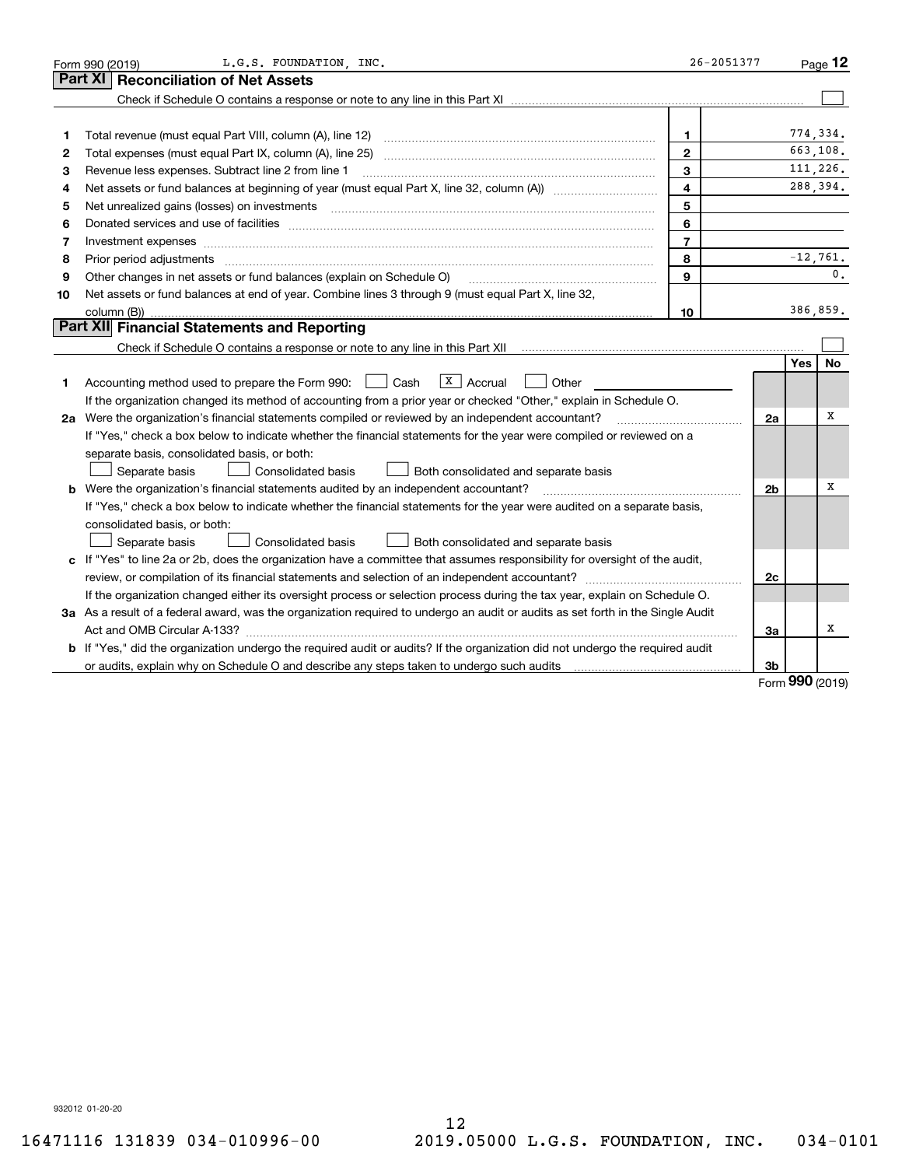|    | L.G.S. FOUNDATION, INC.<br>Form 990 (2019)                                                                                                                                                                                     | $26 - 2051377$          |                |            | Page $12$  |
|----|--------------------------------------------------------------------------------------------------------------------------------------------------------------------------------------------------------------------------------|-------------------------|----------------|------------|------------|
|    | <b>Part XI</b><br><b>Reconciliation of Net Assets</b>                                                                                                                                                                          |                         |                |            |            |
|    |                                                                                                                                                                                                                                |                         |                |            |            |
|    |                                                                                                                                                                                                                                |                         |                |            |            |
| 1  | Total revenue (must equal Part VIII, column (A), line 12)                                                                                                                                                                      | 1.                      |                |            | 774,334.   |
| 2  |                                                                                                                                                                                                                                | $\mathbf{2}$            |                |            | 663.108.   |
| 3  | Revenue less expenses. Subtract line 2 from line 1                                                                                                                                                                             | 3                       |                | 111.226.   |            |
| 4  |                                                                                                                                                                                                                                | $\overline{\mathbf{4}}$ |                |            | 288,394.   |
| 5  |                                                                                                                                                                                                                                | 5                       |                |            |            |
| 6  | Donated services and use of facilities [111] Donated and the service of facilities [11] Donated services and use of facilities [11] Donated and the service of the service of the service of the service of the service of the | 6                       |                |            |            |
| 7  | Investment expenses www.communication.communication.com/news/communication.com/news/communication.com/news/communication.com/news/communication.com/news/communication.com/news/communication.com/news/communication.com/news/ | $\overline{7}$          |                |            |            |
| 8  | Prior period adjustments                                                                                                                                                                                                       | 8                       |                |            | $-12,761.$ |
| 9  | Other changes in net assets or fund balances (explain on Schedule O)                                                                                                                                                           | $\mathbf{Q}$            |                |            | 0.         |
| 10 | Net assets or fund balances at end of year. Combine lines 3 through 9 (must equal Part X, line 32,                                                                                                                             |                         |                |            |            |
|    | column (B)).                                                                                                                                                                                                                   | 10                      |                |            | 386,859.   |
|    | Part XII Financial Statements and Reporting                                                                                                                                                                                    |                         |                |            |            |
|    |                                                                                                                                                                                                                                |                         |                |            |            |
|    |                                                                                                                                                                                                                                |                         |                | <b>Yes</b> | No         |
| 1  | $\sqrt{x}$ Accrual<br>Accounting method used to prepare the Form 990: <u>[</u> Cash<br>Other                                                                                                                                   |                         |                |            |            |
|    | If the organization changed its method of accounting from a prior year or checked "Other," explain in Schedule O.                                                                                                              |                         |                |            |            |
|    | 2a Were the organization's financial statements compiled or reviewed by an independent accountant?                                                                                                                             |                         | 2a             |            | X          |
|    | If "Yes," check a box below to indicate whether the financial statements for the year were compiled or reviewed on a                                                                                                           |                         |                |            |            |
|    | separate basis, consolidated basis, or both:                                                                                                                                                                                   |                         |                |            |            |
|    | Separate basis<br><b>Consolidated basis</b><br>Both consolidated and separate basis                                                                                                                                            |                         |                |            |            |
|    | <b>b</b> Were the organization's financial statements audited by an independent accountant?                                                                                                                                    |                         | 2 <sub>b</sub> |            | х          |
|    | If "Yes," check a box below to indicate whether the financial statements for the year were audited on a separate basis,                                                                                                        |                         |                |            |            |
|    | consolidated basis, or both:                                                                                                                                                                                                   |                         |                |            |            |
|    | Separate basis<br><b>Consolidated basis</b><br>Both consolidated and separate basis                                                                                                                                            |                         |                |            |            |
|    | c If "Yes" to line 2a or 2b, does the organization have a committee that assumes responsibility for oversight of the audit,                                                                                                    |                         |                |            |            |
|    | review, or compilation of its financial statements and selection of an independent accountant?                                                                                                                                 |                         | 2c             |            |            |
|    | If the organization changed either its oversight process or selection process during the tax year, explain on Schedule O.                                                                                                      |                         |                |            |            |
|    | 3a As a result of a federal award, was the organization required to undergo an audit or audits as set forth in the Single Audit                                                                                                |                         |                |            |            |
|    |                                                                                                                                                                                                                                |                         | 3a             |            | х          |
|    | b If "Yes," did the organization undergo the required audit or audits? If the organization did not undergo the required audit                                                                                                  |                         |                |            |            |
|    | or audits, explain why on Schedule O and describe any steps taken to undergo such audits                                                                                                                                       |                         | 3b             | nnn        |            |

Form (2019) **990**

932012 01-20-20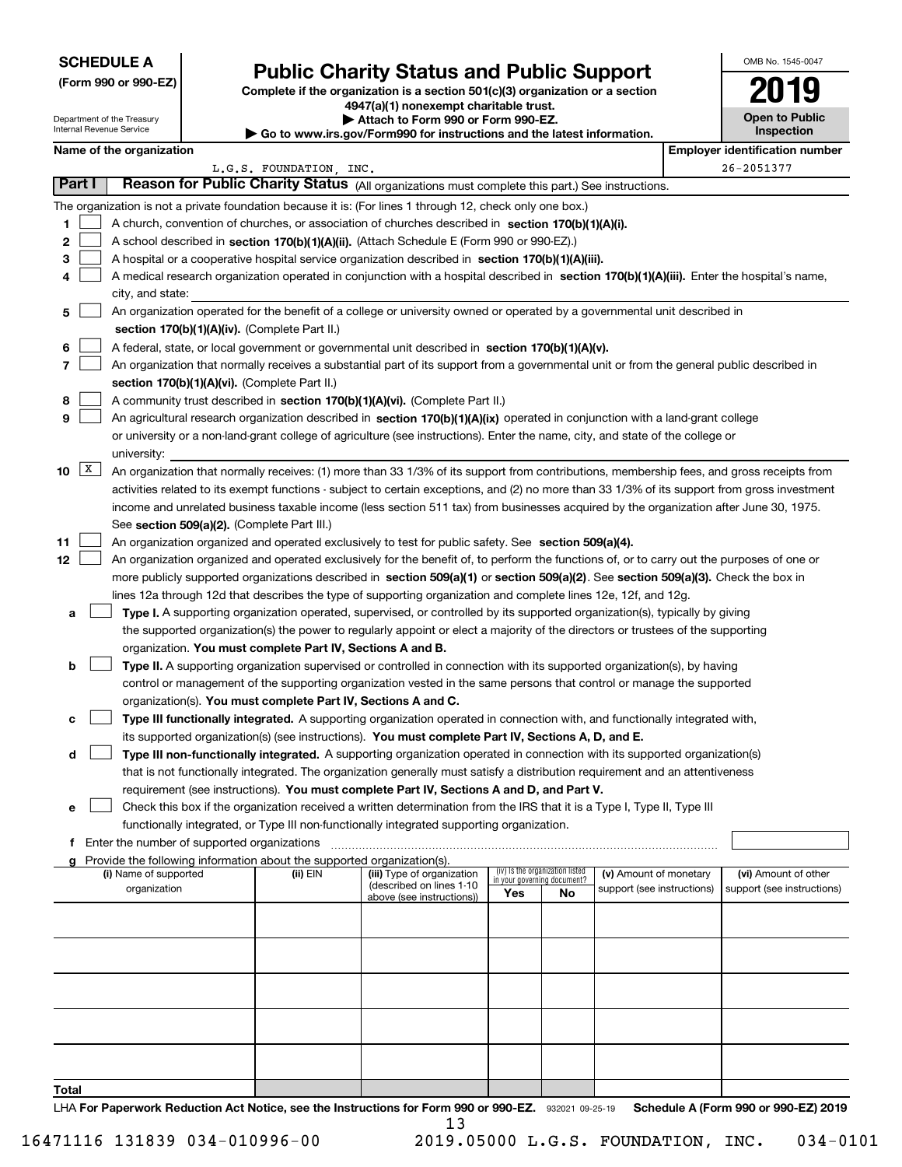#### **SCHEDULE A**

Department of the Treasury

**(Form 990 or 990-EZ)**

## **Public Charity Status and Public Support**

**Complete if the organization is a section 501(c)(3) organization or a section 4947(a)(1) nonexempt charitable trust. | Attach to Form 990 or Form 990-EZ.** 

| OMB No 1545-0047             |
|------------------------------|
| 019                          |
| Open to Public<br>Inspection |

| Name of the organization |  |  |  |  |
|--------------------------|--|--|--|--|
|--------------------------|--|--|--|--|

| Internal Revenue Service |                     |                                                                                                                           |  | Go to www.irs.gov/Form990 for instructions and the latest information. |                                                                                                                                                                                                                                  |     |                                                                |                            |                                       | Inspection                 |  |  |
|--------------------------|---------------------|---------------------------------------------------------------------------------------------------------------------------|--|------------------------------------------------------------------------|----------------------------------------------------------------------------------------------------------------------------------------------------------------------------------------------------------------------------------|-----|----------------------------------------------------------------|----------------------------|---------------------------------------|----------------------------|--|--|
|                          |                     | Name of the organization                                                                                                  |  |                                                                        |                                                                                                                                                                                                                                  |     |                                                                |                            | <b>Employer identification number</b> |                            |  |  |
|                          |                     |                                                                                                                           |  | L.G.S. FOUNDATION, INC.                                                |                                                                                                                                                                                                                                  |     |                                                                |                            |                                       | 26-2051377                 |  |  |
|                          | Part I              |                                                                                                                           |  |                                                                        | Reason for Public Charity Status (All organizations must complete this part.) See instructions.                                                                                                                                  |     |                                                                |                            |                                       |                            |  |  |
|                          |                     |                                                                                                                           |  |                                                                        | The organization is not a private foundation because it is: (For lines 1 through 12, check only one box.)                                                                                                                        |     |                                                                |                            |                                       |                            |  |  |
| 1.                       |                     |                                                                                                                           |  |                                                                        | A church, convention of churches, or association of churches described in section 170(b)(1)(A)(i).                                                                                                                               |     |                                                                |                            |                                       |                            |  |  |
| 2                        |                     | A school described in section 170(b)(1)(A)(ii). (Attach Schedule E (Form 990 or 990-EZ).)                                 |  |                                                                        |                                                                                                                                                                                                                                  |     |                                                                |                            |                                       |                            |  |  |
| 3.                       |                     |                                                                                                                           |  |                                                                        | A hospital or a cooperative hospital service organization described in section 170(b)(1)(A)(iii).                                                                                                                                |     |                                                                |                            |                                       |                            |  |  |
| 4                        |                     |                                                                                                                           |  |                                                                        | A medical research organization operated in conjunction with a hospital described in section 170(b)(1)(A)(iii). Enter the hospital's name,                                                                                       |     |                                                                |                            |                                       |                            |  |  |
|                          |                     | city, and state:                                                                                                          |  |                                                                        |                                                                                                                                                                                                                                  |     |                                                                |                            |                                       |                            |  |  |
| 5                        |                     | An organization operated for the benefit of a college or university owned or operated by a governmental unit described in |  |                                                                        |                                                                                                                                                                                                                                  |     |                                                                |                            |                                       |                            |  |  |
|                          |                     |                                                                                                                           |  | section 170(b)(1)(A)(iv). (Complete Part II.)                          |                                                                                                                                                                                                                                  |     |                                                                |                            |                                       |                            |  |  |
| 6                        |                     |                                                                                                                           |  |                                                                        | A federal, state, or local government or governmental unit described in section 170(b)(1)(A)(v).                                                                                                                                 |     |                                                                |                            |                                       |                            |  |  |
| 7                        |                     |                                                                                                                           |  |                                                                        | An organization that normally receives a substantial part of its support from a governmental unit or from the general public described in                                                                                        |     |                                                                |                            |                                       |                            |  |  |
|                          |                     |                                                                                                                           |  | section 170(b)(1)(A)(vi). (Complete Part II.)                          |                                                                                                                                                                                                                                  |     |                                                                |                            |                                       |                            |  |  |
| 8                        |                     |                                                                                                                           |  |                                                                        | A community trust described in section 170(b)(1)(A)(vi). (Complete Part II.)                                                                                                                                                     |     |                                                                |                            |                                       |                            |  |  |
| 9                        |                     |                                                                                                                           |  |                                                                        | An agricultural research organization described in section 170(b)(1)(A)(ix) operated in conjunction with a land-grant college                                                                                                    |     |                                                                |                            |                                       |                            |  |  |
|                          |                     |                                                                                                                           |  |                                                                        | or university or a non-land-grant college of agriculture (see instructions). Enter the name, city, and state of the college or                                                                                                   |     |                                                                |                            |                                       |                            |  |  |
|                          |                     | university:                                                                                                               |  |                                                                        |                                                                                                                                                                                                                                  |     |                                                                |                            |                                       |                            |  |  |
| 10                       | $\lfloor x \rfloor$ |                                                                                                                           |  |                                                                        | An organization that normally receives: (1) more than 33 1/3% of its support from contributions, membership fees, and gross receipts from                                                                                        |     |                                                                |                            |                                       |                            |  |  |
|                          |                     |                                                                                                                           |  |                                                                        | activities related to its exempt functions - subject to certain exceptions, and (2) no more than 33 1/3% of its support from gross investment                                                                                    |     |                                                                |                            |                                       |                            |  |  |
|                          |                     |                                                                                                                           |  |                                                                        | income and unrelated business taxable income (less section 511 tax) from businesses acquired by the organization after June 30, 1975.                                                                                            |     |                                                                |                            |                                       |                            |  |  |
|                          |                     |                                                                                                                           |  | See section 509(a)(2). (Complete Part III.)                            |                                                                                                                                                                                                                                  |     |                                                                |                            |                                       |                            |  |  |
| 11                       |                     |                                                                                                                           |  |                                                                        | An organization organized and operated exclusively to test for public safety. See section 509(a)(4).                                                                                                                             |     |                                                                |                            |                                       |                            |  |  |
| 12                       |                     |                                                                                                                           |  |                                                                        | An organization organized and operated exclusively for the benefit of, to perform the functions of, or to carry out the purposes of one or                                                                                       |     |                                                                |                            |                                       |                            |  |  |
|                          |                     |                                                                                                                           |  |                                                                        | more publicly supported organizations described in section 509(a)(1) or section 509(a)(2). See section 509(a)(3). Check the box in                                                                                               |     |                                                                |                            |                                       |                            |  |  |
|                          |                     |                                                                                                                           |  |                                                                        | lines 12a through 12d that describes the type of supporting organization and complete lines 12e, 12f, and 12g.                                                                                                                   |     |                                                                |                            |                                       |                            |  |  |
| a                        |                     |                                                                                                                           |  |                                                                        | Type I. A supporting organization operated, supervised, or controlled by its supported organization(s), typically by giving                                                                                                      |     |                                                                |                            |                                       |                            |  |  |
|                          |                     |                                                                                                                           |  |                                                                        | the supported organization(s) the power to regularly appoint or elect a majority of the directors or trustees of the supporting                                                                                                  |     |                                                                |                            |                                       |                            |  |  |
|                          |                     |                                                                                                                           |  | organization. You must complete Part IV, Sections A and B.             |                                                                                                                                                                                                                                  |     |                                                                |                            |                                       |                            |  |  |
| b                        |                     |                                                                                                                           |  |                                                                        | Type II. A supporting organization supervised or controlled in connection with its supported organization(s), by having                                                                                                          |     |                                                                |                            |                                       |                            |  |  |
|                          |                     |                                                                                                                           |  |                                                                        | control or management of the supporting organization vested in the same persons that control or manage the supported                                                                                                             |     |                                                                |                            |                                       |                            |  |  |
|                          |                     |                                                                                                                           |  | organization(s). You must complete Part IV, Sections A and C.          |                                                                                                                                                                                                                                  |     |                                                                |                            |                                       |                            |  |  |
|                          |                     |                                                                                                                           |  |                                                                        | Type III functionally integrated. A supporting organization operated in connection with, and functionally integrated with,<br>its supported organization(s) (see instructions). You must complete Part IV, Sections A, D, and E. |     |                                                                |                            |                                       |                            |  |  |
| d                        |                     |                                                                                                                           |  |                                                                        | Type III non-functionally integrated. A supporting organization operated in connection with its supported organization(s)                                                                                                        |     |                                                                |                            |                                       |                            |  |  |
|                          |                     |                                                                                                                           |  |                                                                        | that is not functionally integrated. The organization generally must satisfy a distribution requirement and an attentiveness                                                                                                     |     |                                                                |                            |                                       |                            |  |  |
|                          |                     |                                                                                                                           |  |                                                                        | requirement (see instructions). You must complete Part IV, Sections A and D, and Part V.                                                                                                                                         |     |                                                                |                            |                                       |                            |  |  |
| е                        |                     |                                                                                                                           |  |                                                                        | Check this box if the organization received a written determination from the IRS that it is a Type I, Type II, Type III                                                                                                          |     |                                                                |                            |                                       |                            |  |  |
|                          |                     |                                                                                                                           |  |                                                                        | functionally integrated, or Type III non-functionally integrated supporting organization.                                                                                                                                        |     |                                                                |                            |                                       |                            |  |  |
| f                        |                     | Enter the number of supported organizations                                                                               |  |                                                                        |                                                                                                                                                                                                                                  |     |                                                                |                            |                                       |                            |  |  |
|                          |                     |                                                                                                                           |  | Provide the following information about the supported organization(s). |                                                                                                                                                                                                                                  |     |                                                                |                            |                                       |                            |  |  |
|                          |                     | (i) Name of supported                                                                                                     |  | (ii) EIN                                                               | (iii) Type of organization                                                                                                                                                                                                       |     | (iv) Is the organization listed<br>in your governing document? | (v) Amount of monetary     |                                       | (vi) Amount of other       |  |  |
|                          |                     | organization                                                                                                              |  |                                                                        | (described on lines 1-10<br>above (see instructions))                                                                                                                                                                            | Yes | No                                                             | support (see instructions) |                                       | support (see instructions) |  |  |
|                          |                     |                                                                                                                           |  |                                                                        |                                                                                                                                                                                                                                  |     |                                                                |                            |                                       |                            |  |  |
|                          |                     |                                                                                                                           |  |                                                                        |                                                                                                                                                                                                                                  |     |                                                                |                            |                                       |                            |  |  |
|                          |                     |                                                                                                                           |  |                                                                        |                                                                                                                                                                                                                                  |     |                                                                |                            |                                       |                            |  |  |
|                          |                     |                                                                                                                           |  |                                                                        |                                                                                                                                                                                                                                  |     |                                                                |                            |                                       |                            |  |  |
|                          |                     |                                                                                                                           |  |                                                                        |                                                                                                                                                                                                                                  |     |                                                                |                            |                                       |                            |  |  |
|                          |                     |                                                                                                                           |  |                                                                        |                                                                                                                                                                                                                                  |     |                                                                |                            |                                       |                            |  |  |
|                          |                     |                                                                                                                           |  |                                                                        |                                                                                                                                                                                                                                  |     |                                                                |                            |                                       |                            |  |  |
|                          |                     |                                                                                                                           |  |                                                                        |                                                                                                                                                                                                                                  |     |                                                                |                            |                                       |                            |  |  |
|                          |                     |                                                                                                                           |  |                                                                        |                                                                                                                                                                                                                                  |     |                                                                |                            |                                       |                            |  |  |

LHA For Paperwork Reduction Act Notice, see the Instructions for Form 990 or 990-EZ. 932021 09-25-19 Schedule A (Form 990 or 990-EZ) 2019 **Total** 13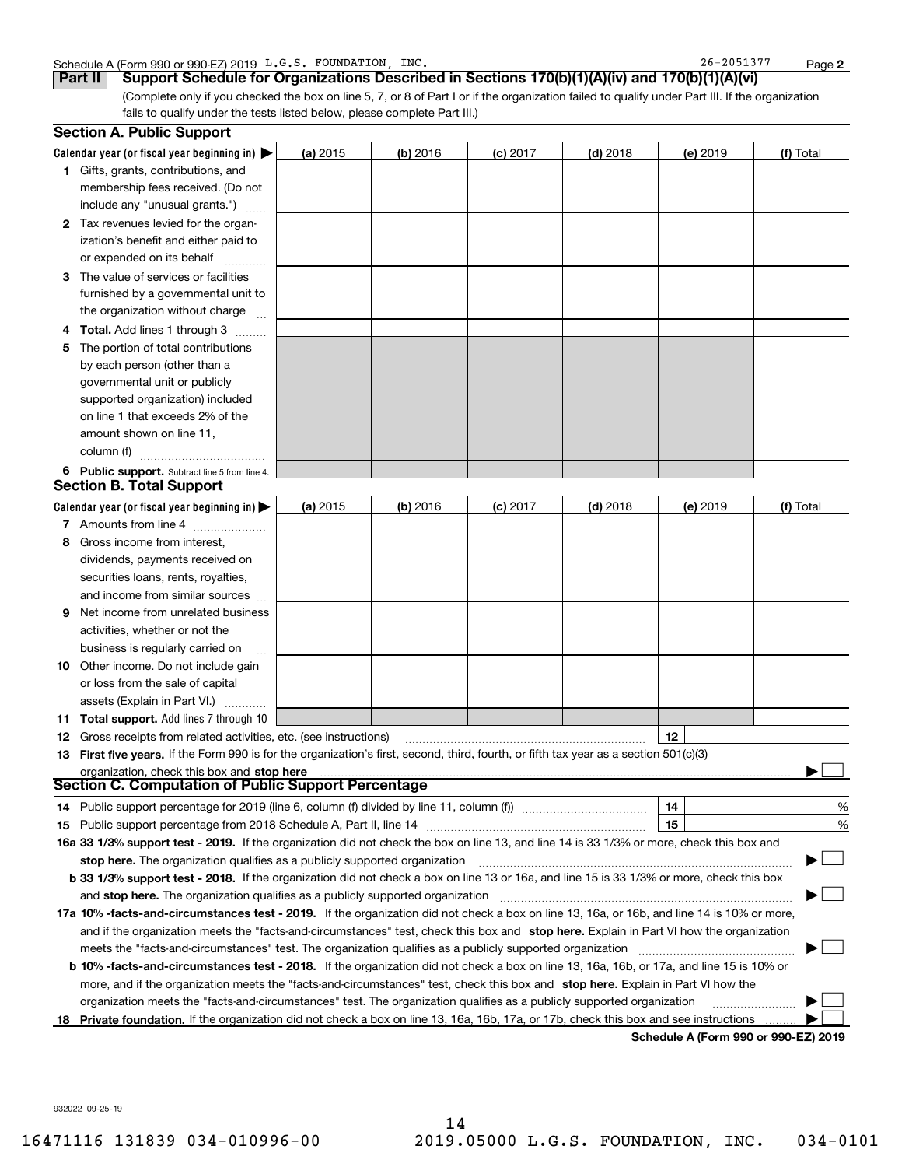#### Schedule A (Form 990 or 990-EZ) 2019  $\,$  L.G.S. FOUNDATION , INC.  $\,$  .  $\,$  .  $\,$  .  $\,$  .  $\,$  .  $\,$  .  $\,$  .  $\,$  .  $\,$  .  $\,$  .  $\,$  .  $\,$  .  $\,$  .  $\,$  .  $\,$  .  $\,$  .  $\,$  .  $\,$  .  $\,$  .  $\,$  .  $\,$  .  $\,$  .

**2**

(Complete only if you checked the box on line 5, 7, or 8 of Part I or if the organization failed to qualify under Part III. If the organization fails to qualify under the tests listed below, please complete Part III.) **Part II** | Support Schedule for Organizations Described in Sections 170(b)(1)(A)(iv) and 170(b)(1)(A)(vi)

|    | <b>Section A. Public Support</b>                                                                                                               |          |            |            |            |          |                                      |
|----|------------------------------------------------------------------------------------------------------------------------------------------------|----------|------------|------------|------------|----------|--------------------------------------|
|    | Calendar year (or fiscal year beginning in) $\blacktriangleright$                                                                              | (a) 2015 | $(b)$ 2016 | $(c)$ 2017 | $(d)$ 2018 | (e) 2019 | (f) Total                            |
|    | 1 Gifts, grants, contributions, and                                                                                                            |          |            |            |            |          |                                      |
|    | membership fees received. (Do not                                                                                                              |          |            |            |            |          |                                      |
|    | include any "unusual grants.")                                                                                                                 |          |            |            |            |          |                                      |
|    | 2 Tax revenues levied for the organ-                                                                                                           |          |            |            |            |          |                                      |
|    | ization's benefit and either paid to                                                                                                           |          |            |            |            |          |                                      |
|    | or expended on its behalf                                                                                                                      |          |            |            |            |          |                                      |
|    | 3 The value of services or facilities                                                                                                          |          |            |            |            |          |                                      |
|    | furnished by a governmental unit to                                                                                                            |          |            |            |            |          |                                      |
|    | the organization without charge                                                                                                                |          |            |            |            |          |                                      |
|    | 4 Total. Add lines 1 through 3                                                                                                                 |          |            |            |            |          |                                      |
| 5. | The portion of total contributions                                                                                                             |          |            |            |            |          |                                      |
|    | by each person (other than a                                                                                                                   |          |            |            |            |          |                                      |
|    | governmental unit or publicly                                                                                                                  |          |            |            |            |          |                                      |
|    | supported organization) included                                                                                                               |          |            |            |            |          |                                      |
|    | on line 1 that exceeds 2% of the                                                                                                               |          |            |            |            |          |                                      |
|    | amount shown on line 11,                                                                                                                       |          |            |            |            |          |                                      |
|    | column (f)                                                                                                                                     |          |            |            |            |          |                                      |
|    | 6 Public support. Subtract line 5 from line 4.                                                                                                 |          |            |            |            |          |                                      |
|    | <b>Section B. Total Support</b>                                                                                                                |          |            |            |            |          |                                      |
|    | Calendar year (or fiscal year beginning in) $\blacktriangleright$                                                                              | (a) 2015 | (b) 2016   | $(c)$ 2017 | $(d)$ 2018 | (e) 2019 | (f) Total                            |
|    | 7 Amounts from line 4                                                                                                                          |          |            |            |            |          |                                      |
| 8  | Gross income from interest,                                                                                                                    |          |            |            |            |          |                                      |
|    | dividends, payments received on                                                                                                                |          |            |            |            |          |                                      |
|    | securities loans, rents, royalties,                                                                                                            |          |            |            |            |          |                                      |
|    | and income from similar sources                                                                                                                |          |            |            |            |          |                                      |
| 9. | Net income from unrelated business                                                                                                             |          |            |            |            |          |                                      |
|    | activities, whether or not the                                                                                                                 |          |            |            |            |          |                                      |
|    | business is regularly carried on                                                                                                               |          |            |            |            |          |                                      |
|    | <b>10</b> Other income. Do not include gain                                                                                                    |          |            |            |            |          |                                      |
|    | or loss from the sale of capital                                                                                                               |          |            |            |            |          |                                      |
|    | assets (Explain in Part VI.)                                                                                                                   |          |            |            |            |          |                                      |
|    | <b>11 Total support.</b> Add lines 7 through 10                                                                                                |          |            |            |            |          |                                      |
|    | <b>12</b> Gross receipts from related activities, etc. (see instructions)                                                                      |          |            |            |            | 12       |                                      |
|    | 13 First five years. If the Form 990 is for the organization's first, second, third, fourth, or fifth tax year as a section 501(c)(3)          |          |            |            |            |          |                                      |
|    | organization, check this box and stop here                                                                                                     |          |            |            |            |          |                                      |
|    | Section C. Computation of Public Support Percentage                                                                                            |          |            |            |            |          |                                      |
|    | 14 Public support percentage for 2019 (line 6, column (f) divided by line 11, column (f) <i>mummention</i>                                     |          |            |            |            | 14       | %                                    |
|    |                                                                                                                                                |          |            |            |            | 15       | %                                    |
|    | 16a 33 1/3% support test - 2019. If the organization did not check the box on line 13, and line 14 is 33 1/3% or more, check this box and      |          |            |            |            |          |                                      |
|    | stop here. The organization qualifies as a publicly supported organization                                                                     |          |            |            |            |          | ▔▁▏                                  |
|    | b 33 1/3% support test - 2018. If the organization did not check a box on line 13 or 16a, and line 15 is 33 1/3% or more, check this box       |          |            |            |            |          |                                      |
|    | and stop here. The organization qualifies as a publicly supported organization                                                                 |          |            |            |            |          |                                      |
|    | 17a 10% -facts-and-circumstances test - 2019. If the organization did not check a box on line 13, 16a, or 16b, and line 14 is 10% or more,     |          |            |            |            |          |                                      |
|    | and if the organization meets the "facts-and-circumstances" test, check this box and stop here. Explain in Part VI how the organization        |          |            |            |            |          |                                      |
|    | meets the "facts-and-circumstances" test. The organization qualifies as a publicly supported organization                                      |          |            |            |            |          |                                      |
|    | <b>b 10% -facts-and-circumstances test - 2018.</b> If the organization did not check a box on line 13, 16a, 16b, or 17a, and line 15 is 10% or |          |            |            |            |          |                                      |
|    | more, and if the organization meets the "facts-and-circumstances" test, check this box and stop here. Explain in Part VI how the               |          |            |            |            |          |                                      |
|    | organization meets the "facts-and-circumstances" test. The organization qualifies as a publicly supported organization                         |          |            |            |            |          |                                      |
| 18 | Private foundation. If the organization did not check a box on line 13, 16a, 16b, 17a, or 17b, check this box and see instructions             |          |            |            |            |          |                                      |
|    |                                                                                                                                                |          |            |            |            |          | Schedule A (Form 990 or 990-F7) 2019 |

**Schedule A (Form 990 or 990-EZ) 2019**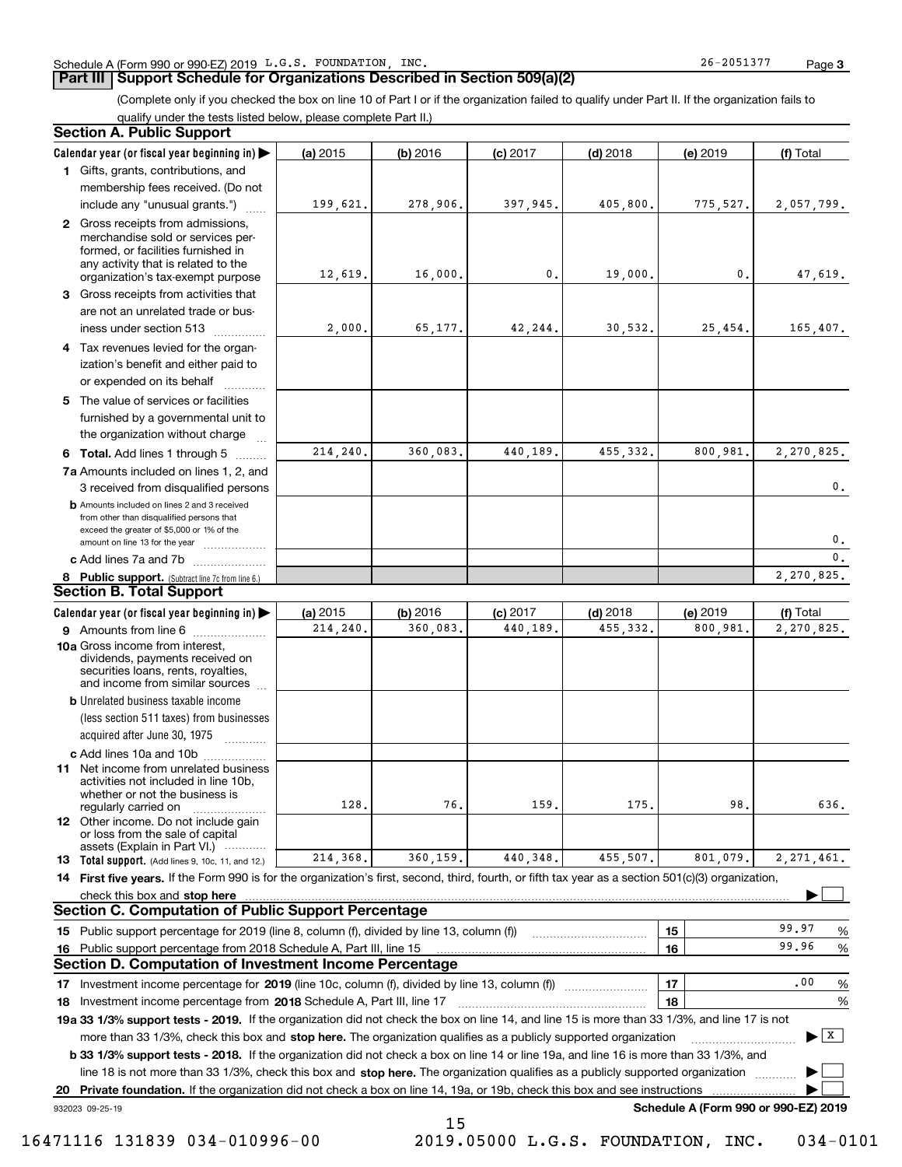#### **Part III Support Schedule for Organizations Described in Section 509(a)(2)**

(Complete only if you checked the box on line 10 of Part I or if the organization failed to qualify under Part II. If the organization fails to qualify under the tests listed below, please complete Part II.)

| Section A. Public Support                                                                                                                                                                |          |          |            |            |                                      |                                       |
|------------------------------------------------------------------------------------------------------------------------------------------------------------------------------------------|----------|----------|------------|------------|--------------------------------------|---------------------------------------|
| Calendar year (or fiscal year beginning in) $\blacktriangleright$                                                                                                                        | (a) 2015 | (b) 2016 | $(c)$ 2017 | $(d)$ 2018 | (e) 2019                             | (f) Total                             |
| 1 Gifts, grants, contributions, and                                                                                                                                                      |          |          |            |            |                                      |                                       |
| membership fees received. (Do not                                                                                                                                                        |          |          |            |            |                                      |                                       |
| include any "unusual grants.")                                                                                                                                                           | 199,621. | 278,906. | 397,945.   | 405,800.   | 775,527.                             | 2,057,799.                            |
| 2 Gross receipts from admissions,<br>merchandise sold or services per-<br>formed, or facilities furnished in<br>any activity that is related to the<br>organization's tax-exempt purpose | 12,619.  | 16,000.  | 0.         | 19,000.    | 0.                                   | 47,619.                               |
| 3 Gross receipts from activities that                                                                                                                                                    |          |          |            |            |                                      |                                       |
| are not an unrelated trade or bus-                                                                                                                                                       |          |          |            |            |                                      |                                       |
| iness under section 513                                                                                                                                                                  | 2,000.   | 65,177.  | 42,244.    | 30,532.    | 25,454.                              | 165, 407.                             |
| 4 Tax revenues levied for the organ-                                                                                                                                                     |          |          |            |            |                                      |                                       |
| ization's benefit and either paid to<br>or expended on its behalf                                                                                                                        |          |          |            |            |                                      |                                       |
| 5 The value of services or facilities<br>furnished by a governmental unit to                                                                                                             |          |          |            |            |                                      |                                       |
| the organization without charge                                                                                                                                                          |          |          |            |            |                                      |                                       |
| 6 Total. Add lines 1 through 5                                                                                                                                                           | 214,240. | 360,083. | 440,189.   | 455, 332.  | 800,981.                             | 2,270,825.                            |
| 7a Amounts included on lines 1, 2, and<br>3 received from disqualified persons                                                                                                           |          |          |            |            |                                      | $\mathbf 0$ .                         |
| <b>b</b> Amounts included on lines 2 and 3 received<br>from other than disqualified persons that<br>exceed the greater of \$5,000 or 1% of the                                           |          |          |            |            |                                      | 0.                                    |
| amount on line 13 for the year<br>c Add lines 7a and 7b                                                                                                                                  |          |          |            |            |                                      | $\mathbf{0}$ .                        |
| 8 Public support. (Subtract line 7c from line 6.)                                                                                                                                        |          |          |            |            |                                      | 2,270,825.                            |
| <b>Section B. Total Support</b>                                                                                                                                                          |          |          |            |            |                                      |                                       |
| Calendar year (or fiscal year beginning in) $\blacktriangleright$                                                                                                                        | (a) 2015 | (b) 2016 | $(c)$ 2017 | $(d)$ 2018 | (e) 2019                             | (f) Total                             |
| 9 Amounts from line 6                                                                                                                                                                    | 214,240. | 360,083. | 440,189.   | 455, 332.  | 800,981.                             | 2,270,825.                            |
| 10a Gross income from interest,<br>dividends, payments received on<br>securities loans, rents, royalties,<br>and income from similar sources                                             |          |          |            |            |                                      |                                       |
| <b>b</b> Unrelated business taxable income                                                                                                                                               |          |          |            |            |                                      |                                       |
| (less section 511 taxes) from businesses                                                                                                                                                 |          |          |            |            |                                      |                                       |
| acquired after June 30, 1975                                                                                                                                                             |          |          |            |            |                                      |                                       |
| c Add lines 10a and 10b                                                                                                                                                                  |          |          |            |            |                                      |                                       |
| 11 Net income from unrelated business<br>activities not included in line 10b,<br>whether or not the business is<br>regularly carried on                                                  | 128,     | 76.      | 159.       | 175.       | 98.                                  | 636.                                  |
| 12 Other income. Do not include gain                                                                                                                                                     |          |          |            |            |                                      |                                       |
| or loss from the sale of capital                                                                                                                                                         |          |          |            |            |                                      |                                       |
| assets (Explain in Part VI.)<br><b>13 Total support.</b> (Add lines 9, 10c, 11, and 12.)                                                                                                 | 214,368. | 360,159. | 440, 348.  | 455,507.   | 801,079.                             | 2, 271, 461.                          |
| 14 First five years. If the Form 990 is for the organization's first, second, third, fourth, or fifth tax year as a section 501(c)(3) organization,                                      |          |          |            |            |                                      |                                       |
| check this box and stop here                                                                                                                                                             |          |          |            |            |                                      |                                       |
| <b>Section C. Computation of Public Support Percentage</b>                                                                                                                               |          |          |            |            |                                      |                                       |
| 15 Public support percentage for 2019 (line 8, column (f), divided by line 13, column (f))                                                                                               |          |          |            |            | 15                                   | 99.97<br>%                            |
| 16 Public support percentage from 2018 Schedule A, Part III, line 15                                                                                                                     |          |          |            |            | 16                                   | 99.96<br>$\%$                         |
| Section D. Computation of Investment Income Percentage                                                                                                                                   |          |          |            |            |                                      |                                       |
| 17 Investment income percentage for 2019 (line 10c, column (f), divided by line 13, column (f))                                                                                          |          |          |            |            | 17                                   | .00<br>%                              |
| 18 Investment income percentage from 2018 Schedule A, Part III, line 17                                                                                                                  |          |          |            |            | 18                                   | %                                     |
| 19a 33 1/3% support tests - 2019. If the organization did not check the box on line 14, and line 15 is more than 33 1/3%, and line 17 is not                                             |          |          |            |            |                                      |                                       |
| more than 33 1/3%, check this box and stop here. The organization qualifies as a publicly supported organization                                                                         |          |          |            |            |                                      | $\blacktriangleright$ $\mid$ X $\mid$ |
| <b>b 33 1/3% support tests - 2018.</b> If the organization did not check a box on line 14 or line 19a, and line 16 is more than 33 1/3%, and                                             |          |          |            |            |                                      |                                       |
| line 18 is not more than 33 1/3%, check this box and stop here. The organization qualifies as a publicly supported organization                                                          |          |          |            |            |                                      |                                       |
| 20 Private foundation. If the organization did not check a box on line 14, 19a, or 19b, check this box and see instructions                                                              |          |          |            |            |                                      |                                       |
| 932023 09-25-19                                                                                                                                                                          |          |          |            |            | Schedule A (Form 990 or 990-EZ) 2019 |                                       |
|                                                                                                                                                                                          |          | 15       |            |            |                                      |                                       |

16471116 131839 034-010996-00 2019.05000 L.G.S. FOUNDATION, INC. 034-0101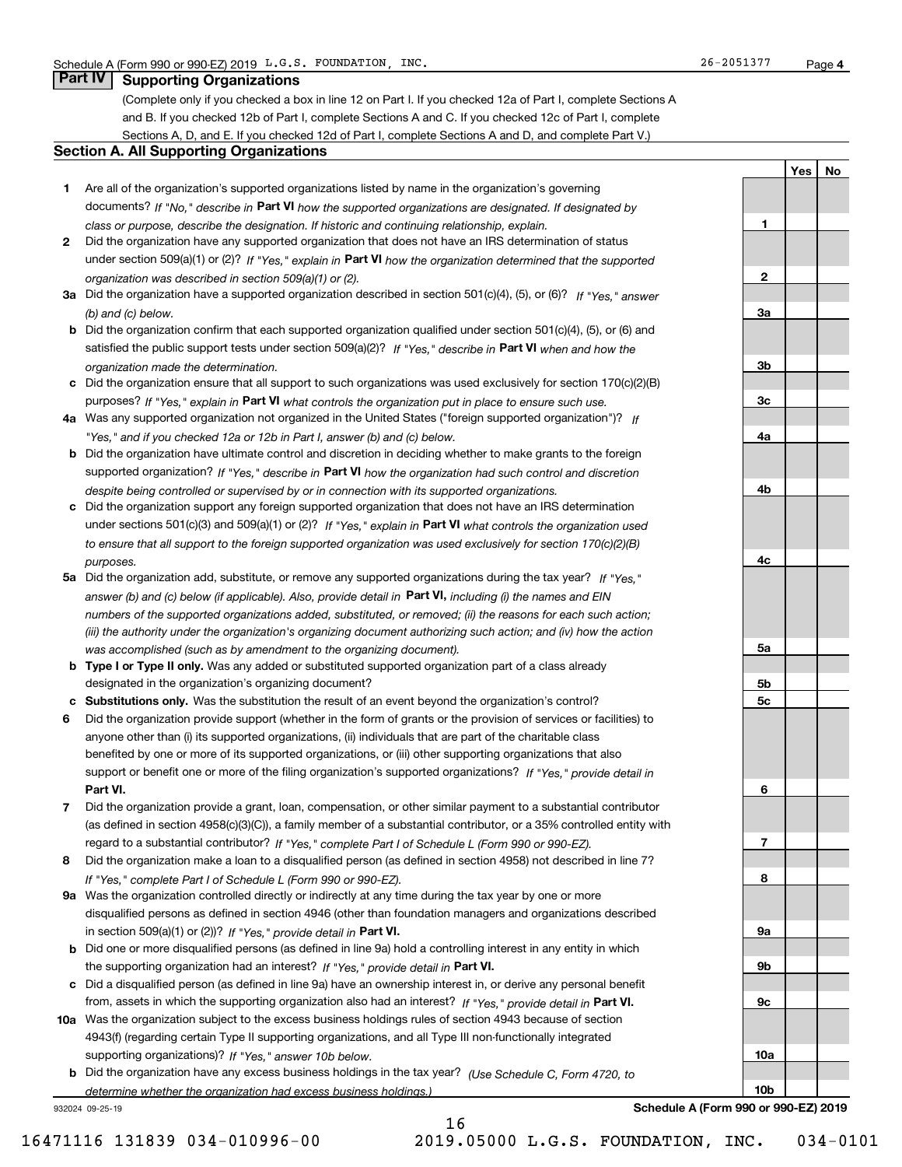**1**

**2**

**3a**

**3b**

**3c**

**4a**

**4b**

**4c**

**5a**

**5b5c**

**6**

**7**

**8**

**9a**

**9b**

**9c**

**10a**

**10b**

**YesNo**

## **Part IV Supporting Organizations**

(Complete only if you checked a box in line 12 on Part I. If you checked 12a of Part I, complete Sections A and B. If you checked 12b of Part I, complete Sections A and C. If you checked 12c of Part I, complete Sections A, D, and E. If you checked 12d of Part I, complete Sections A and D, and complete Part V.)

#### **Section A. All Supporting Organizations**

- **1** Are all of the organization's supported organizations listed by name in the organization's governing documents? If "No," describe in **Part VI** how the supported organizations are designated. If designated by *class or purpose, describe the designation. If historic and continuing relationship, explain.*
- **2** Did the organization have any supported organization that does not have an IRS determination of status under section 509(a)(1) or (2)? If "Yes," explain in Part VI how the organization determined that the supported *organization was described in section 509(a)(1) or (2).*
- **3a** Did the organization have a supported organization described in section 501(c)(4), (5), or (6)? If "Yes," answer *(b) and (c) below.*
- **b** Did the organization confirm that each supported organization qualified under section 501(c)(4), (5), or (6) and satisfied the public support tests under section 509(a)(2)? If "Yes," describe in **Part VI** when and how the *organization made the determination.*
- **c**Did the organization ensure that all support to such organizations was used exclusively for section 170(c)(2)(B) purposes? If "Yes," explain in **Part VI** what controls the organization put in place to ensure such use.
- **4a***If* Was any supported organization not organized in the United States ("foreign supported organization")? *"Yes," and if you checked 12a or 12b in Part I, answer (b) and (c) below.*
- **b** Did the organization have ultimate control and discretion in deciding whether to make grants to the foreign supported organization? If "Yes," describe in **Part VI** how the organization had such control and discretion *despite being controlled or supervised by or in connection with its supported organizations.*
- **c** Did the organization support any foreign supported organization that does not have an IRS determination under sections 501(c)(3) and 509(a)(1) or (2)? If "Yes," explain in **Part VI** what controls the organization used *to ensure that all support to the foreign supported organization was used exclusively for section 170(c)(2)(B) purposes.*
- **5a** Did the organization add, substitute, or remove any supported organizations during the tax year? If "Yes," answer (b) and (c) below (if applicable). Also, provide detail in **Part VI,** including (i) the names and EIN *numbers of the supported organizations added, substituted, or removed; (ii) the reasons for each such action; (iii) the authority under the organization's organizing document authorizing such action; and (iv) how the action was accomplished (such as by amendment to the organizing document).*
- **b** Type I or Type II only. Was any added or substituted supported organization part of a class already designated in the organization's organizing document?
- **cSubstitutions only.**  Was the substitution the result of an event beyond the organization's control?
- **6** Did the organization provide support (whether in the form of grants or the provision of services or facilities) to **Part VI.** *If "Yes," provide detail in* support or benefit one or more of the filing organization's supported organizations? anyone other than (i) its supported organizations, (ii) individuals that are part of the charitable class benefited by one or more of its supported organizations, or (iii) other supporting organizations that also
- **7**Did the organization provide a grant, loan, compensation, or other similar payment to a substantial contributor *If "Yes," complete Part I of Schedule L (Form 990 or 990-EZ).* regard to a substantial contributor? (as defined in section 4958(c)(3)(C)), a family member of a substantial contributor, or a 35% controlled entity with
- **8** Did the organization make a loan to a disqualified person (as defined in section 4958) not described in line 7? *If "Yes," complete Part I of Schedule L (Form 990 or 990-EZ).*
- **9a** Was the organization controlled directly or indirectly at any time during the tax year by one or more in section 509(a)(1) or (2))? If "Yes," *provide detail in* <code>Part VI.</code> disqualified persons as defined in section 4946 (other than foundation managers and organizations described
- **b** Did one or more disqualified persons (as defined in line 9a) hold a controlling interest in any entity in which the supporting organization had an interest? If "Yes," provide detail in P**art VI**.
- **c**Did a disqualified person (as defined in line 9a) have an ownership interest in, or derive any personal benefit from, assets in which the supporting organization also had an interest? If "Yes," provide detail in P**art VI.**
- **10a** Was the organization subject to the excess business holdings rules of section 4943 because of section supporting organizations)? If "Yes," answer 10b below. 4943(f) (regarding certain Type II supporting organizations, and all Type III non-functionally integrated
- **b** Did the organization have any excess business holdings in the tax year? (Use Schedule C, Form 4720, to *determine whether the organization had excess business holdings.)*

16

932024 09-25-19

**Schedule A (Form 990 or 990-EZ) 2019**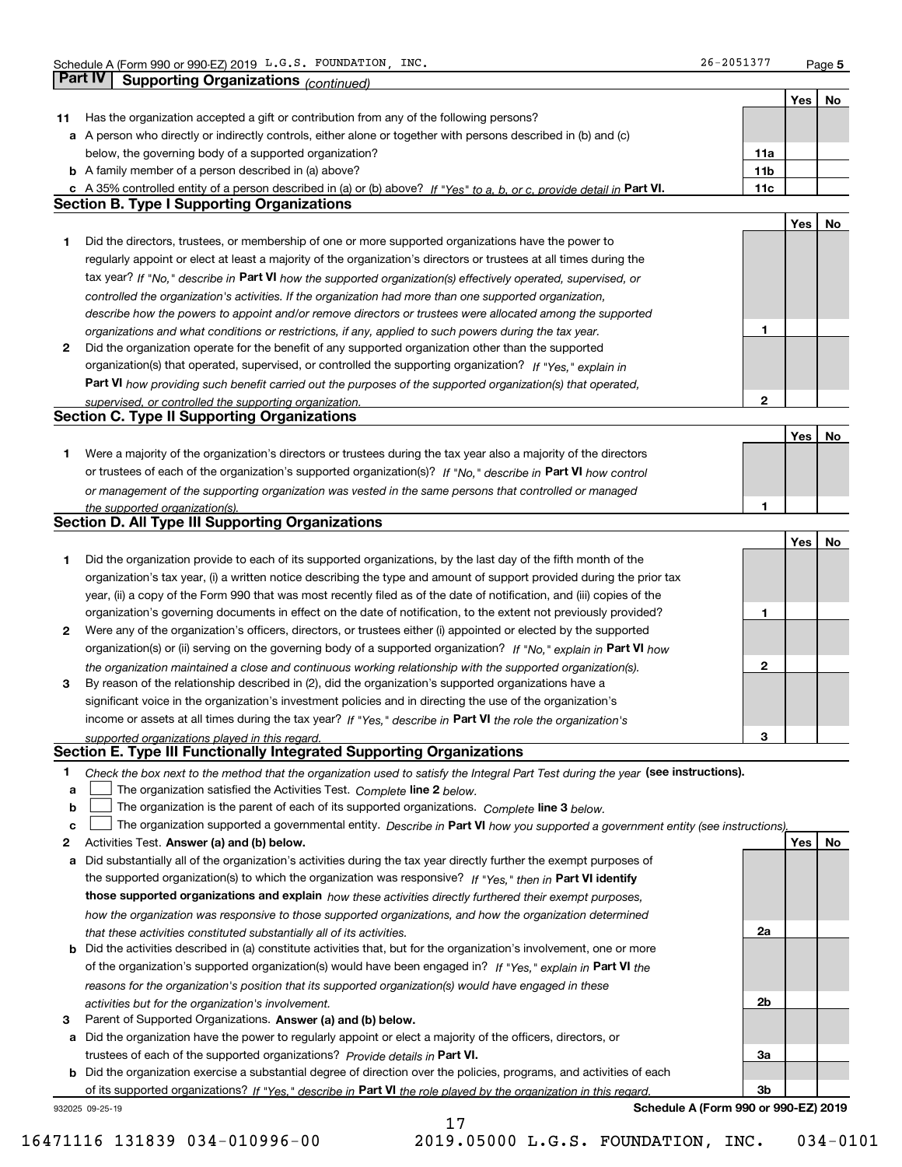**5**

|    |                                                                                                                                                                                                        |              | Yes | No |
|----|--------------------------------------------------------------------------------------------------------------------------------------------------------------------------------------------------------|--------------|-----|----|
| 11 | Has the organization accepted a gift or contribution from any of the following persons?                                                                                                                |              |     |    |
|    | a A person who directly or indirectly controls, either alone or together with persons described in (b) and (c)                                                                                         |              |     |    |
|    | below, the governing body of a supported organization?                                                                                                                                                 | 11a          |     |    |
|    | <b>b</b> A family member of a person described in (a) above?                                                                                                                                           | 11b          |     |    |
|    | c A 35% controlled entity of a person described in (a) or (b) above? If "Yes" to a, b, or c, provide detail in Part VI.                                                                                | 11c          |     |    |
|    | <b>Section B. Type I Supporting Organizations</b>                                                                                                                                                      |              |     |    |
|    |                                                                                                                                                                                                        |              | Yes | No |
| 1  | Did the directors, trustees, or membership of one or more supported organizations have the power to                                                                                                    |              |     |    |
|    | regularly appoint or elect at least a majority of the organization's directors or trustees at all times during the                                                                                     |              |     |    |
|    | tax year? If "No," describe in Part VI how the supported organization(s) effectively operated, supervised, or                                                                                          |              |     |    |
|    | controlled the organization's activities. If the organization had more than one supported organization,                                                                                                |              |     |    |
|    | describe how the powers to appoint and/or remove directors or trustees were allocated among the supported                                                                                              |              |     |    |
|    | organizations and what conditions or restrictions, if any, applied to such powers during the tax year.                                                                                                 | 1            |     |    |
| 2  | Did the organization operate for the benefit of any supported organization other than the supported                                                                                                    |              |     |    |
|    | organization(s) that operated, supervised, or controlled the supporting organization? If "Yes," explain in                                                                                             |              |     |    |
|    | Part VI how providing such benefit carried out the purposes of the supported organization(s) that operated,                                                                                            |              |     |    |
|    | supervised, or controlled the supporting organization.                                                                                                                                                 | $\mathbf{2}$ |     |    |
|    | <b>Section C. Type II Supporting Organizations</b>                                                                                                                                                     |              |     |    |
| 1. | Were a majority of the organization's directors or trustees during the tax year also a majority of the directors                                                                                       |              | Yes | No |
|    | or trustees of each of the organization's supported organization(s)? If "No," describe in Part VI how control                                                                                          |              |     |    |
|    |                                                                                                                                                                                                        |              |     |    |
|    | or management of the supporting organization was vested in the same persons that controlled or managed<br>the supported organization(s).                                                               | 1            |     |    |
|    | Section D. All Type III Supporting Organizations                                                                                                                                                       |              |     |    |
|    |                                                                                                                                                                                                        |              | Yes | No |
| 1. | Did the organization provide to each of its supported organizations, by the last day of the fifth month of the                                                                                         |              |     |    |
|    | organization's tax year, (i) a written notice describing the type and amount of support provided during the prior tax                                                                                  |              |     |    |
|    | year, (ii) a copy of the Form 990 that was most recently filed as of the date of notification, and (iii) copies of the                                                                                 |              |     |    |
|    | organization's governing documents in effect on the date of notification, to the extent not previously provided?                                                                                       | 1            |     |    |
| 2  | Were any of the organization's officers, directors, or trustees either (i) appointed or elected by the supported                                                                                       |              |     |    |
|    | organization(s) or (ii) serving on the governing body of a supported organization? If "No," explain in Part VI how                                                                                     |              |     |    |
|    | the organization maintained a close and continuous working relationship with the supported organization(s).                                                                                            | $\mathbf{2}$ |     |    |
| 3  | By reason of the relationship described in (2), did the organization's supported organizations have a                                                                                                  |              |     |    |
|    | significant voice in the organization's investment policies and in directing the use of the organization's                                                                                             |              |     |    |
|    | income or assets at all times during the tax year? If "Yes," describe in Part VI the role the organization's                                                                                           |              |     |    |
|    | supported organizations played in this regard.                                                                                                                                                         | з            |     |    |
|    | Section E. Type III Functionally Integrated Supporting Organizations                                                                                                                                   |              |     |    |
| 1  | Check the box next to the method that the organization used to satisfy the Integral Part Test during the year (see instructions).                                                                      |              |     |    |
| a  | The organization satisfied the Activities Test. Complete line 2 below.                                                                                                                                 |              |     |    |
| b  | The organization is the parent of each of its supported organizations. Complete line 3 below.                                                                                                          |              |     |    |
| C  | The organization supported a governmental entity. Describe in Part VI how you supported a government entity (see instructions),                                                                        |              |     |    |
| 2  | Activities Test. Answer (a) and (b) below.                                                                                                                                                             |              | Yes | No |
| а  | Did substantially all of the organization's activities during the tax year directly further the exempt purposes of                                                                                     |              |     |    |
|    | the supported organization(s) to which the organization was responsive? If "Yes." then in Part VI identify                                                                                             |              |     |    |
|    | those supported organizations and explain how these activities directly furthered their exempt purposes,                                                                                               |              |     |    |
|    | how the organization was responsive to those supported organizations, and how the organization determined                                                                                              | 2a           |     |    |
|    | that these activities constituted substantially all of its activities.<br><b>b</b> Did the activities described in (a) constitute activities that, but for the organization's involvement, one or more |              |     |    |
|    |                                                                                                                                                                                                        |              |     |    |
|    | of the organization's supported organization(s) would have been engaged in? If "Yes," explain in Part VI the                                                                                           |              |     |    |
|    | reasons for the organization's position that its supported organization(s) would have engaged in these<br>activities but for the organization's involvement.                                           | 2b           |     |    |
| з  | Parent of Supported Organizations. Answer (a) and (b) below.                                                                                                                                           |              |     |    |
|    | a Did the organization have the power to regularly appoint or elect a majority of the officers, directors, or                                                                                          |              |     |    |
|    | trustees of each of the supported organizations? Provide details in Part VI.                                                                                                                           | За           |     |    |
|    | <b>b</b> Did the organization exercise a substantial degree of direction over the policies, programs, and activities of each                                                                           |              |     |    |
|    | of its supported organizations? If "Yes." describe in Part VI the role played by the organization in this regard.                                                                                      | 3b           |     |    |
|    | Schedule A (Form 990 or 990-EZ) 2019<br>932025 09-25-19                                                                                                                                                |              |     |    |
|    | 17                                                                                                                                                                                                     |              |     |    |

16471116 131839 034-010996-00 2019.05000 L.G.S. FOUNDATION, INC. 034-0101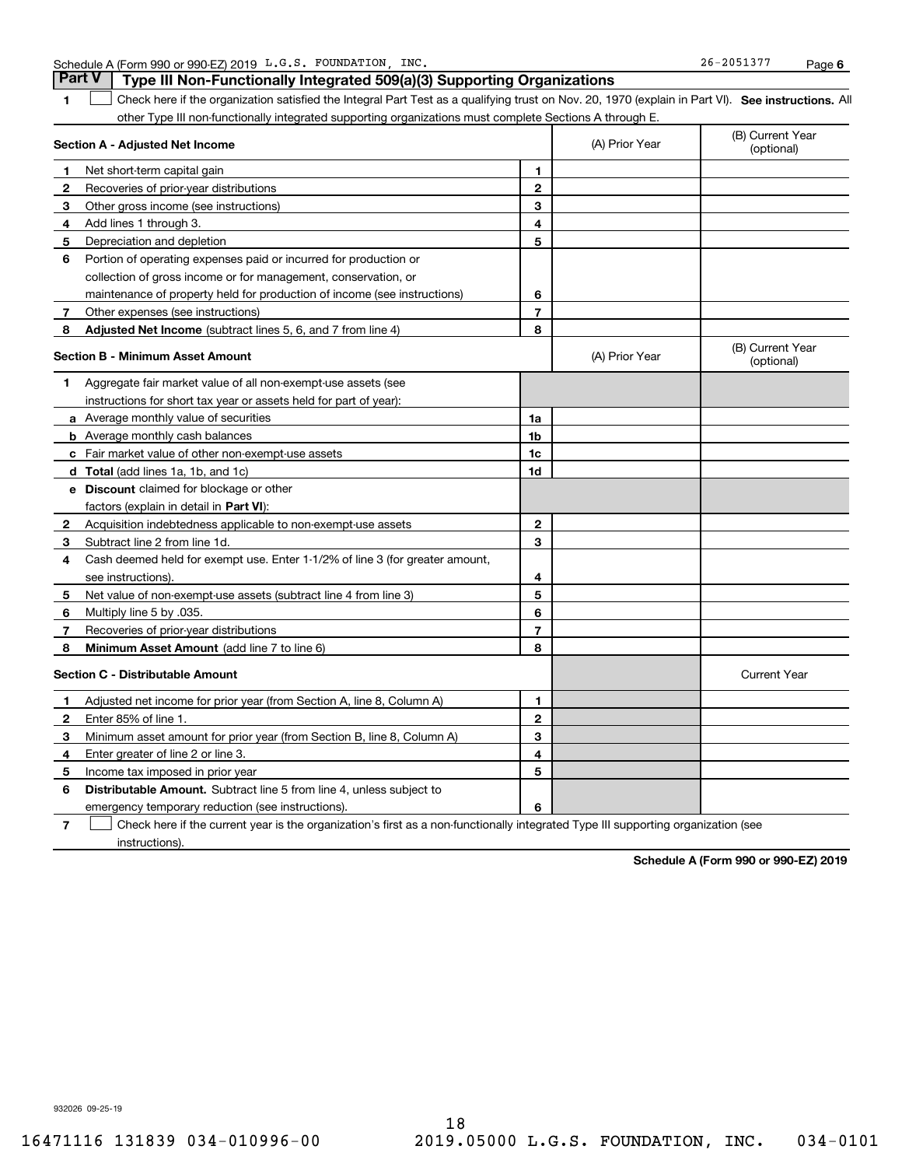| $.5 - 205137$<br>INC<br>FOUNDATION<br>26<br>L.G.S<br>A (Form 990 or 990-EZ) 2019<br>Schedule<br>، ب د ب | Paɑe |  |
|---------------------------------------------------------------------------------------------------------|------|--|
|---------------------------------------------------------------------------------------------------------|------|--|

**1SEP 10. See instructions.** All antegral Part Test as a qualifying trust on Nov. 20, 1970 (explain in Part VI). See instructions. All **Section A - Adjusted Net Income 123** Other gross income (see instructions) **456** Portion of operating expenses paid or incurred for production or **7** Other expenses (see instructions) **8** Adjusted Net Income (subtract lines 5, 6, and 7 from line 4) **8 8 1234567Section B - Minimum Asset Amount 1**Aggregate fair market value of all non-exempt-use assets (see **2**Acquisition indebtedness applicable to non-exempt-use assets **3** Subtract line 2 from line 1d. **4**Cash deemed held for exempt use. Enter 1-1/2% of line 3 (for greater amount, **5** Net value of non-exempt-use assets (subtract line 4 from line 3) **678a** Average monthly value of securities **b** Average monthly cash balances **c**Fair market value of other non-exempt-use assets **dTotal**  (add lines 1a, 1b, and 1c) **eDiscount** claimed for blockage or other **1a1b1c1d2345678**factors (explain in detail in **Part VI**): **Minimum Asset Amount**  (add line 7 to line 6) **Section C - Distributable Amount 123456123456Distributable Amount.** Subtract line 5 from line 4, unless subject to other Type III non-functionally integrated supporting organizations must complete Sections A through E. (B) Current Year (optional)(A) Prior Year Net short-term capital gain Recoveries of prior-year distributions Add lines 1 through 3. Depreciation and depletion collection of gross income or for management, conservation, or maintenance of property held for production of income (see instructions) (B) Current Year (optional)(A) Prior Year instructions for short tax year or assets held for part of year): see instructions). Multiply line 5 by .035. Recoveries of prior-year distributions Current Year Adjusted net income for prior year (from Section A, line 8, Column A) Enter 85% of line 1. Minimum asset amount for prior year (from Section B, line 8, Column A) Enter greater of line 2 or line 3. Income tax imposed in prior year emergency temporary reduction (see instructions). **Part V Type III Non-Functionally Integrated 509(a)(3) Supporting Organizations**   $\mathcal{L}^{\text{max}}$ 

**7**Check here if the current year is the organization's first as a non-functionally integrated Type III supporting organization (see instructions). $\mathcal{L}^{\text{max}}$ 

**Schedule A (Form 990 or 990-EZ) 2019**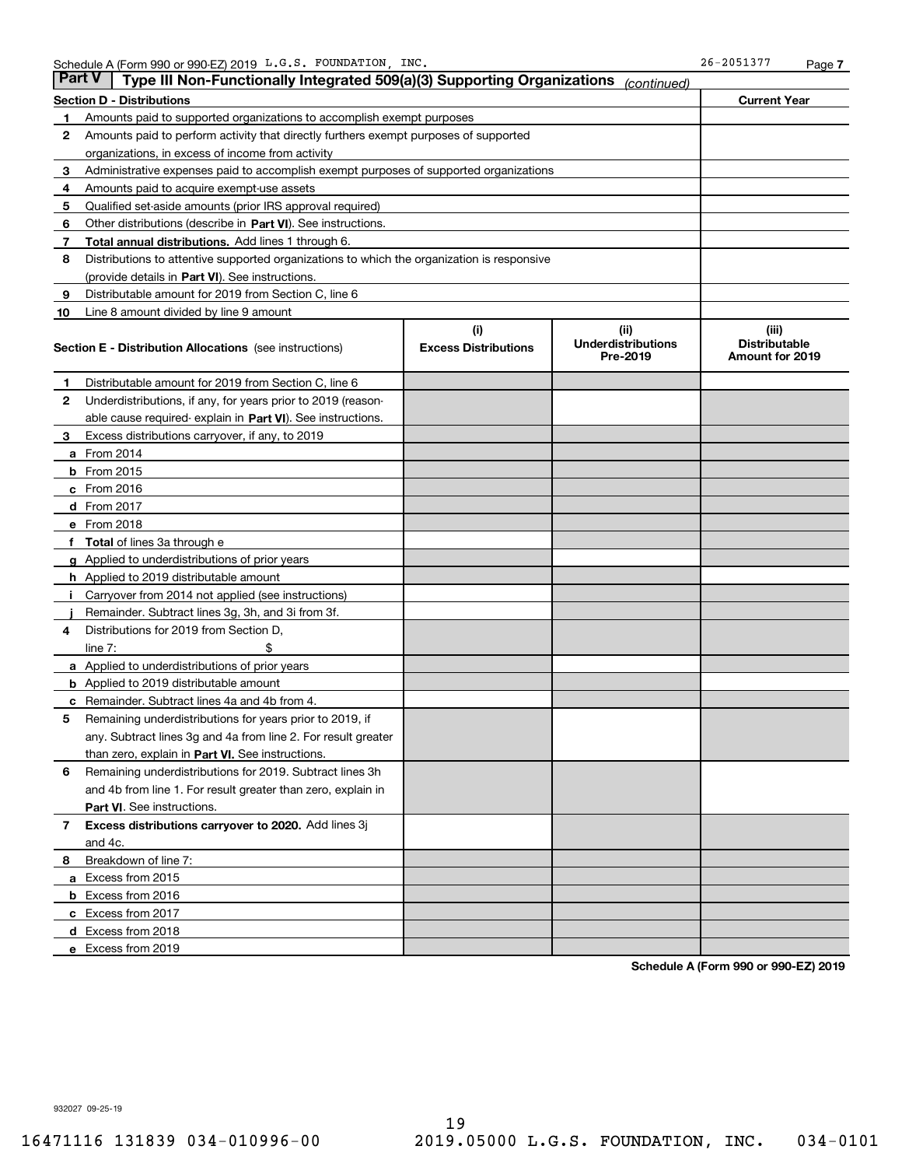| Part V | Type III Non-Functionally Integrated 509(a)(3) Supporting Organizations                    |                             | (continued)                           |                                                |  |  |  |  |
|--------|--------------------------------------------------------------------------------------------|-----------------------------|---------------------------------------|------------------------------------------------|--|--|--|--|
|        | <b>Section D - Distributions</b>                                                           |                             |                                       | <b>Current Year</b>                            |  |  |  |  |
| 1      | Amounts paid to supported organizations to accomplish exempt purposes                      |                             |                                       |                                                |  |  |  |  |
| 2      | Amounts paid to perform activity that directly furthers exempt purposes of supported       |                             |                                       |                                                |  |  |  |  |
|        | organizations, in excess of income from activity                                           |                             |                                       |                                                |  |  |  |  |
| 3      | Administrative expenses paid to accomplish exempt purposes of supported organizations      |                             |                                       |                                                |  |  |  |  |
| 4      | Amounts paid to acquire exempt-use assets                                                  |                             |                                       |                                                |  |  |  |  |
| 5      | Qualified set-aside amounts (prior IRS approval required)                                  |                             |                                       |                                                |  |  |  |  |
| 6      | Other distributions (describe in Part VI). See instructions.                               |                             |                                       |                                                |  |  |  |  |
| 7      | Total annual distributions. Add lines 1 through 6.                                         |                             |                                       |                                                |  |  |  |  |
| 8      | Distributions to attentive supported organizations to which the organization is responsive |                             |                                       |                                                |  |  |  |  |
|        | (provide details in Part VI). See instructions.                                            |                             |                                       |                                                |  |  |  |  |
| 9      | Distributable amount for 2019 from Section C, line 6                                       |                             |                                       |                                                |  |  |  |  |
| 10     | Line 8 amount divided by line 9 amount                                                     |                             |                                       |                                                |  |  |  |  |
|        |                                                                                            | (i)                         | (iii)                                 | (iii)                                          |  |  |  |  |
|        | <b>Section E - Distribution Allocations</b> (see instructions)                             | <b>Excess Distributions</b> | <b>Underdistributions</b><br>Pre-2019 | <b>Distributable</b><br><b>Amount for 2019</b> |  |  |  |  |
| 1      | Distributable amount for 2019 from Section C, line 6                                       |                             |                                       |                                                |  |  |  |  |
| 2      | Underdistributions, if any, for years prior to 2019 (reason-                               |                             |                                       |                                                |  |  |  |  |
|        | able cause required- explain in Part VI). See instructions.                                |                             |                                       |                                                |  |  |  |  |
| з      | Excess distributions carryover, if any, to 2019                                            |                             |                                       |                                                |  |  |  |  |
|        | <b>a</b> From 2014                                                                         |                             |                                       |                                                |  |  |  |  |
|        | <b>b</b> From 2015                                                                         |                             |                                       |                                                |  |  |  |  |
|        | $c$ From 2016                                                                              |                             |                                       |                                                |  |  |  |  |
|        | <b>d</b> From 2017                                                                         |                             |                                       |                                                |  |  |  |  |
|        | e From 2018                                                                                |                             |                                       |                                                |  |  |  |  |
|        | <b>Total</b> of lines 3a through e                                                         |                             |                                       |                                                |  |  |  |  |
|        | <b>g</b> Applied to underdistributions of prior years                                      |                             |                                       |                                                |  |  |  |  |
|        | <b>h</b> Applied to 2019 distributable amount                                              |                             |                                       |                                                |  |  |  |  |
|        | Carryover from 2014 not applied (see instructions)                                         |                             |                                       |                                                |  |  |  |  |
|        | Remainder. Subtract lines 3g, 3h, and 3i from 3f.                                          |                             |                                       |                                                |  |  |  |  |
| 4      | Distributions for 2019 from Section D,                                                     |                             |                                       |                                                |  |  |  |  |
|        | line $7:$                                                                                  |                             |                                       |                                                |  |  |  |  |
|        | <b>a</b> Applied to underdistributions of prior years                                      |                             |                                       |                                                |  |  |  |  |
|        | <b>b</b> Applied to 2019 distributable amount                                              |                             |                                       |                                                |  |  |  |  |
|        | Remainder. Subtract lines 4a and 4b from 4.                                                |                             |                                       |                                                |  |  |  |  |
| 5      | Remaining underdistributions for years prior to 2019, if                                   |                             |                                       |                                                |  |  |  |  |
|        | any. Subtract lines 3g and 4a from line 2. For result greater                              |                             |                                       |                                                |  |  |  |  |
|        | than zero, explain in Part VI. See instructions.                                           |                             |                                       |                                                |  |  |  |  |
| 6      | Remaining underdistributions for 2019. Subtract lines 3h                                   |                             |                                       |                                                |  |  |  |  |
|        | and 4b from line 1. For result greater than zero, explain in                               |                             |                                       |                                                |  |  |  |  |
|        | Part VI. See instructions.                                                                 |                             |                                       |                                                |  |  |  |  |
| 7      | Excess distributions carryover to 2020. Add lines 3j                                       |                             |                                       |                                                |  |  |  |  |
|        | and 4c.                                                                                    |                             |                                       |                                                |  |  |  |  |
| 8      | Breakdown of line 7:                                                                       |                             |                                       |                                                |  |  |  |  |
|        | a Excess from 2015                                                                         |                             |                                       |                                                |  |  |  |  |
|        | <b>b</b> Excess from 2016                                                                  |                             |                                       |                                                |  |  |  |  |
|        | c Excess from 2017                                                                         |                             |                                       |                                                |  |  |  |  |
|        | d Excess from 2018                                                                         |                             |                                       |                                                |  |  |  |  |
|        | e Excess from 2019                                                                         |                             |                                       |                                                |  |  |  |  |

**Schedule A (Form 990 or 990-EZ) 2019**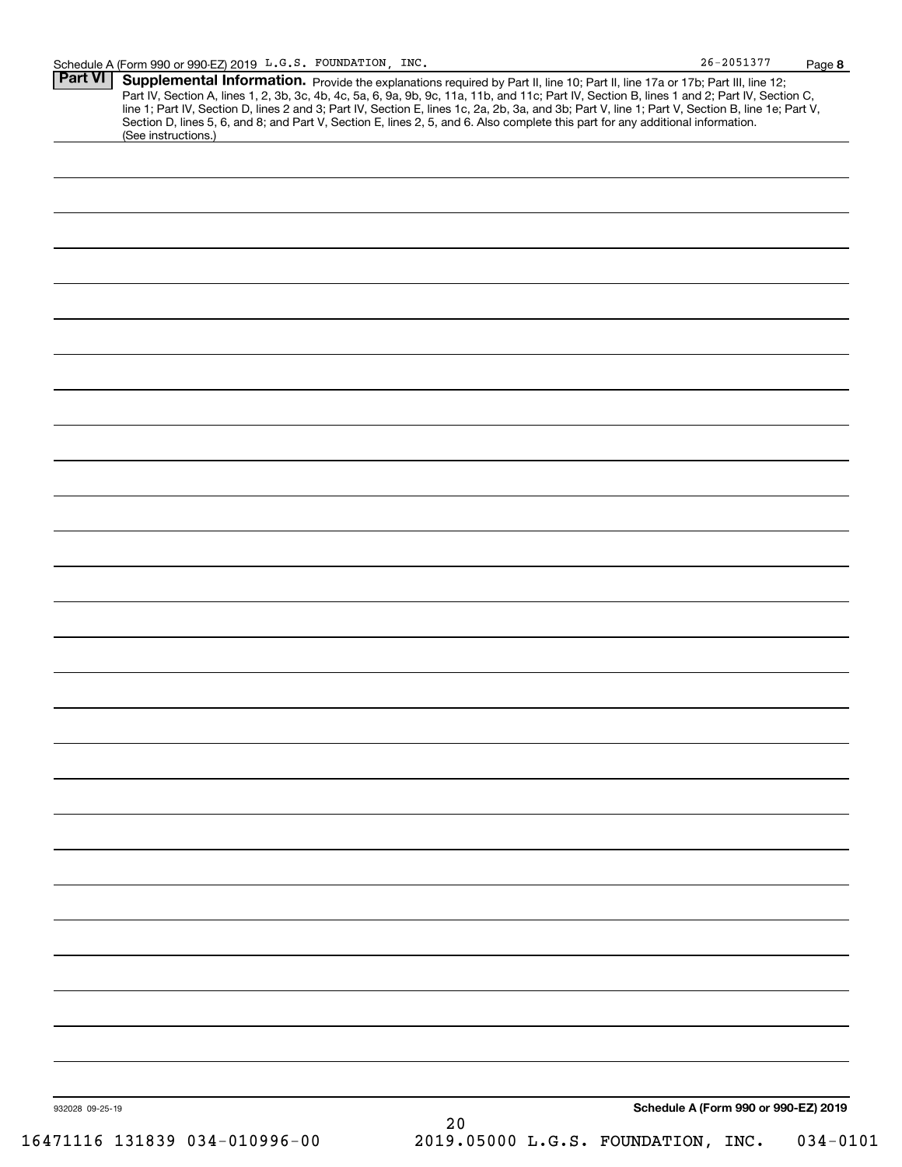| 26-2051377 | Page 8 |
|------------|--------|
|------------|--------|

| <b>Part VI</b> | Supplemental Information. Provide the explanations required by Part II, line 10; Part II, line 17a or 17b; Part III, line 12;                                                                                                                                                                    |
|----------------|--------------------------------------------------------------------------------------------------------------------------------------------------------------------------------------------------------------------------------------------------------------------------------------------------|
|                | Part IV, Section A, lines 1, 2, 3b, 3c, 4b, 4c, 5a, 6, 9a, 9b, 9c, 11a, 11b, and 11c; Part IV, Section B, lines 1 and 2; Part IV, Section C,<br>line 1; Part IV, Section D, lines 2 and 3; Part IV, Section E, lines 1c, 2a, 2b, 3a, and 3b; Part V, line 1; Part V, Section B, line 1e; Part V, |
|                | Section D, lines 5, 6, and 8; and Part V, Section E, lines 2, 5, and 6. Also complete this part for any additional information.<br>(See instructions.)                                                                                                                                           |
|                |                                                                                                                                                                                                                                                                                                  |
|                |                                                                                                                                                                                                                                                                                                  |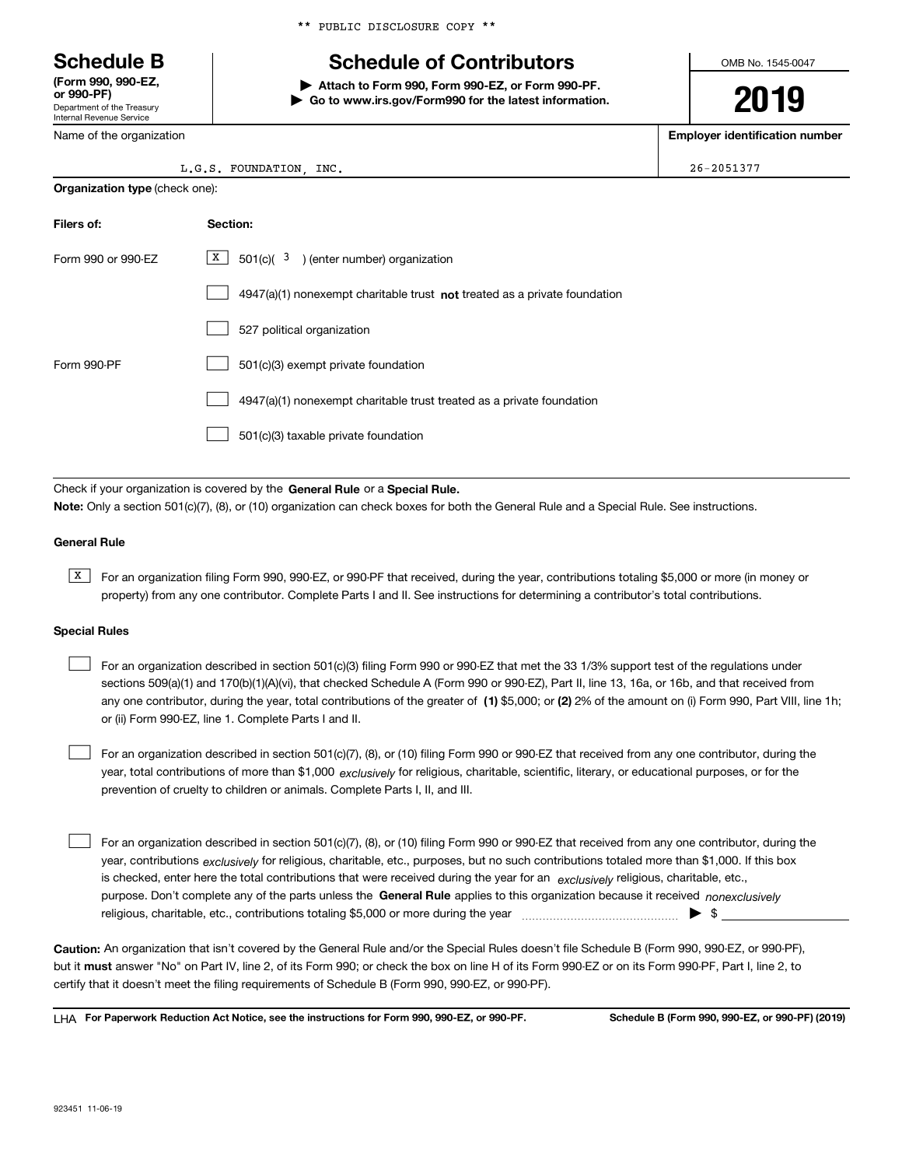Department of the Treasury Internal Revenue Service **(Form 990, 990-EZ, or 990-PF)**

Name of the organization

|  |  |  | ** PUBLIC DISCLOSURE COPY ** |  |  |
|--|--|--|------------------------------|--|--|
|--|--|--|------------------------------|--|--|

# **Schedule B Schedule of Contributors**

**| Attach to Form 990, Form 990-EZ, or Form 990-PF. | Go to www.irs.gov/Form990 for the latest information.** OMB No. 1545-0047

# **2019**

**Employer identification number**

| L.G.S. FOUNDATION | INC. | $26 - 2051377$ |
|-------------------|------|----------------|
|-------------------|------|----------------|

| <b>Organization type (check one):</b> |                                                                                    |  |  |  |  |  |  |
|---------------------------------------|------------------------------------------------------------------------------------|--|--|--|--|--|--|
| Filers of:                            | Section:                                                                           |  |  |  |  |  |  |
| Form 990 or 990-EZ                    | $X$ 501(c)( 3) (enter number) organization                                         |  |  |  |  |  |  |
|                                       | $4947(a)(1)$ nonexempt charitable trust <b>not</b> treated as a private foundation |  |  |  |  |  |  |
|                                       | 527 political organization                                                         |  |  |  |  |  |  |
| Form 990-PF                           | 501(c)(3) exempt private foundation                                                |  |  |  |  |  |  |
|                                       | 4947(a)(1) nonexempt charitable trust treated as a private foundation              |  |  |  |  |  |  |
|                                       | 501(c)(3) taxable private foundation                                               |  |  |  |  |  |  |

Check if your organization is covered by the **General Rule** or a **Special Rule. Note:**  Only a section 501(c)(7), (8), or (10) organization can check boxes for both the General Rule and a Special Rule. See instructions.

#### **General Rule**

 $\overline{X}$  For an organization filing Form 990, 990-EZ, or 990-PF that received, during the year, contributions totaling \$5,000 or more (in money or property) from any one contributor. Complete Parts I and II. See instructions for determining a contributor's total contributions.

#### **Special Rules**

any one contributor, during the year, total contributions of the greater of  $\,$  (1) \$5,000; or **(2)** 2% of the amount on (i) Form 990, Part VIII, line 1h; For an organization described in section 501(c)(3) filing Form 990 or 990-EZ that met the 33 1/3% support test of the regulations under sections 509(a)(1) and 170(b)(1)(A)(vi), that checked Schedule A (Form 990 or 990-EZ), Part II, line 13, 16a, or 16b, and that received from or (ii) Form 990-EZ, line 1. Complete Parts I and II.  $\mathcal{L}^{\text{max}}$ 

year, total contributions of more than \$1,000 *exclusively* for religious, charitable, scientific, literary, or educational purposes, or for the For an organization described in section 501(c)(7), (8), or (10) filing Form 990 or 990-EZ that received from any one contributor, during the prevention of cruelty to children or animals. Complete Parts I, II, and III.  $\mathcal{L}^{\text{max}}$ 

purpose. Don't complete any of the parts unless the **General Rule** applies to this organization because it received *nonexclusively* year, contributions <sub>exclusively</sub> for religious, charitable, etc., purposes, but no such contributions totaled more than \$1,000. If this box is checked, enter here the total contributions that were received during the year for an  $\;$ exclusively religious, charitable, etc., For an organization described in section 501(c)(7), (8), or (10) filing Form 990 or 990-EZ that received from any one contributor, during the religious, charitable, etc., contributions totaling \$5,000 or more during the year  $\Box$ — $\Box$   $\Box$  $\mathcal{L}^{\text{max}}$ 

**Caution:**  An organization that isn't covered by the General Rule and/or the Special Rules doesn't file Schedule B (Form 990, 990-EZ, or 990-PF),  **must** but it answer "No" on Part IV, line 2, of its Form 990; or check the box on line H of its Form 990-EZ or on its Form 990-PF, Part I, line 2, to certify that it doesn't meet the filing requirements of Schedule B (Form 990, 990-EZ, or 990-PF).

**For Paperwork Reduction Act Notice, see the instructions for Form 990, 990-EZ, or 990-PF. Schedule B (Form 990, 990-EZ, or 990-PF) (2019)** LHA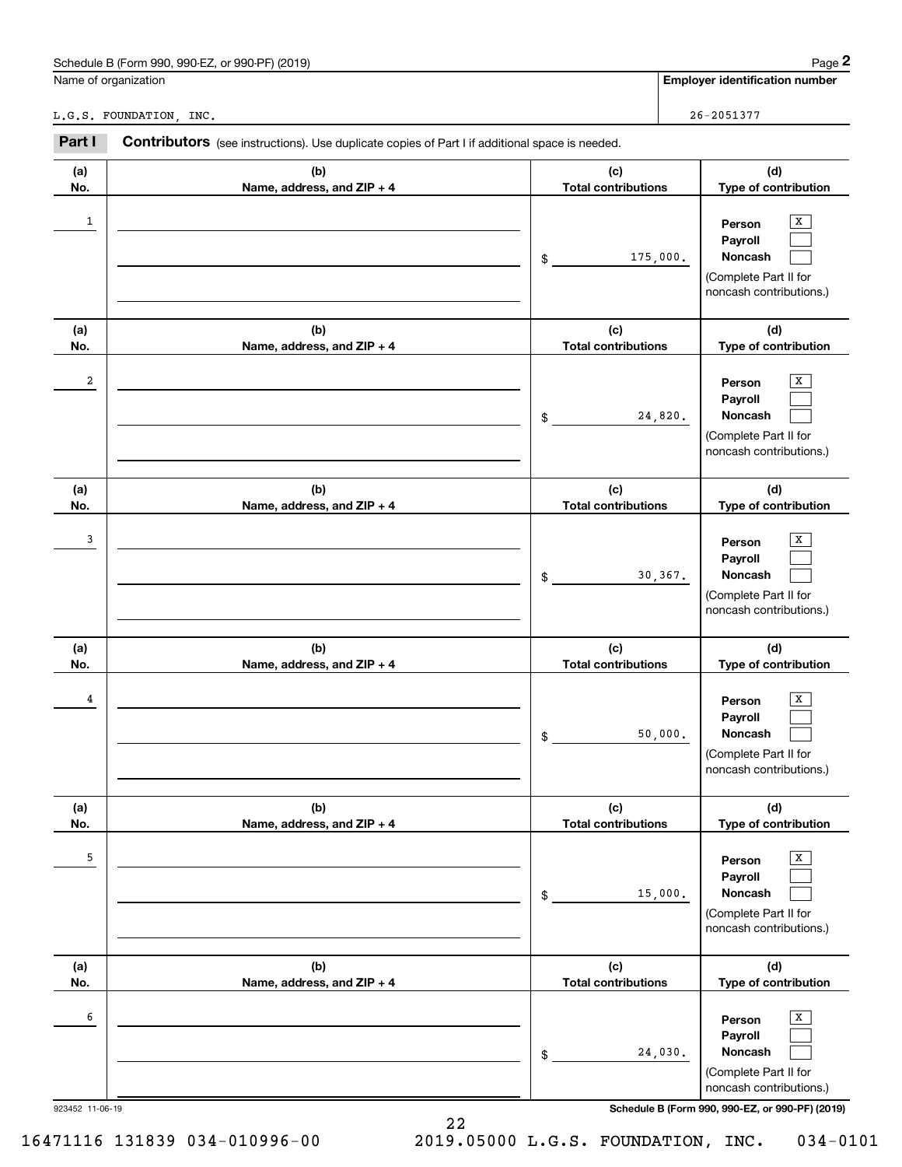| . 990-EZ, or 990-PF) (2019)<br>Schedule B (Form 990. | Page                           |
|------------------------------------------------------|--------------------------------|
| Name of organization                                 | Emplover identification number |

| <b>Employer identification numbe</b> |  |
|--------------------------------------|--|

|            | Schedule B (Form 990, 990-EZ, or 990-PF) (2019)                                                       |                                   |          | Page 2                                                                                       |
|------------|-------------------------------------------------------------------------------------------------------|-----------------------------------|----------|----------------------------------------------------------------------------------------------|
|            | Name of organization                                                                                  |                                   |          | <b>Employer identification number</b>                                                        |
|            | L.G.S. FOUNDATION, INC.                                                                               |                                   |          | $26 - 2051377$                                                                               |
| Part I     | <b>Contributors</b> (see instructions). Use duplicate copies of Part I if additional space is needed. |                                   |          |                                                                                              |
| (a)<br>No. | (b)<br>Name, address, and ZIP + 4                                                                     | (c)<br><b>Total contributions</b> |          | (d)<br>Type of contribution                                                                  |
| 1          |                                                                                                       | \$                                | 175,000. | x<br>Person<br>Payroll<br>Noncash<br>(Complete Part II for<br>noncash contributions.)        |
| (a)<br>No. | (b)<br>Name, address, and ZIP + 4                                                                     | (c)<br><b>Total contributions</b> |          | (d)<br>Type of contribution                                                                  |
| 2          |                                                                                                       | \$                                | 24,820.  | х<br>Person<br>Payroll<br>Noncash<br>(Complete Part II for<br>noncash contributions.)        |
| (a)<br>No. | (b)<br>Name, address, and ZIP + 4                                                                     | (c)<br><b>Total contributions</b> |          | (d)<br>Type of contribution                                                                  |
| 3          |                                                                                                       | \$                                | 30, 367. | х<br>Person<br>Payroll<br>Noncash<br>(Complete Part II for<br>noncash contributions.)        |
| (a)<br>No. | (b)<br>Name, address, and ZIP + 4                                                                     | (c)<br><b>Total contributions</b> |          | (d)<br>Type of contribution                                                                  |
| 4          |                                                                                                       | \$                                | 50,000.  | х<br>Person<br>Payroll<br>Noncash<br>(Complete Part II for<br>noncash contributions.)        |
| (a)<br>No. | (b)<br>Name, address, and ZIP + 4                                                                     | (c)<br><b>Total contributions</b> |          | (d)<br>Type of contribution                                                                  |
| 5          |                                                                                                       | \$                                | 15,000.  | X<br>Person<br>Payroll<br><b>Noncash</b><br>(Complete Part II for<br>noncash contributions.) |
| (a)<br>No. | (b)<br>Name, address, and ZIP + 4                                                                     | (c)<br><b>Total contributions</b> |          | (d)<br>Type of contribution                                                                  |
| 6          |                                                                                                       | \$                                | 24,030.  | X<br>Person<br>Payroll<br>Noncash<br>(Complete Part II for<br>noncash contributions.)        |

923452 11-06-19 **Schedule B (Form 990, 990-EZ, or 990-PF) (2019)**

22 16471116 131839 034-010996-00 2019.05000 L.G.S. FOUNDATION, INC. 034-0101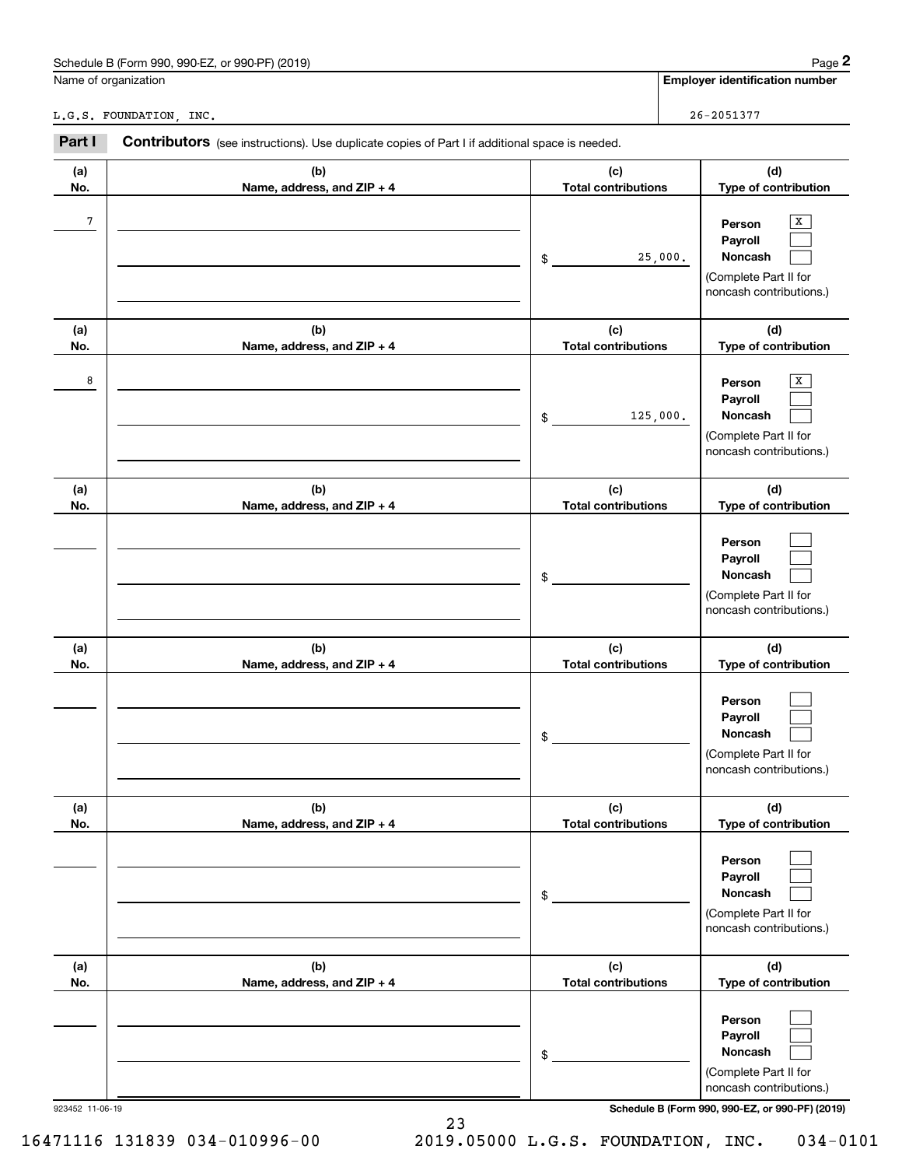| . 990-EZ, or 990-PF) (2019)<br>Schedule B (Form 990. | Page                           |
|------------------------------------------------------|--------------------------------|
| Name of organization                                 | Emplover identification number |

| <b>Employer identification numbe</b> |  |
|--------------------------------------|--|

|            | Schedule B (Form 990, 990-EZ, or 990-PF) (2019)                                                       |                                   | Page 2                                                                                |
|------------|-------------------------------------------------------------------------------------------------------|-----------------------------------|---------------------------------------------------------------------------------------|
|            | Name of organization                                                                                  |                                   | <b>Employer identification number</b>                                                 |
|            | L.G.S. FOUNDATION, INC.                                                                               |                                   | $26 - 2051377$                                                                        |
| Part I     | <b>Contributors</b> (see instructions). Use duplicate copies of Part I if additional space is needed. |                                   |                                                                                       |
| (a)<br>No. | (b)<br>Name, address, and ZIP + 4                                                                     | (c)<br><b>Total contributions</b> | (d)<br>Type of contribution                                                           |
| 7          |                                                                                                       | 25,000.<br>\$                     | х<br>Person<br>Payroll<br>Noncash<br>(Complete Part II for<br>noncash contributions.) |
| (a)<br>No. | (b)<br>Name, address, and ZIP + 4                                                                     | (c)<br><b>Total contributions</b> | (d)<br>Type of contribution                                                           |
| 8          |                                                                                                       | 125,000.<br>\$                    | X<br>Person<br>Payroll<br>Noncash<br>(Complete Part II for<br>noncash contributions.) |
| (a)<br>No. | (b)<br>Name, address, and ZIP + 4                                                                     | (c)<br><b>Total contributions</b> | (d)<br>Type of contribution                                                           |
|            |                                                                                                       | \$                                | Person<br>Payroll<br>Noncash<br>(Complete Part II for<br>noncash contributions.)      |
| (a)<br>No. | (b)<br>Name, address, and ZIP + 4                                                                     | (c)<br><b>Total contributions</b> | (d)<br>Type of contribution                                                           |
|            |                                                                                                       | \$                                | Person<br>Payroll<br>Noncash<br>(Complete Part II for<br>noncash contributions.)      |
| (a)<br>No. | (b)<br>Name, address, and ZIP + 4                                                                     | (c)<br><b>Total contributions</b> | (d)<br>Type of contribution                                                           |
|            |                                                                                                       | \$                                | Person<br>Payroll<br>Noncash<br>(Complete Part II for<br>noncash contributions.)      |
| (a)<br>No. | (b)<br>Name, address, and ZIP + 4                                                                     | (c)<br><b>Total contributions</b> | (d)<br>Type of contribution                                                           |
|            |                                                                                                       | \$                                | Person<br>Payroll<br>Noncash<br>(Complete Part II for<br>noncash contributions.)      |

923452 11-06-19 **Schedule B (Form 990, 990-EZ, or 990-PF) (2019)**

23 16471116 131839 034-010996-00 2019.05000 L.G.S. FOUNDATION, INC. 034-0101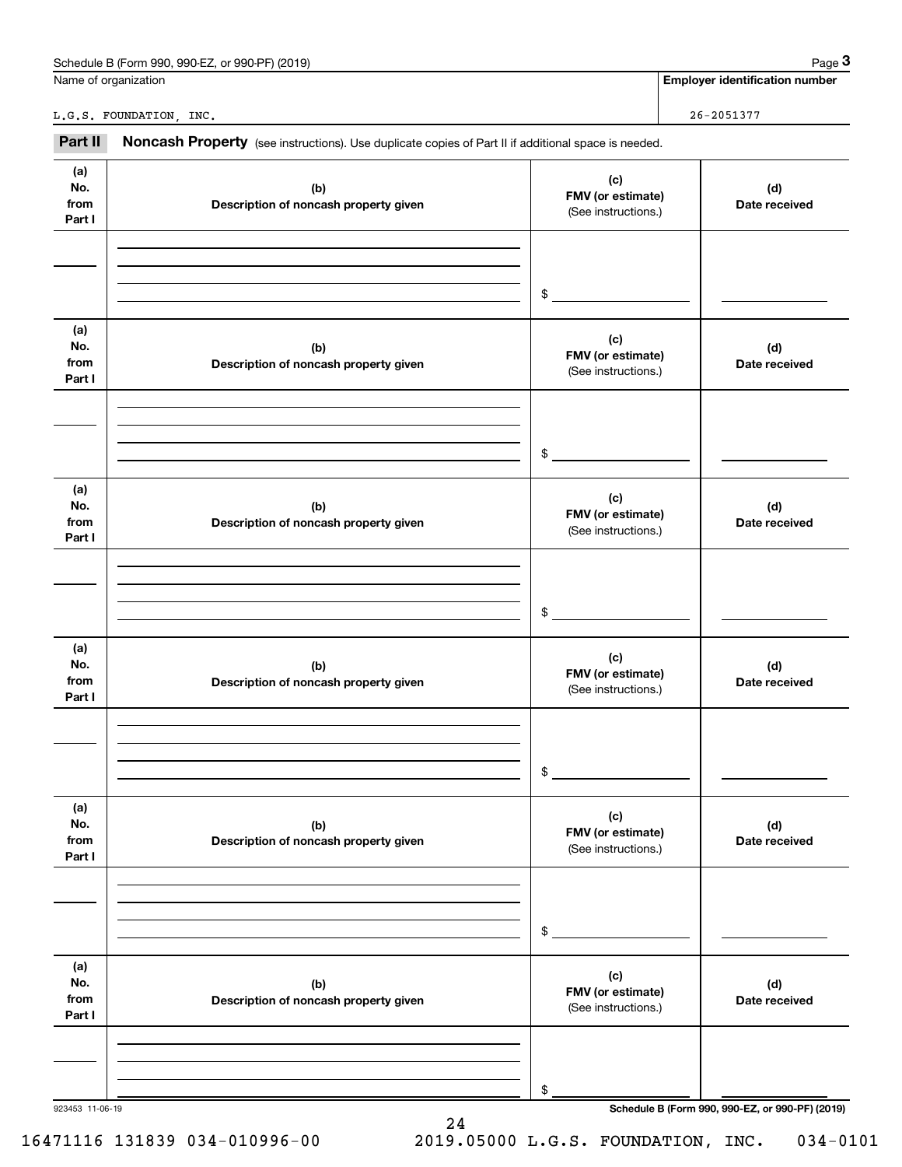| Schedule B (Form 990, 990-EZ, or 990-PF) (2019) |  |  | Page |
|-------------------------------------------------|--|--|------|
|                                                 |  |  |      |

Name of organization

**Employer identification number**

L.G.S. FOUNDATION, INC. 26-2051377

**(a) No.fromPart I (c) FMV (or estimate) (b) Description of noncash property given (d) Date received (a)No.fromPart I (c) FMV (or estimate) (b) Description of noncash property given (d) Date received (a)No.fromPart I (c) FMV (or estimate) (b) Description of noncash property given (d) Date received (a) No.fromPart I (c) FMV (or estimate) (b) Description of noncash property given (d) Date received (a) No.fromPart I (c) FMV (or estimate) (b) Description of noncash property given (d) Date received (a) No.fromPart I (c)FMV (or estimate) (b)Description of noncash property given (d)Date received** Noncash Property (see instructions). Use duplicate copies of Part II if additional space is needed. (See instructions.) \$(See instructions.) \$(See instructions.) \$(See instructions.) \$(See instructions.) \$(See instructions.) \$**26-age 3 Employer identification number**<br> **13Part II Noncash Property** (see instructions). Use duplicate copies of Part II if additional space is needed.<br> **13Part II Noncash Property** (see instructions). Use duplicate

24

923453 11-06-19 **Schedule B (Form 990, 990-EZ, or 990-PF) (2019)**

16471116 131839 034-010996-00 2019.05000 L.G.S. FOUNDATION, INC. 034-0101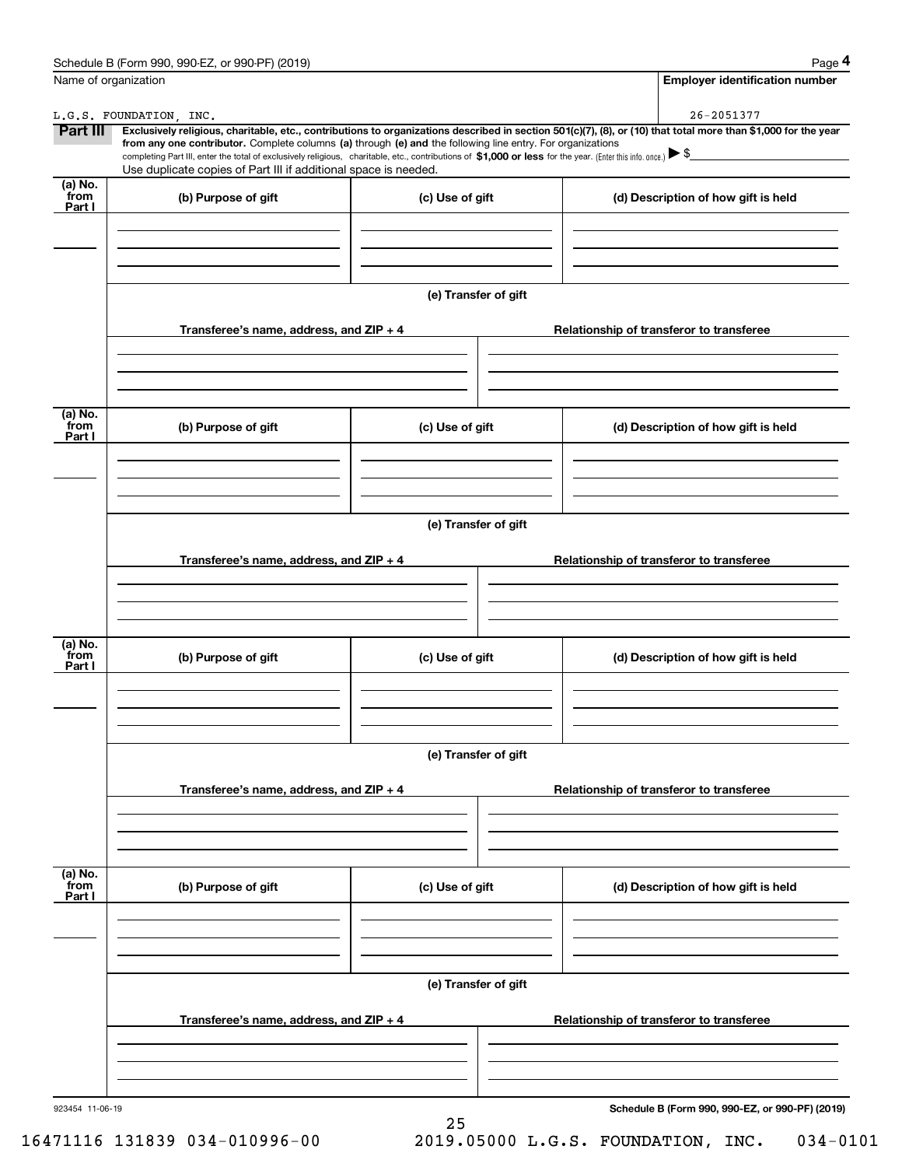| Name of organization      | Schedule B (Form 990, 990-EZ, or 990-PF) (2019)                                                                                                                                                                                                                                                                                                                                               |                      | Page 4<br><b>Employer identification number</b>                                                                                                                              |  |  |  |
|---------------------------|-----------------------------------------------------------------------------------------------------------------------------------------------------------------------------------------------------------------------------------------------------------------------------------------------------------------------------------------------------------------------------------------------|----------------------|------------------------------------------------------------------------------------------------------------------------------------------------------------------------------|--|--|--|
|                           |                                                                                                                                                                                                                                                                                                                                                                                               |                      |                                                                                                                                                                              |  |  |  |
| <b>Part III</b>           | L.G.S. FOUNDATION, INC.<br>from any one contributor. Complete columns (a) through (e) and the following line entry. For organizations<br>completing Part III, enter the total of exclusively religious, charitable, etc., contributions of \$1,000 or less for the year. (Enter this info. once.) $\blacktriangleright$ \$<br>Use duplicate copies of Part III if additional space is needed. |                      | 26-2051377<br>Exclusively religious, charitable, etc., contributions to organizations described in section 501(c)(7), (8), or (10) that total more than \$1,000 for the year |  |  |  |
| (a) No.<br>from<br>Part I | (b) Purpose of gift                                                                                                                                                                                                                                                                                                                                                                           | (c) Use of gift      | (d) Description of how gift is held                                                                                                                                          |  |  |  |
|                           |                                                                                                                                                                                                                                                                                                                                                                                               | (e) Transfer of gift |                                                                                                                                                                              |  |  |  |
|                           | Transferee's name, address, and ZIP + 4                                                                                                                                                                                                                                                                                                                                                       |                      | Relationship of transferor to transferee                                                                                                                                     |  |  |  |
| (a) No.<br>from<br>Part I | (b) Purpose of gift                                                                                                                                                                                                                                                                                                                                                                           | (c) Use of gift      | (d) Description of how gift is held                                                                                                                                          |  |  |  |
|                           |                                                                                                                                                                                                                                                                                                                                                                                               | (e) Transfer of gift |                                                                                                                                                                              |  |  |  |
|                           | Transferee's name, address, and ZIP + 4                                                                                                                                                                                                                                                                                                                                                       |                      | Relationship of transferor to transferee                                                                                                                                     |  |  |  |
| (a) No.<br>from<br>Part I | (b) Purpose of gift                                                                                                                                                                                                                                                                                                                                                                           | (c) Use of gift      | (d) Description of how gift is held                                                                                                                                          |  |  |  |
|                           | Transferee's name, address, and ZIP + 4                                                                                                                                                                                                                                                                                                                                                       | (e) Transfer of gift | Relationship of transferor to transferee                                                                                                                                     |  |  |  |
|                           |                                                                                                                                                                                                                                                                                                                                                                                               |                      |                                                                                                                                                                              |  |  |  |
| (a) No.<br>from<br>Part I | (b) Purpose of gift                                                                                                                                                                                                                                                                                                                                                                           | (c) Use of gift      | (d) Description of how gift is held                                                                                                                                          |  |  |  |
|                           | (e) Transfer of gift                                                                                                                                                                                                                                                                                                                                                                          |                      |                                                                                                                                                                              |  |  |  |
|                           | Transferee's name, address, and $ZIP + 4$                                                                                                                                                                                                                                                                                                                                                     |                      | Relationship of transferor to transferee                                                                                                                                     |  |  |  |
| 923454 11-06-19           |                                                                                                                                                                                                                                                                                                                                                                                               |                      | Schedule B (Form 990, 990-EZ, or 990-PF) (2019)                                                                                                                              |  |  |  |

25

16471116 131839 034-010996-00 2019.05000 L.G.S. FOUNDATION, INC. 034-0101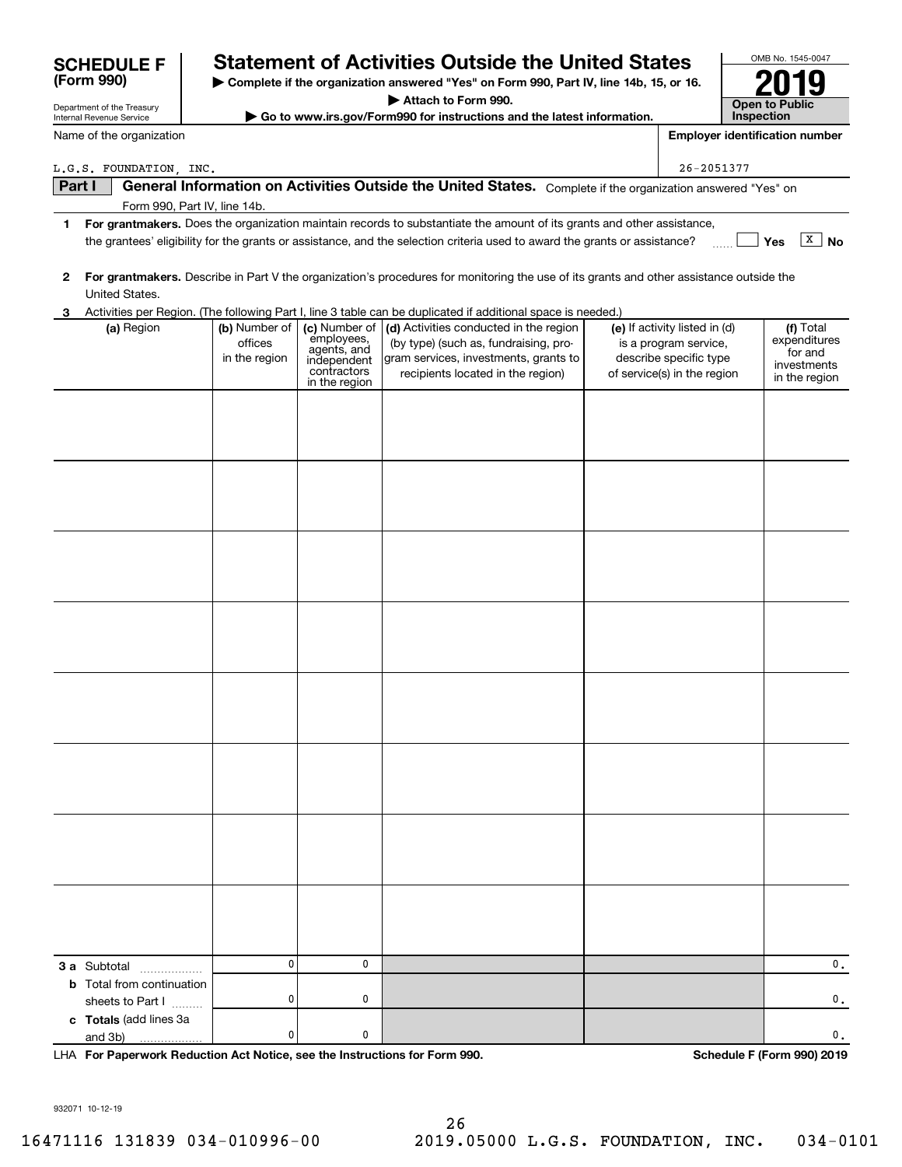| Department of the Treasury |                                                                                                                                                           | Attach to Form 990.                                                    |                                                                                           |                                                                                                                                                               |  |                                                                                                                 | -- -<br><b>Open to Public</b> |                                                                      |  |
|----------------------------|-----------------------------------------------------------------------------------------------------------------------------------------------------------|------------------------------------------------------------------------|-------------------------------------------------------------------------------------------|---------------------------------------------------------------------------------------------------------------------------------------------------------------|--|-----------------------------------------------------------------------------------------------------------------|-------------------------------|----------------------------------------------------------------------|--|
| Internal Revenue Service   |                                                                                                                                                           | Go to www.irs.gov/Form990 for instructions and the latest information. |                                                                                           |                                                                                                                                                               |  | Inspection                                                                                                      |                               |                                                                      |  |
| Name of the organization   |                                                                                                                                                           |                                                                        |                                                                                           |                                                                                                                                                               |  |                                                                                                                 |                               | <b>Employer identification number</b>                                |  |
|                            | L.G.S. FOUNDATION, INC.                                                                                                                                   |                                                                        |                                                                                           |                                                                                                                                                               |  | 26-2051377                                                                                                      |                               |                                                                      |  |
| Part I                     |                                                                                                                                                           |                                                                        |                                                                                           | General Information on Activities Outside the United States. Complete if the organization answered "Yes" on                                                   |  |                                                                                                                 |                               |                                                                      |  |
|                            |                                                                                                                                                           | Form 990, Part IV, line 14b.                                           |                                                                                           |                                                                                                                                                               |  |                                                                                                                 |                               |                                                                      |  |
| 1                          |                                                                                                                                                           |                                                                        |                                                                                           | For grantmakers. Does the organization maintain records to substantiate the amount of its grants and other assistance,                                        |  |                                                                                                                 |                               |                                                                      |  |
|                            |                                                                                                                                                           |                                                                        |                                                                                           | the grantees' eligibility for the grants or assistance, and the selection criteria used to award the grants or assistance?                                    |  |                                                                                                                 |                               | X  <br>No<br>Yes                                                     |  |
| 2                          | For grantmakers. Describe in Part V the organization's procedures for monitoring the use of its grants and other assistance outside the<br>United States. |                                                                        |                                                                                           |                                                                                                                                                               |  |                                                                                                                 |                               |                                                                      |  |
| З                          |                                                                                                                                                           |                                                                        |                                                                                           | Activities per Region. (The following Part I, line 3 table can be duplicated if additional space is needed.)                                                  |  |                                                                                                                 |                               |                                                                      |  |
|                            | (a) Region                                                                                                                                                | (b) Number of<br>offices<br>in the region                              | (c) Number of<br>employees,<br>agents, and<br>independent<br>contractors<br>in the region | (d) Activities conducted in the region<br>(by type) (such as, fundraising, pro-<br>gram services, investments, grants to<br>recipients located in the region) |  | (e) If activity listed in (d)<br>is a program service,<br>describe specific type<br>of service(s) in the region |                               | (f) Total<br>expenditures<br>for and<br>investments<br>in the region |  |
|                            |                                                                                                                                                           |                                                                        |                                                                                           |                                                                                                                                                               |  |                                                                                                                 |                               |                                                                      |  |
|                            |                                                                                                                                                           |                                                                        |                                                                                           |                                                                                                                                                               |  |                                                                                                                 |                               |                                                                      |  |
|                            |                                                                                                                                                           |                                                                        |                                                                                           |                                                                                                                                                               |  |                                                                                                                 |                               |                                                                      |  |
|                            |                                                                                                                                                           |                                                                        |                                                                                           |                                                                                                                                                               |  |                                                                                                                 |                               |                                                                      |  |
|                            |                                                                                                                                                           |                                                                        |                                                                                           |                                                                                                                                                               |  |                                                                                                                 |                               |                                                                      |  |
|                            |                                                                                                                                                           |                                                                        |                                                                                           |                                                                                                                                                               |  |                                                                                                                 |                               |                                                                      |  |
|                            |                                                                                                                                                           |                                                                        |                                                                                           |                                                                                                                                                               |  |                                                                                                                 |                               |                                                                      |  |
|                            |                                                                                                                                                           |                                                                        |                                                                                           |                                                                                                                                                               |  |                                                                                                                 |                               |                                                                      |  |
|                            | <b>3 a</b> Subtotal<br>.                                                                                                                                  | $\mathbf 0$                                                            | 0                                                                                         |                                                                                                                                                               |  |                                                                                                                 |                               | 0.                                                                   |  |
|                            | <b>b</b> Total from continuation<br>sheets to Part I                                                                                                      | 0                                                                      | 0                                                                                         |                                                                                                                                                               |  |                                                                                                                 |                               | $\mathbf 0$ .                                                        |  |
|                            | c Totals (add lines 3a<br>and 3b)                                                                                                                         | 0                                                                      | 0                                                                                         |                                                                                                                                                               |  |                                                                                                                 |                               | 0.                                                                   |  |

**| Complete if the organization answered "Yes" on Form 990, Part IV, line 14b, 15, or 16.**

**Statement of Activities Outside the United States** 

**For Paperwork Reduction Act Notice, see the Instructions for Form 990. Schedule F (Form 990) 2019** LHA

932071 10-12-19

**(Form 990)**

OMB No. 1545-0047

**2019**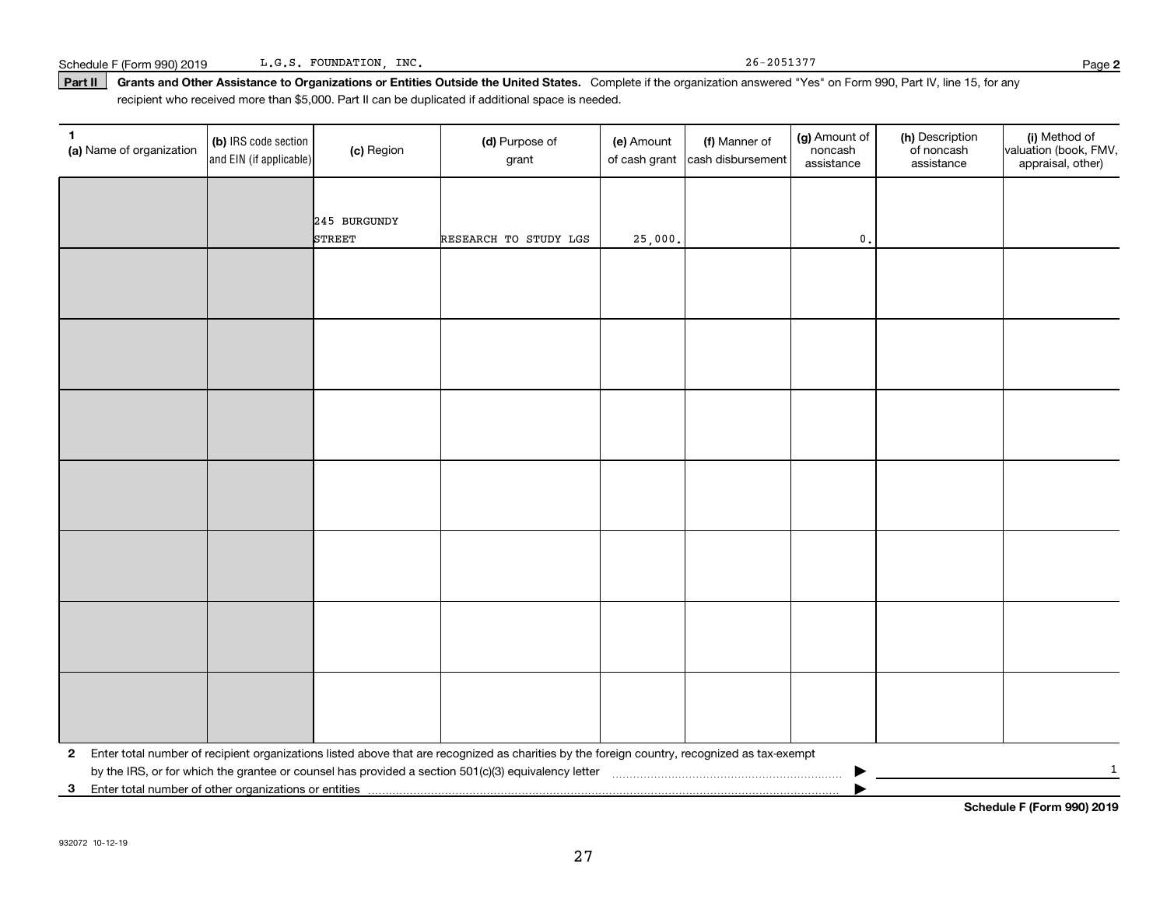Schedule F (Form 990) 2019 L.G.S. FOUNDATION, INC. Schedule F (Form 990) 2019 Page 1.9.5. POUNDATION, INC. L.G.S. FOUNDATION, INC.

Part II | Grants and Other Assistance to Organizations or Entities Outside the United States. Complete if the organization answered "Yes" on Form 990, Part IV, line 15, for any recipient who received more than \$5,000. Part II can be duplicated if additional space is needed.

| 1<br>(a) Name of organization                           | (b) IRS code section<br>and EIN (if applicable) | (c) Region    | (d) Purpose of<br>grant                                                                                                                      | (e) Amount | (f) Manner of<br>of cash grant cash disbursement | (g) Amount of<br>noncash<br>assistance | (h) Description<br>of noncash<br>assistance | (i) Method of<br>valuation (book, FMV,<br>appraisal, other) |
|---------------------------------------------------------|-------------------------------------------------|---------------|----------------------------------------------------------------------------------------------------------------------------------------------|------------|--------------------------------------------------|----------------------------------------|---------------------------------------------|-------------------------------------------------------------|
|                                                         |                                                 |               |                                                                                                                                              |            |                                                  |                                        |                                             |                                                             |
|                                                         |                                                 | 245 BURGUNDY  |                                                                                                                                              |            |                                                  |                                        |                                             |                                                             |
|                                                         |                                                 | <b>STREET</b> | RESEARCH TO STUDY LGS                                                                                                                        | 25,000.    |                                                  | $\mathfrak o$ .                        |                                             |                                                             |
|                                                         |                                                 |               |                                                                                                                                              |            |                                                  |                                        |                                             |                                                             |
|                                                         |                                                 |               |                                                                                                                                              |            |                                                  |                                        |                                             |                                                             |
|                                                         |                                                 |               |                                                                                                                                              |            |                                                  |                                        |                                             |                                                             |
|                                                         |                                                 |               |                                                                                                                                              |            |                                                  |                                        |                                             |                                                             |
|                                                         |                                                 |               |                                                                                                                                              |            |                                                  |                                        |                                             |                                                             |
|                                                         |                                                 |               |                                                                                                                                              |            |                                                  |                                        |                                             |                                                             |
|                                                         |                                                 |               |                                                                                                                                              |            |                                                  |                                        |                                             |                                                             |
|                                                         |                                                 |               |                                                                                                                                              |            |                                                  |                                        |                                             |                                                             |
|                                                         |                                                 |               |                                                                                                                                              |            |                                                  |                                        |                                             |                                                             |
|                                                         |                                                 |               |                                                                                                                                              |            |                                                  |                                        |                                             |                                                             |
|                                                         |                                                 |               |                                                                                                                                              |            |                                                  |                                        |                                             |                                                             |
|                                                         |                                                 |               |                                                                                                                                              |            |                                                  |                                        |                                             |                                                             |
|                                                         |                                                 |               |                                                                                                                                              |            |                                                  |                                        |                                             |                                                             |
|                                                         |                                                 |               |                                                                                                                                              |            |                                                  |                                        |                                             |                                                             |
| $\mathbf{2}$                                            |                                                 |               | Enter total number of recipient organizations listed above that are recognized as charities by the foreign country, recognized as tax-exempt |            |                                                  |                                        |                                             |                                                             |
|                                                         |                                                 |               |                                                                                                                                              |            |                                                  |                                        |                                             | $\mathbf{1}$                                                |
| 3 Enter total number of other organizations or entities |                                                 |               |                                                                                                                                              |            |                                                  |                                        |                                             |                                                             |

**Schedule F (Form 990) 2019**

**2**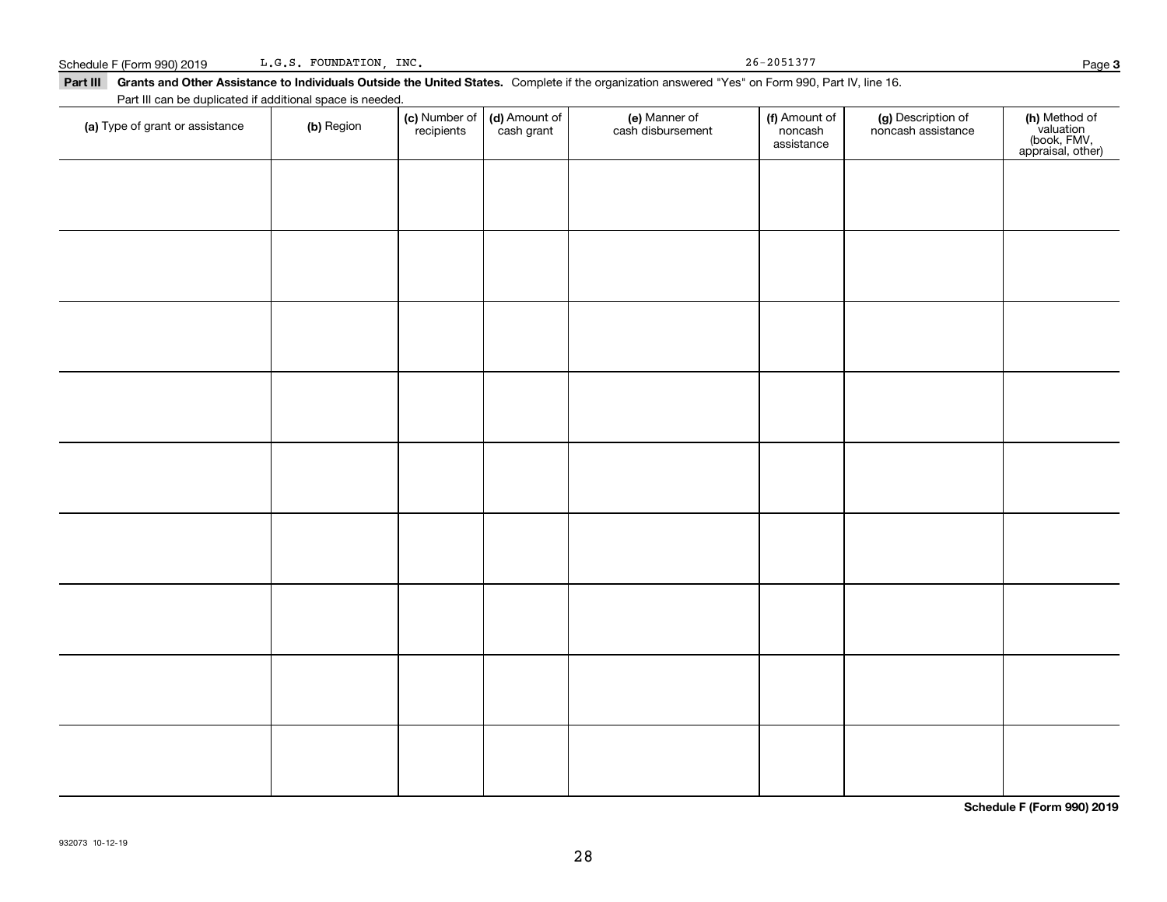Schedule F (Form 990) 2019 L.G.S. FOUNDATION, INC. 26-2051377 L.G.S. FOUNDATION, INC.

**3**

| Part III Grants and Other Assistance to Individuals Outside the United States. Complete if the organization answered "Yes" on Form 990, Part IV, line 16. |  |
|-----------------------------------------------------------------------------------------------------------------------------------------------------------|--|
| Part III can be duplicated if additional space is needed.                                                                                                 |  |

| (a) Type of grant or assistance | (b) Region | (c) Number of<br>recipients | (d) Amount of<br>cash grant | (e) Manner of<br>cash disbursement | (f) Amount of<br>noncash<br>assistance | (g) Description of<br>noncash assistance | (h) Method of<br>valuation<br>(book, FMV,<br>appraisal, other) |
|---------------------------------|------------|-----------------------------|-----------------------------|------------------------------------|----------------------------------------|------------------------------------------|----------------------------------------------------------------|
|                                 |            |                             |                             |                                    |                                        |                                          |                                                                |
|                                 |            |                             |                             |                                    |                                        |                                          |                                                                |
|                                 |            |                             |                             |                                    |                                        |                                          |                                                                |
|                                 |            |                             |                             |                                    |                                        |                                          |                                                                |
|                                 |            |                             |                             |                                    |                                        |                                          |                                                                |
|                                 |            |                             |                             |                                    |                                        |                                          |                                                                |
|                                 |            |                             |                             |                                    |                                        |                                          |                                                                |
|                                 |            |                             |                             |                                    |                                        |                                          |                                                                |
|                                 |            |                             |                             |                                    |                                        |                                          |                                                                |
|                                 |            |                             |                             |                                    |                                        |                                          |                                                                |
|                                 |            |                             |                             |                                    |                                        |                                          |                                                                |

**Schedule F (Form 990) 2019**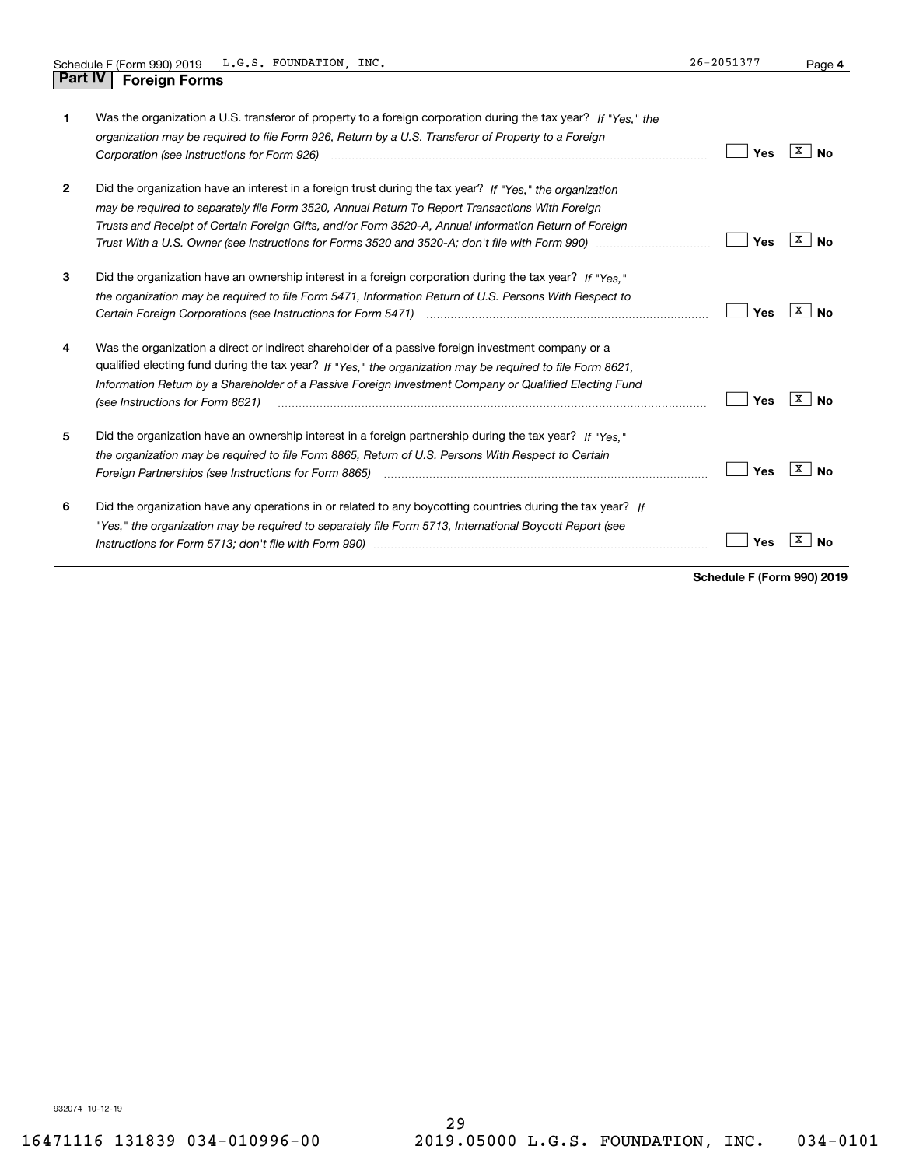|                | L.G.S. FOUNDATION, INC.<br>Schedule F (Form 990) 2019                                                                                                                                                                                                                                                                                                          | 26-2051377 | Page 4         |
|----------------|----------------------------------------------------------------------------------------------------------------------------------------------------------------------------------------------------------------------------------------------------------------------------------------------------------------------------------------------------------------|------------|----------------|
| <b>Part IV</b> | <b>Foreign Forms</b>                                                                                                                                                                                                                                                                                                                                           |            |                |
| 1              | Was the organization a U.S. transferor of property to a foreign corporation during the tax year? If "Yes," the<br>organization may be required to file Form 926, Return by a U.S. Transferor of Property to a Foreign                                                                                                                                          | Yes        | x<br>No        |
| $\mathbf{2}$   | Did the organization have an interest in a foreign trust during the tax year? If "Yes." the organization<br>may be required to separately file Form 3520, Annual Return To Report Transactions With Foreign<br>Trusts and Receipt of Certain Foreign Gifts, and/or Form 3520-A, Annual Information Return of Foreign                                           | Yes        | X<br>No        |
| 3              | Did the organization have an ownership interest in a foreign corporation during the tax year? If "Yes."<br>the organization may be required to file Form 5471, Information Return of U.S. Persons With Respect to                                                                                                                                              | Yes        | x<br><b>No</b> |
| 4              | Was the organization a direct or indirect shareholder of a passive foreign investment company or a<br>qualified electing fund during the tax year? If "Yes," the organization may be required to file Form 8621,<br>Information Return by a Shareholder of a Passive Foreign Investment Company or Qualified Electing Fund<br>(see Instructions for Form 8621) | Yes        | x<br><b>No</b> |
| 5              | Did the organization have an ownership interest in a foreign partnership during the tax year? If "Yes."<br>the organization may be required to file Form 8865, Return of U.S. Persons With Respect to Certain                                                                                                                                                  | Yes        | X<br>No        |
| 6              | Did the organization have any operations in or related to any boycotting countries during the tax year? If<br>"Yes," the organization may be required to separately file Form 5713, International Boycott Report (see<br>Instructions for Form 5713; don't file with Form 990) manufactured and the control of the control of the with                         | Yes        | x<br>Nο        |

**Schedule F (Form 990) 2019**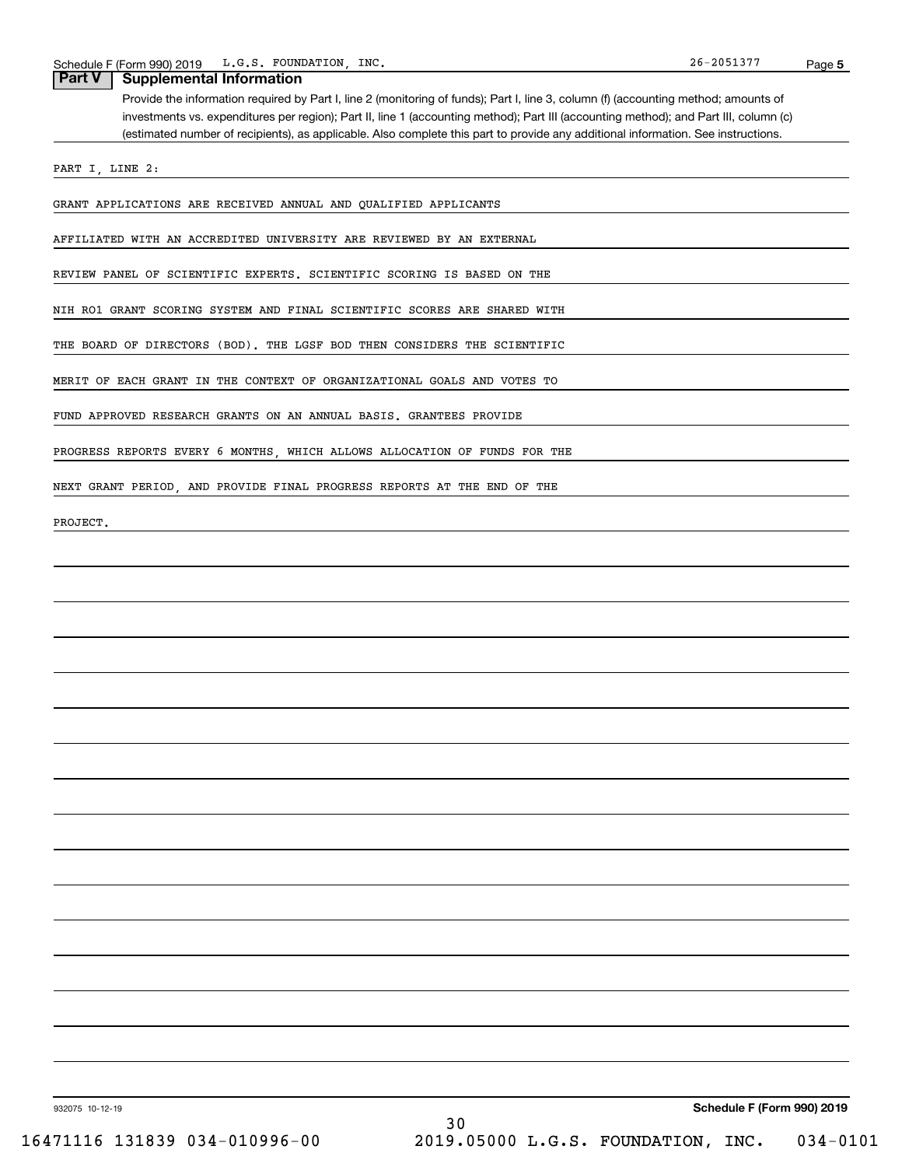#### **Part V Supplemental Information**

Provide the information required by Part I, line 2 (monitoring of funds); Part I, line 3, column (f) (accounting method; amounts of investments vs. expenditures per region); Part II, line 1 (accounting method); Part III (accounting method); and Part III, column (c) (estimated number of recipients), as applicable. Also complete this part to provide any additional information. See instructions.

PART I, LINE 2:

GRANT APPLICATIONS ARE RECEIVED ANNUAL AND QUALIFIED APPLICANTS

AFFILIATED WITH AN ACCREDITED UNIVERSITY ARE REVIEWED BY AN EXTERNAL

REVIEW PANEL OF SCIENTIFIC EXPERTS. SCIENTIFIC SCORING IS BASED ON THE

NIH RO1 GRANT SCORING SYSTEM AND FINAL SCIENTIFIC SCORES ARE SHARED WITH

THE BOARD OF DIRECTORS (BOD). THE LGSF BOD THEN CONSIDERS THE SCIENTIFIC

MERIT OF EACH GRANT IN THE CONTEXT OF ORGANIZATIONAL GOALS AND VOTES TO

FUND APPROVED RESEARCH GRANTS ON AN ANNUAL BASIS. GRANTEES PROVIDE

PROGRESS REPORTS EVERY 6 MONTHS, WHICH ALLOWS ALLOCATION OF FUNDS FOR THE

NEXT GRANT PERIOD, AND PROVIDE FINAL PROGRESS REPORTS AT THE END OF THE

PROJECT.

932075 10-12-19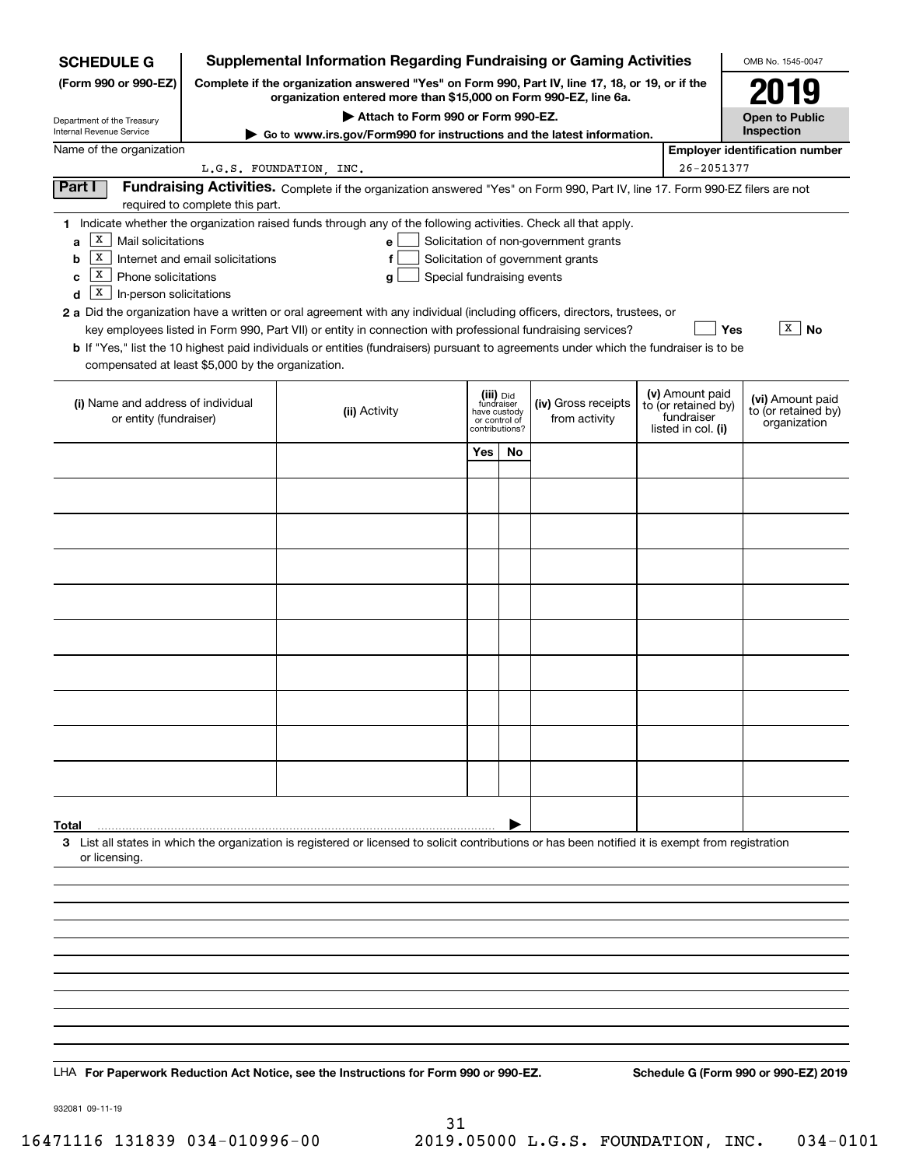| <b>SCHEDULE G</b>                                                                                                                                                          | <b>Supplemental Information Regarding Fundraising or Gaming Activities</b>                                                                                          |                                                                                                                                                                                                                                                                                                                                                                                                                                                                                                                                                    |                                                                            |    |                                                                            |  |                                                                            |                                                         |  |  |  |  |
|----------------------------------------------------------------------------------------------------------------------------------------------------------------------------|---------------------------------------------------------------------------------------------------------------------------------------------------------------------|----------------------------------------------------------------------------------------------------------------------------------------------------------------------------------------------------------------------------------------------------------------------------------------------------------------------------------------------------------------------------------------------------------------------------------------------------------------------------------------------------------------------------------------------------|----------------------------------------------------------------------------|----|----------------------------------------------------------------------------|--|----------------------------------------------------------------------------|---------------------------------------------------------|--|--|--|--|
| (Form 990 or 990-EZ)                                                                                                                                                       | Complete if the organization answered "Yes" on Form 990, Part IV, line 17, 18, or 19, or if the<br>organization entered more than \$15,000 on Form 990-EZ, line 6a. |                                                                                                                                                                                                                                                                                                                                                                                                                                                                                                                                                    | 2019                                                                       |    |                                                                            |  |                                                                            |                                                         |  |  |  |  |
| Department of the Treasury                                                                                                                                                 |                                                                                                                                                                     |                                                                                                                                                                                                                                                                                                                                                                                                                                                                                                                                                    | <b>Open to Public</b>                                                      |    |                                                                            |  |                                                                            |                                                         |  |  |  |  |
| Internal Revenue Service                                                                                                                                                   | Go to www.irs.gov/Form990 for instructions and the latest information.                                                                                              |                                                                                                                                                                                                                                                                                                                                                                                                                                                                                                                                                    | Inspection                                                                 |    |                                                                            |  |                                                                            |                                                         |  |  |  |  |
| Name of the organization                                                                                                                                                   | <b>Employer identification number</b><br>26-2051377<br>L.G.S. FOUNDATION, INC.                                                                                      |                                                                                                                                                                                                                                                                                                                                                                                                                                                                                                                                                    |                                                                            |    |                                                                            |  |                                                                            |                                                         |  |  |  |  |
| Part I<br>Fundraising Activities. Complete if the organization answered "Yes" on Form 990, Part IV, line 17. Form 990-EZ filers are not<br>required to complete this part. |                                                                                                                                                                     |                                                                                                                                                                                                                                                                                                                                                                                                                                                                                                                                                    |                                                                            |    |                                                                            |  |                                                                            |                                                         |  |  |  |  |
| Х<br>Mail solicitations<br>a<br>X<br>b<br>x<br>Phone solicitations<br>c<br>X<br>In-person solicitations<br>d<br>compensated at least \$5,000 by the organization.          | Internet and email solicitations                                                                                                                                    | 1 Indicate whether the organization raised funds through any of the following activities. Check all that apply.<br>е<br>f<br>Special fundraising events<br>g<br>2 a Did the organization have a written or oral agreement with any individual (including officers, directors, trustees, or<br>key employees listed in Form 990, Part VII) or entity in connection with professional fundraising services?<br>b If "Yes," list the 10 highest paid individuals or entities (fundraisers) pursuant to agreements under which the fundraiser is to be |                                                                            |    | Solicitation of non-government grants<br>Solicitation of government grants |  | Yes                                                                        | $X \mid$<br><b>No</b>                                   |  |  |  |  |
| (i) Name and address of individual<br>or entity (fundraiser)                                                                                                               |                                                                                                                                                                     | (ii) Activity                                                                                                                                                                                                                                                                                                                                                                                                                                                                                                                                      | (iii) Did<br>fundraiser<br>have custody<br>or control of<br>contributions? |    | (iv) Gross receipts<br>from activity                                       |  | (v) Amount paid<br>to (or retained by)<br>fundraiser<br>listed in col. (i) | (vi) Amount paid<br>to (or retained by)<br>organization |  |  |  |  |
|                                                                                                                                                                            |                                                                                                                                                                     |                                                                                                                                                                                                                                                                                                                                                                                                                                                                                                                                                    | <b>Yes</b>                                                                 | No |                                                                            |  |                                                                            |                                                         |  |  |  |  |
|                                                                                                                                                                            |                                                                                                                                                                     |                                                                                                                                                                                                                                                                                                                                                                                                                                                                                                                                                    |                                                                            |    |                                                                            |  |                                                                            |                                                         |  |  |  |  |
|                                                                                                                                                                            |                                                                                                                                                                     |                                                                                                                                                                                                                                                                                                                                                                                                                                                                                                                                                    |                                                                            |    |                                                                            |  |                                                                            |                                                         |  |  |  |  |
|                                                                                                                                                                            |                                                                                                                                                                     |                                                                                                                                                                                                                                                                                                                                                                                                                                                                                                                                                    |                                                                            |    |                                                                            |  |                                                                            |                                                         |  |  |  |  |
|                                                                                                                                                                            |                                                                                                                                                                     |                                                                                                                                                                                                                                                                                                                                                                                                                                                                                                                                                    |                                                                            |    |                                                                            |  |                                                                            |                                                         |  |  |  |  |
|                                                                                                                                                                            |                                                                                                                                                                     |                                                                                                                                                                                                                                                                                                                                                                                                                                                                                                                                                    |                                                                            |    |                                                                            |  |                                                                            |                                                         |  |  |  |  |
|                                                                                                                                                                            |                                                                                                                                                                     |                                                                                                                                                                                                                                                                                                                                                                                                                                                                                                                                                    |                                                                            |    |                                                                            |  |                                                                            |                                                         |  |  |  |  |
|                                                                                                                                                                            |                                                                                                                                                                     |                                                                                                                                                                                                                                                                                                                                                                                                                                                                                                                                                    |                                                                            |    |                                                                            |  |                                                                            |                                                         |  |  |  |  |
|                                                                                                                                                                            |                                                                                                                                                                     |                                                                                                                                                                                                                                                                                                                                                                                                                                                                                                                                                    |                                                                            |    |                                                                            |  |                                                                            |                                                         |  |  |  |  |
|                                                                                                                                                                            |                                                                                                                                                                     |                                                                                                                                                                                                                                                                                                                                                                                                                                                                                                                                                    |                                                                            |    |                                                                            |  |                                                                            |                                                         |  |  |  |  |
|                                                                                                                                                                            |                                                                                                                                                                     |                                                                                                                                                                                                                                                                                                                                                                                                                                                                                                                                                    |                                                                            |    |                                                                            |  |                                                                            |                                                         |  |  |  |  |
| Total<br>or licensing.                                                                                                                                                     |                                                                                                                                                                     | 3 List all states in which the organization is registered or licensed to solicit contributions or has been notified it is exempt from registration                                                                                                                                                                                                                                                                                                                                                                                                 |                                                                            |    |                                                                            |  |                                                                            |                                                         |  |  |  |  |
|                                                                                                                                                                            |                                                                                                                                                                     |                                                                                                                                                                                                                                                                                                                                                                                                                                                                                                                                                    |                                                                            |    |                                                                            |  |                                                                            |                                                         |  |  |  |  |
|                                                                                                                                                                            |                                                                                                                                                                     |                                                                                                                                                                                                                                                                                                                                                                                                                                                                                                                                                    |                                                                            |    |                                                                            |  |                                                                            |                                                         |  |  |  |  |
|                                                                                                                                                                            |                                                                                                                                                                     |                                                                                                                                                                                                                                                                                                                                                                                                                                                                                                                                                    |                                                                            |    |                                                                            |  |                                                                            |                                                         |  |  |  |  |
|                                                                                                                                                                            |                                                                                                                                                                     |                                                                                                                                                                                                                                                                                                                                                                                                                                                                                                                                                    |                                                                            |    |                                                                            |  |                                                                            |                                                         |  |  |  |  |
|                                                                                                                                                                            |                                                                                                                                                                     |                                                                                                                                                                                                                                                                                                                                                                                                                                                                                                                                                    |                                                                            |    |                                                                            |  |                                                                            |                                                         |  |  |  |  |
|                                                                                                                                                                            |                                                                                                                                                                     |                                                                                                                                                                                                                                                                                                                                                                                                                                                                                                                                                    |                                                                            |    |                                                                            |  |                                                                            |                                                         |  |  |  |  |
|                                                                                                                                                                            |                                                                                                                                                                     |                                                                                                                                                                                                                                                                                                                                                                                                                                                                                                                                                    |                                                                            |    |                                                                            |  |                                                                            |                                                         |  |  |  |  |
|                                                                                                                                                                            |                                                                                                                                                                     |                                                                                                                                                                                                                                                                                                                                                                                                                                                                                                                                                    |                                                                            |    |                                                                            |  |                                                                            |                                                         |  |  |  |  |
|                                                                                                                                                                            |                                                                                                                                                                     | LHA For Paperwork Reduction Act Notice, see the Instructions for Form 990 or 990-EZ.                                                                                                                                                                                                                                                                                                                                                                                                                                                               |                                                                            |    |                                                                            |  |                                                                            | Schedule G (Form 990 or 990-EZ) 2019                    |  |  |  |  |

932081 09-11-19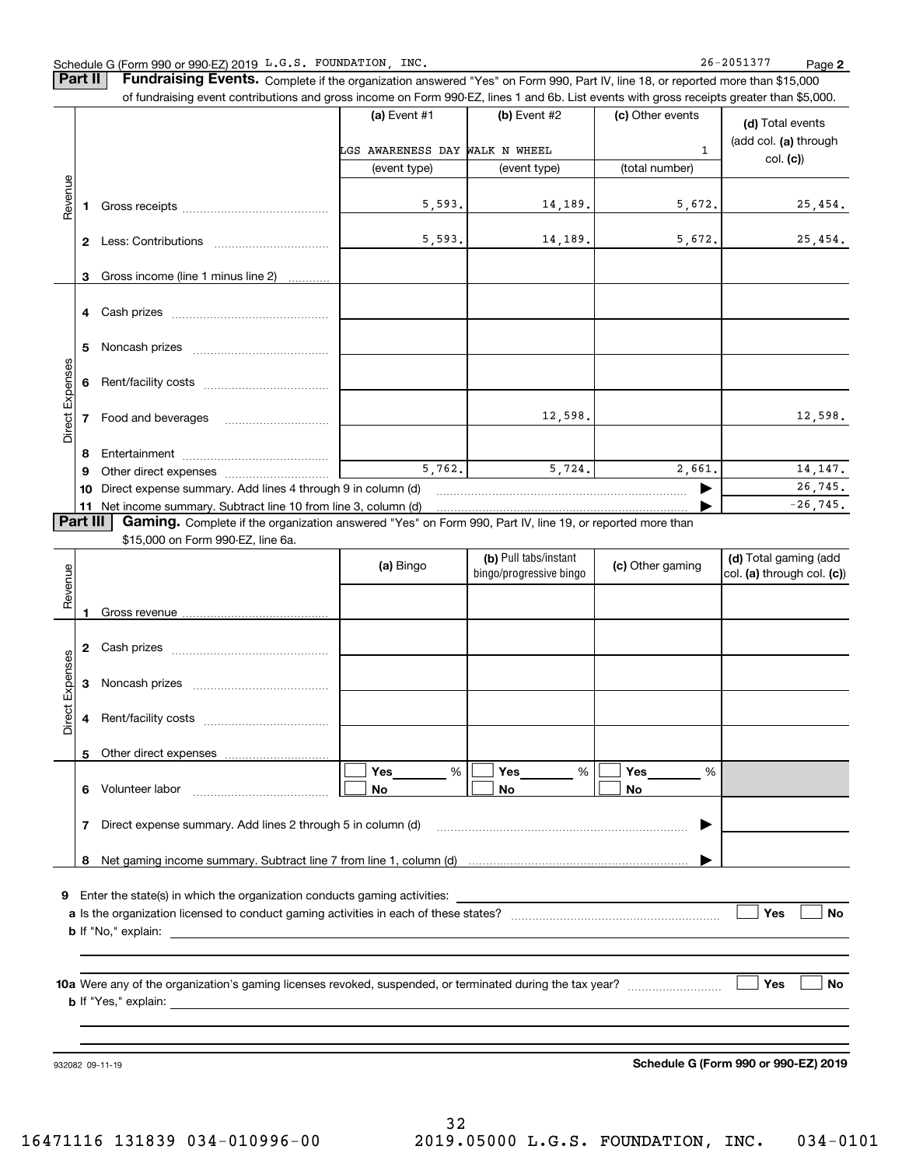**Part II** | Fundraising Events. Complete if the organization answered "Yes" on Form 990, Part IV, line 18, or reported more than \$15,000

|                 |          | of fundraising event contributions and gross income on Form 990-EZ, lines 1 and 6b. List events with gross receipts greater than \$5,000. |                                |                         |                  |                            |
|-----------------|----------|-------------------------------------------------------------------------------------------------------------------------------------------|--------------------------------|-------------------------|------------------|----------------------------|
|                 |          |                                                                                                                                           | (a) Event #1                   | (b) Event #2            | (c) Other events | (d) Total events           |
|                 |          |                                                                                                                                           |                                |                         |                  | (add col. (a) through      |
|                 |          |                                                                                                                                           | LGS AWARENESS DAY WALK N WHEEL |                         | $\mathbf{1}$     | col. (c)                   |
|                 |          |                                                                                                                                           | (event type)                   | (event type)            | (total number)   |                            |
| Revenue         |          |                                                                                                                                           |                                |                         |                  |                            |
|                 |          |                                                                                                                                           | 5,593.                         | 14, 189.                | 5,672.           | 25,454.                    |
|                 |          |                                                                                                                                           |                                |                         |                  |                            |
|                 |          |                                                                                                                                           | 5,593.                         | 14, 189.                | 5,672.           | 25,454.                    |
|                 |          |                                                                                                                                           |                                |                         |                  |                            |
|                 | 3        | Gross income (line 1 minus line 2)                                                                                                        |                                |                         |                  |                            |
|                 |          |                                                                                                                                           |                                |                         |                  |                            |
|                 |          |                                                                                                                                           |                                |                         |                  |                            |
|                 | 5        |                                                                                                                                           |                                |                         |                  |                            |
|                 |          |                                                                                                                                           |                                |                         |                  |                            |
|                 |          |                                                                                                                                           |                                |                         |                  |                            |
|                 |          |                                                                                                                                           |                                |                         |                  |                            |
| Direct Expenses |          |                                                                                                                                           |                                | 12,598.                 |                  | 12,598.                    |
|                 |          |                                                                                                                                           |                                |                         |                  |                            |
|                 | 8        |                                                                                                                                           |                                |                         |                  |                            |
|                 | 9        |                                                                                                                                           | 5,762.                         | 5,724.                  | 2,661.           | 14, 147.                   |
|                 | 10       | Direct expense summary. Add lines 4 through 9 in column (d)                                                                               |                                |                         | ▶                | 26,745.                    |
|                 |          | 11 Net income summary. Subtract line 10 from line 3, column (d)                                                                           |                                |                         |                  | $-26, 745.$                |
|                 | Part III | Gaming. Complete if the organization answered "Yes" on Form 990, Part IV, line 19, or reported more than                                  |                                |                         |                  |                            |
|                 |          | \$15,000 on Form 990-EZ, line 6a.                                                                                                         |                                |                         |                  |                            |
|                 |          |                                                                                                                                           | (a) Bingo                      | (b) Pull tabs/instant   | (c) Other gaming | (d) Total gaming (add      |
| Revenue         |          |                                                                                                                                           |                                | bingo/progressive bingo |                  | col. (a) through col. (c)) |
|                 |          |                                                                                                                                           |                                |                         |                  |                            |
|                 |          |                                                                                                                                           |                                |                         |                  |                            |
|                 |          |                                                                                                                                           |                                |                         |                  |                            |
|                 |          |                                                                                                                                           |                                |                         |                  |                            |
| Expenses        |          |                                                                                                                                           |                                |                         |                  |                            |
|                 | 3        |                                                                                                                                           |                                |                         |                  |                            |
|                 |          |                                                                                                                                           |                                |                         |                  |                            |
| Direct          |          |                                                                                                                                           |                                |                         |                  |                            |
|                 |          |                                                                                                                                           |                                |                         |                  |                            |
|                 |          | 5 Other direct expenses                                                                                                                   |                                |                         |                  |                            |
|                 |          |                                                                                                                                           | Yes<br>%                       | Yes<br>%                | Yes<br>%         |                            |
|                 |          | 6 Volunteer labor                                                                                                                         | No                             | No                      | No.              |                            |
|                 |          |                                                                                                                                           |                                |                         |                  |                            |
|                 | 7        | Direct expense summary. Add lines 2 through 5 in column (d)                                                                               |                                |                         | ▶                |                            |
|                 |          |                                                                                                                                           |                                |                         |                  |                            |
|                 |          |                                                                                                                                           |                                |                         |                  |                            |
|                 |          | 9 Enter the state(s) in which the organization conducts gaming activities:                                                                |                                |                         |                  |                            |
|                 |          |                                                                                                                                           |                                |                         |                  | Yes<br>No                  |
|                 |          |                                                                                                                                           |                                |                         |                  |                            |
|                 |          |                                                                                                                                           |                                |                         |                  |                            |
|                 |          |                                                                                                                                           |                                |                         |                  |                            |
|                 |          |                                                                                                                                           |                                |                         |                  | <b>Yes</b><br>No           |
|                 |          |                                                                                                                                           |                                |                         |                  |                            |
|                 |          |                                                                                                                                           |                                |                         |                  |                            |
|                 |          |                                                                                                                                           |                                |                         |                  |                            |
|                 |          |                                                                                                                                           |                                |                         |                  |                            |

932082 09-11-19

**Schedule G (Form 990 or 990-EZ) 2019**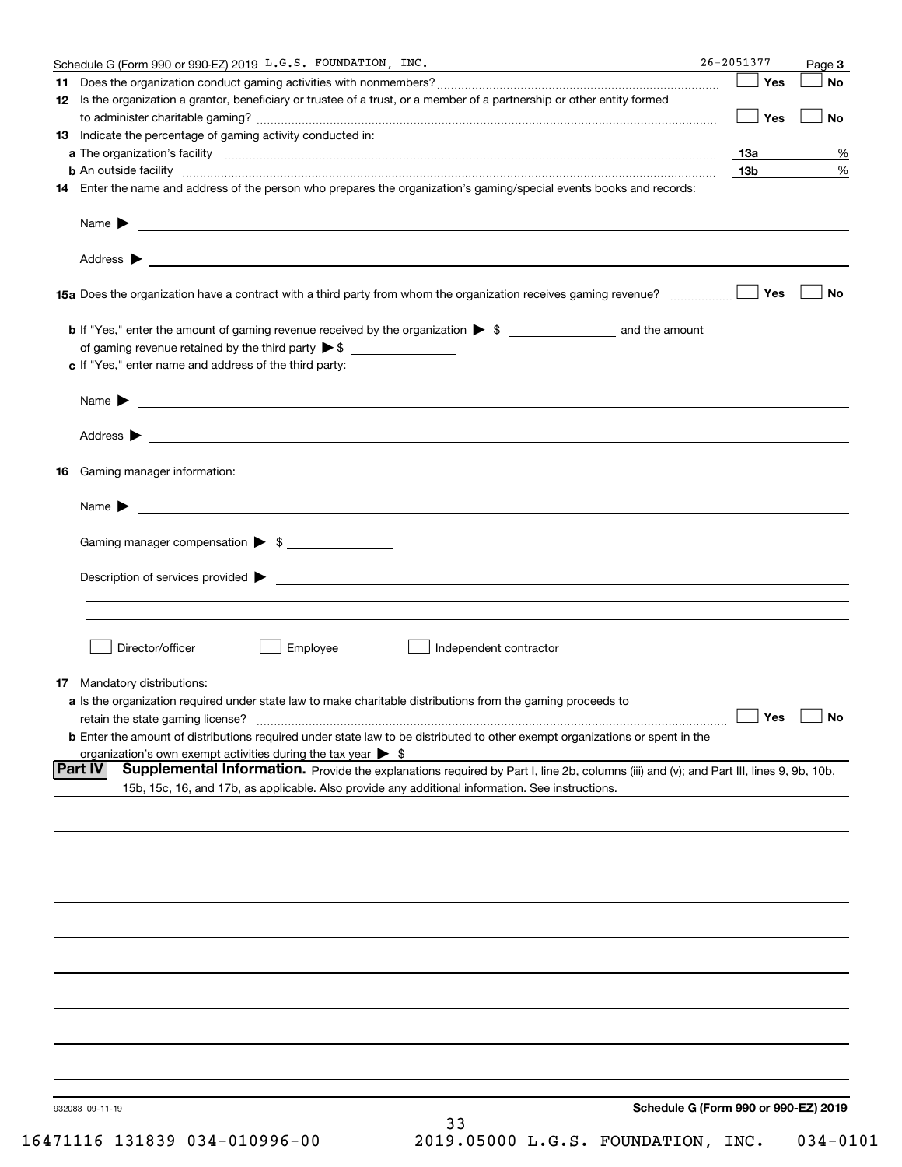|    | Schedule G (Form 990 or 990-EZ) 2019 L.G.S. FOUNDATION, INC.                                                                                                                                                                       | 26-2051377 |                 | Page 3               |
|----|------------------------------------------------------------------------------------------------------------------------------------------------------------------------------------------------------------------------------------|------------|-----------------|----------------------|
|    |                                                                                                                                                                                                                                    |            | Yes             | <b>No</b>            |
|    | 12 Is the organization a grantor, beneficiary or trustee of a trust, or a member of a partnership or other entity formed                                                                                                           |            |                 |                      |
|    |                                                                                                                                                                                                                                    |            | $\Box$ Yes      | No                   |
|    | 13 Indicate the percentage of gaming activity conducted in:                                                                                                                                                                        |            |                 |                      |
|    |                                                                                                                                                                                                                                    |            | 13a             | %                    |
|    | <b>b</b> An outside facility <i>www.communicality www.communicality.communicality www.communicality www.communicality.com</i>                                                                                                      |            | 13 <sub>b</sub> | %                    |
|    | 14 Enter the name and address of the person who prepares the organization's gaming/special events books and records:                                                                                                               |            |                 |                      |
|    |                                                                                                                                                                                                                                    |            |                 |                      |
|    |                                                                                                                                                                                                                                    |            |                 |                      |
|    |                                                                                                                                                                                                                                    |            | Yes             | No                   |
|    |                                                                                                                                                                                                                                    |            |                 |                      |
|    |                                                                                                                                                                                                                                    |            |                 |                      |
|    | c If "Yes," enter name and address of the third party:                                                                                                                                                                             |            |                 |                      |
|    |                                                                                                                                                                                                                                    |            |                 |                      |
|    |                                                                                                                                                                                                                                    |            |                 |                      |
|    |                                                                                                                                                                                                                                    |            |                 |                      |
|    |                                                                                                                                                                                                                                    |            |                 |                      |
| 16 | Gaming manager information:                                                                                                                                                                                                        |            |                 |                      |
|    | Name $\blacktriangleright$ $\frac{1}{\sqrt{1-\frac{1}{2}}\left(1-\frac{1}{2}\right)}$                                                                                                                                              |            |                 |                      |
|    | Gaming manager compensation > \$                                                                                                                                                                                                   |            |                 |                      |
|    |                                                                                                                                                                                                                                    |            |                 |                      |
|    |                                                                                                                                                                                                                                    |            |                 |                      |
|    |                                                                                                                                                                                                                                    |            |                 |                      |
|    |                                                                                                                                                                                                                                    |            |                 |                      |
|    | Employee<br>Director/officer<br>Independent contractor                                                                                                                                                                             |            |                 |                      |
|    |                                                                                                                                                                                                                                    |            |                 |                      |
|    | 17 Mandatory distributions:                                                                                                                                                                                                        |            |                 |                      |
|    | a Is the organization required under state law to make charitable distributions from the gaming proceeds to                                                                                                                        |            |                 |                      |
|    | retain the state gaming license?                                                                                                                                                                                                   |            |                 | $\Box$ Yes $\Box$ No |
|    | <b>b</b> Enter the amount of distributions required under state law to be distributed to other exempt organizations or spent in the                                                                                                |            |                 |                      |
|    | organization's own exempt activities during the tax year $\triangleright$ \$<br>Supplemental Information. Provide the explanations required by Part I, line 2b, columns (iii) and (v); and Part III, lines 9, 9b, 10b,<br> Part IV |            |                 |                      |
|    | 15b, 15c, 16, and 17b, as applicable. Also provide any additional information. See instructions.                                                                                                                                   |            |                 |                      |
|    |                                                                                                                                                                                                                                    |            |                 |                      |
|    |                                                                                                                                                                                                                                    |            |                 |                      |
|    |                                                                                                                                                                                                                                    |            |                 |                      |
|    |                                                                                                                                                                                                                                    |            |                 |                      |
|    |                                                                                                                                                                                                                                    |            |                 |                      |
|    |                                                                                                                                                                                                                                    |            |                 |                      |
|    |                                                                                                                                                                                                                                    |            |                 |                      |
|    |                                                                                                                                                                                                                                    |            |                 |                      |
|    |                                                                                                                                                                                                                                    |            |                 |                      |
|    |                                                                                                                                                                                                                                    |            |                 |                      |
|    |                                                                                                                                                                                                                                    |            |                 |                      |
|    |                                                                                                                                                                                                                                    |            |                 |                      |
|    |                                                                                                                                                                                                                                    |            |                 |                      |
|    | Schedule G (Form 990 or 990-EZ) 2019<br>932083 09-11-19                                                                                                                                                                            |            |                 |                      |
|    | 33<br>$71116$ 131930 034 01096 00<br>2019 05000 T C C FOUNDATION TNC                                                                                                                                                               |            |                 | $0.31 - 0$           |

16471116 131839 034-010996-00 2019.05000 L.G.S. FOUNDATION, INC. 034-0101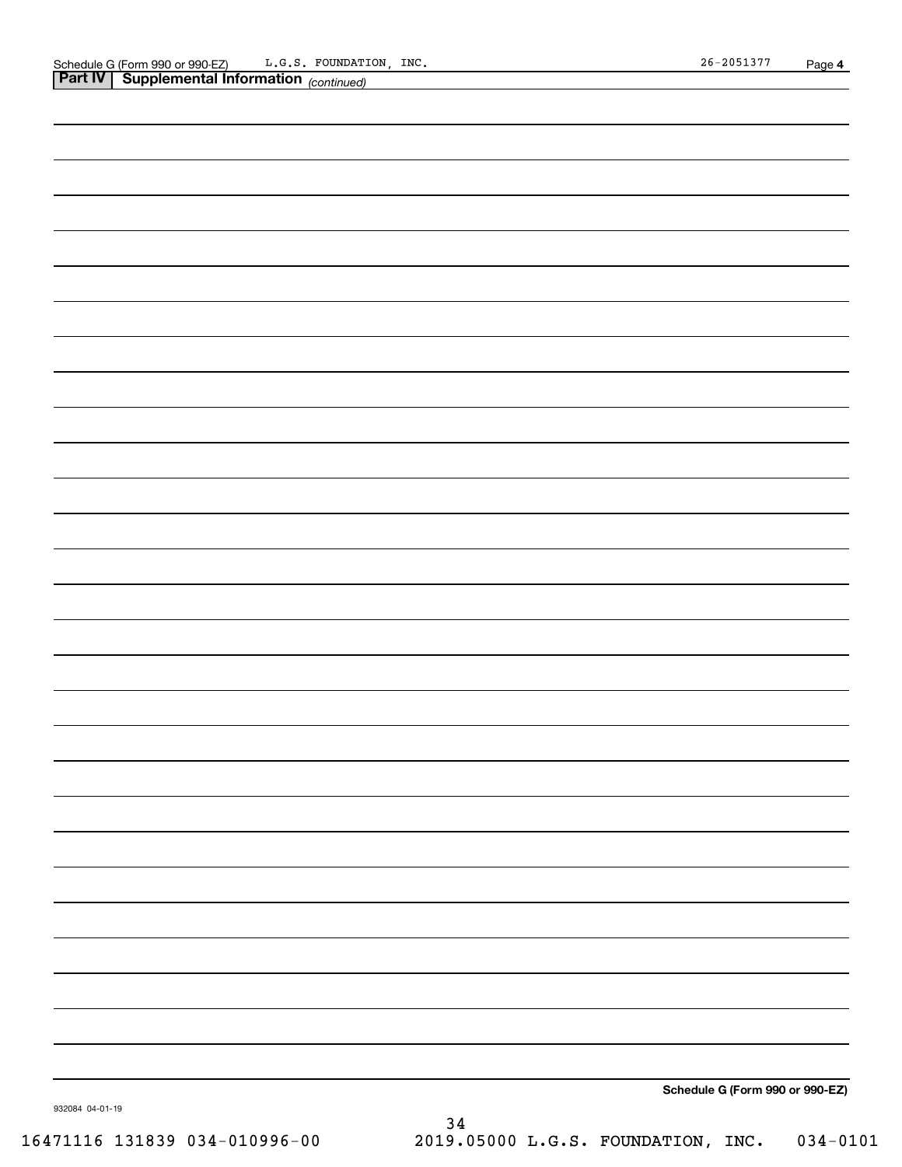|                 | <b>Part IV   Supplemental Information</b> (continued) |
|-----------------|-------------------------------------------------------|
|                 |                                                       |
|                 |                                                       |
|                 |                                                       |
|                 |                                                       |
|                 |                                                       |
|                 |                                                       |
|                 |                                                       |
|                 |                                                       |
|                 |                                                       |
|                 |                                                       |
|                 |                                                       |
|                 |                                                       |
|                 |                                                       |
|                 |                                                       |
|                 |                                                       |
|                 |                                                       |
|                 |                                                       |
|                 |                                                       |
|                 |                                                       |
|                 |                                                       |
|                 |                                                       |
|                 |                                                       |
|                 |                                                       |
|                 |                                                       |
|                 |                                                       |
|                 |                                                       |
|                 |                                                       |
|                 |                                                       |
|                 |                                                       |
|                 |                                                       |
|                 |                                                       |
|                 |                                                       |
|                 |                                                       |
|                 |                                                       |
|                 |                                                       |
|                 |                                                       |
|                 |                                                       |
|                 |                                                       |
|                 |                                                       |
|                 |                                                       |
|                 |                                                       |
|                 | Schedule G (Form 990 or 990-EZ)                       |
| 932084 04-01-19 |                                                       |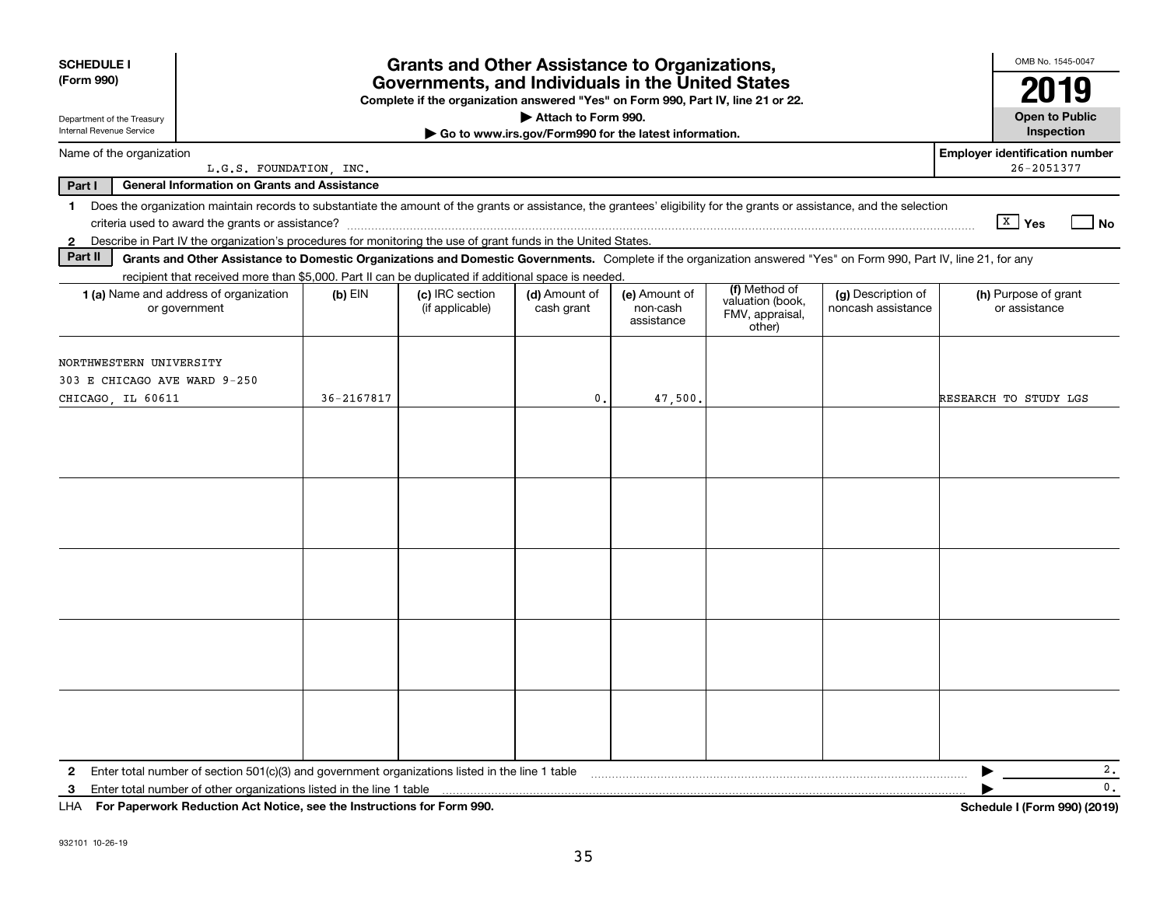| <b>SCHEDULE I</b><br>(Form 990)                                                                                                                                                |            | <b>Grants and Other Assistance to Organizations,</b><br>Governments, and Individuals in the United States<br>Complete if the organization answered "Yes" on Form 990, Part IV, line 21 or 22. |                                                                              |                                         |                                               |                                          | OMB No. 1545-0047<br>2019                           |
|--------------------------------------------------------------------------------------------------------------------------------------------------------------------------------|------------|-----------------------------------------------------------------------------------------------------------------------------------------------------------------------------------------------|------------------------------------------------------------------------------|-----------------------------------------|-----------------------------------------------|------------------------------------------|-----------------------------------------------------|
| Department of the Treasury<br>Internal Revenue Service                                                                                                                         |            |                                                                                                                                                                                               | Attach to Form 990.<br>Go to www.irs.gov/Form990 for the latest information. |                                         |                                               |                                          | <b>Open to Public</b><br>Inspection                 |
| Name of the organization<br>L.G.S. FOUNDATION, INC.                                                                                                                            |            |                                                                                                                                                                                               |                                                                              |                                         |                                               |                                          | <b>Employer identification number</b><br>26-2051377 |
| <b>General Information on Grants and Assistance</b><br>Part I                                                                                                                  |            |                                                                                                                                                                                               |                                                                              |                                         |                                               |                                          |                                                     |
| Does the organization maintain records to substantiate the amount of the grants or assistance, the grantees' eligibility for the grants or assistance, and the selection<br>1. |            |                                                                                                                                                                                               |                                                                              |                                         |                                               |                                          | $X$ Yes<br><b>No</b>                                |
| Describe in Part IV the organization's procedures for monitoring the use of grant funds in the United States.<br>$\mathbf{2}$                                                  |            |                                                                                                                                                                                               |                                                                              |                                         |                                               |                                          |                                                     |
| Part II<br>Grants and Other Assistance to Domestic Organizations and Domestic Governments. Complete if the organization answered "Yes" on Form 990, Part IV, line 21, for any  |            |                                                                                                                                                                                               |                                                                              |                                         |                                               |                                          |                                                     |
| recipient that received more than \$5,000. Part II can be duplicated if additional space is needed.                                                                            |            |                                                                                                                                                                                               |                                                                              |                                         | (f) Method of                                 |                                          |                                                     |
| 1 (a) Name and address of organization<br>or government                                                                                                                        | $(b)$ EIN  | (c) IRC section<br>(if applicable)                                                                                                                                                            | (d) Amount of<br>cash grant                                                  | (e) Amount of<br>non-cash<br>assistance | valuation (book,<br>FMV, appraisal,<br>other) | (g) Description of<br>noncash assistance | (h) Purpose of grant<br>or assistance               |
| NORTHWESTERN UNIVERSITY<br>303 E CHICAGO AVE WARD 9-250                                                                                                                        |            |                                                                                                                                                                                               |                                                                              |                                         |                                               |                                          |                                                     |
| CHICAGO, IL 60611                                                                                                                                                              | 36-2167817 |                                                                                                                                                                                               | 0.                                                                           | 47,500,                                 |                                               |                                          | RESEARCH TO STUDY LGS                               |
|                                                                                                                                                                                |            |                                                                                                                                                                                               |                                                                              |                                         |                                               |                                          |                                                     |
|                                                                                                                                                                                |            |                                                                                                                                                                                               |                                                                              |                                         |                                               |                                          |                                                     |
|                                                                                                                                                                                |            |                                                                                                                                                                                               |                                                                              |                                         |                                               |                                          |                                                     |
|                                                                                                                                                                                |            |                                                                                                                                                                                               |                                                                              |                                         |                                               |                                          |                                                     |
|                                                                                                                                                                                |            |                                                                                                                                                                                               |                                                                              |                                         |                                               |                                          |                                                     |
| Enter total number of section 501(c)(3) and government organizations listed in the line 1 table<br>2                                                                           |            |                                                                                                                                                                                               |                                                                              |                                         |                                               |                                          | 2.                                                  |
| Enter total number of other organizations listed in the line 1 table<br>З<br>For Paperwork Reduction Act Notice, see the Instructions for Form 990.<br>LHA                     |            |                                                                                                                                                                                               |                                                                              |                                         |                                               |                                          | $\mathbf{0}$ .<br>Schedule I (Form 990) (2019)      |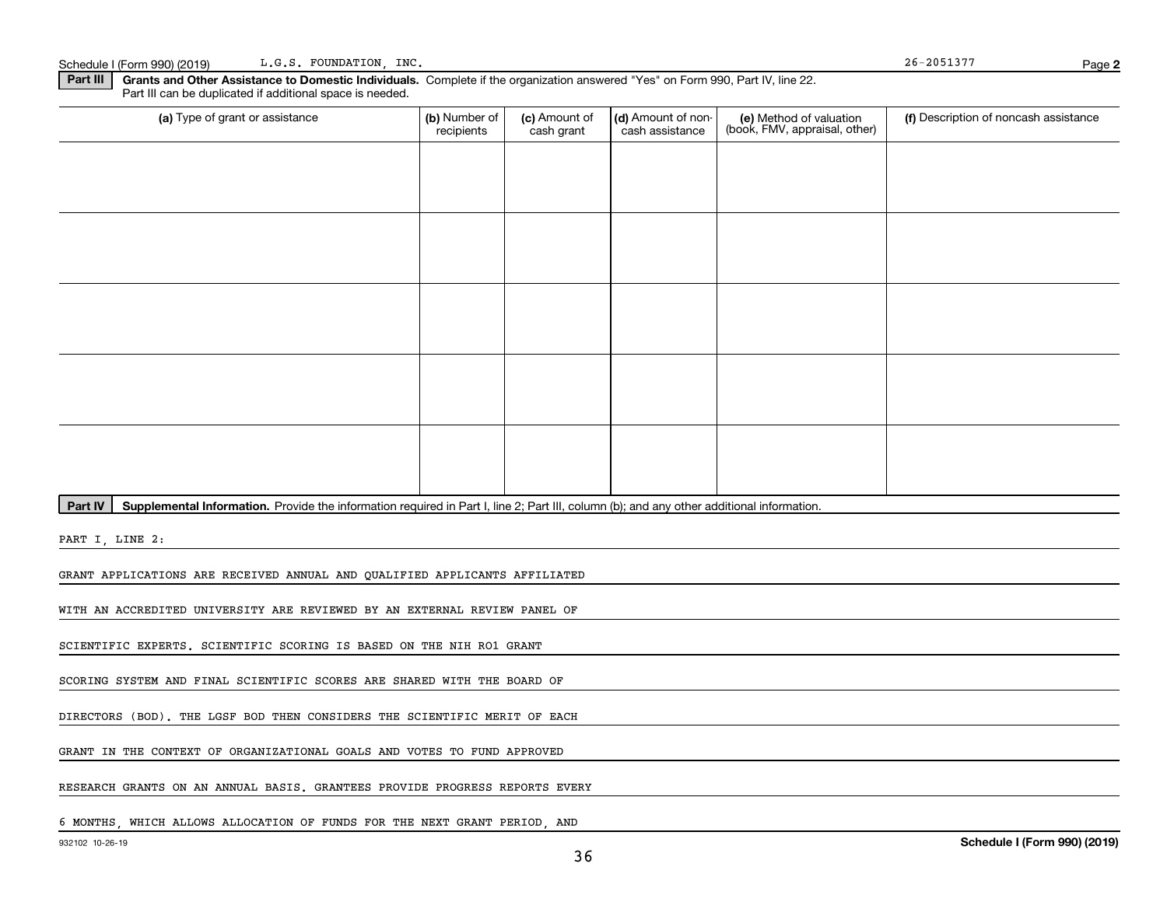Schedule I (Form 990) (2019) L.G.S. FOUNDATION, INC. Sample 26-2051377 L.G.S. FOUNDATION, INC.

**2**

**Part III | Grants and Other Assistance to Domestic Individuals. Complete if the organization answered "Yes" on Form 990, Part IV, line 22.** Part III can be duplicated if additional space is needed.

| (a) Type of grant or assistance                                                                                                                      | (b) Number of<br>recipients | (c) Amount of<br>cash grant | (d) Amount of non-<br>cash assistance | (e) Method of valuation<br>(book, FMV, appraisal, other) | (f) Description of noncash assistance |
|------------------------------------------------------------------------------------------------------------------------------------------------------|-----------------------------|-----------------------------|---------------------------------------|----------------------------------------------------------|---------------------------------------|
|                                                                                                                                                      |                             |                             |                                       |                                                          |                                       |
|                                                                                                                                                      |                             |                             |                                       |                                                          |                                       |
|                                                                                                                                                      |                             |                             |                                       |                                                          |                                       |
|                                                                                                                                                      |                             |                             |                                       |                                                          |                                       |
|                                                                                                                                                      |                             |                             |                                       |                                                          |                                       |
|                                                                                                                                                      |                             |                             |                                       |                                                          |                                       |
|                                                                                                                                                      |                             |                             |                                       |                                                          |                                       |
|                                                                                                                                                      |                             |                             |                                       |                                                          |                                       |
|                                                                                                                                                      |                             |                             |                                       |                                                          |                                       |
|                                                                                                                                                      |                             |                             |                                       |                                                          |                                       |
| Part IV<br>Supplemental Information. Provide the information required in Part I, line 2; Part III, column (b); and any other additional information. |                             |                             |                                       |                                                          |                                       |

PART I, LINE 2:

GRANT APPLICATIONS ARE RECEIVED ANNUAL AND QUALIFIED APPLICANTS AFFILIATED

WITH AN ACCREDITED UNIVERSITY ARE REVIEWED BY AN EXTERNAL REVIEW PANEL OF

SCIENTIFIC EXPERTS. SCIENTIFIC SCORING IS BASED ON THE NIH RO1 GRANT

SCORING SYSTEM AND FINAL SCIENTIFIC SCORES ARE SHARED WITH THE BOARD OF

DIRECTORS (BOD). THE LGSF BOD THEN CONSIDERS THE SCIENTIFIC MERIT OF EACH

GRANT IN THE CONTEXT OF ORGANIZATIONAL GOALS AND VOTES TO FUND APPROVED

RESEARCH GRANTS ON AN ANNUAL BASIS. GRANTEES PROVIDE PROGRESS REPORTS EVERY

6 MONTHS, WHICH ALLOWS ALLOCATION OF FUNDS FOR THE NEXT GRANT PERIOD, AND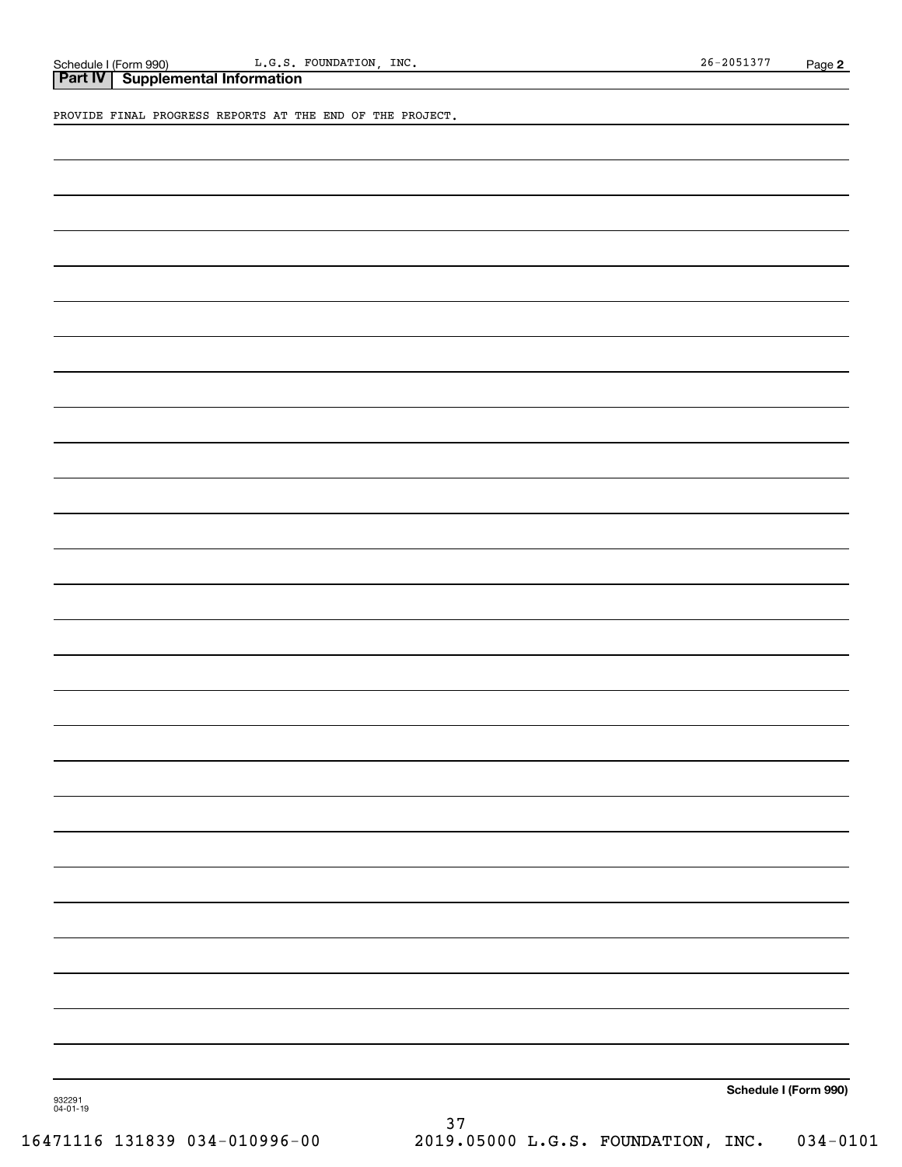PROVIDE FINAL PROGRESS REPORTS AT THE END OF THE PROJECT.

**Schedule I (Form 990)**

932291 04-01-19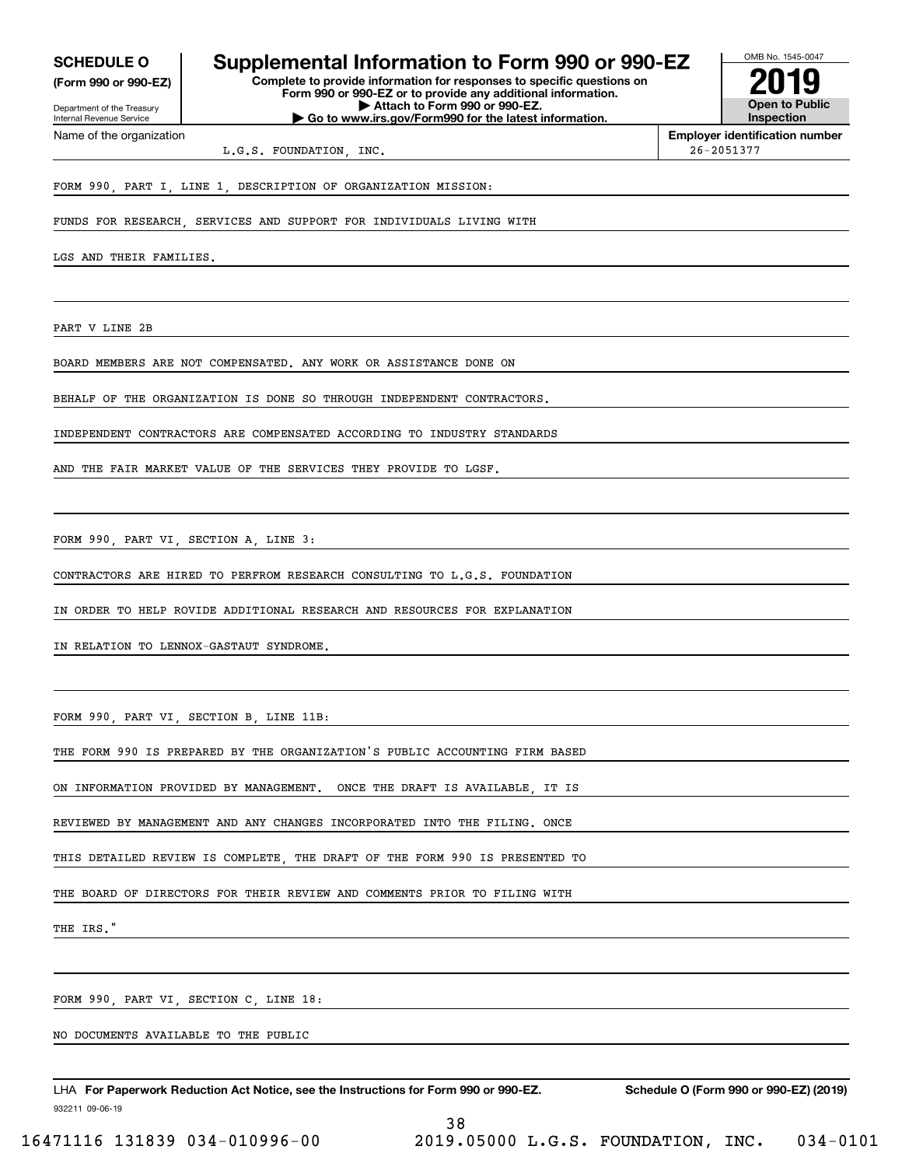**(Form 990 or 990-EZ)**

Department of the Treasury Internal Revenue Service Name of the organization

## **SCHEDULE O Supplemental Information to Form 990 or 990-EZ**

**Complete to provide information for responses to specific questions on Form 990 or 990-EZ or to provide any additional information. | Attach to Form 990 or 990-EZ. | Go to www.irs.gov/Form990 for the latest information.**



**Employer identification number**

L.G.S. FOUNDATION, INC. 26-2051377

FORM 990, PART I, LINE 1, DESCRIPTION OF ORGANIZATION MISSION:

FUNDS FOR RESEARCH, SERVICES AND SUPPORT FOR INDIVIDUALS LIVING WITH

LGS AND THEIR FAMILIES.

PART V LINE 2B

BOARD MEMBERS ARE NOT COMPENSATED. ANY WORK OR ASSISTANCE DONE ON

BEHALF OF THE ORGANIZATION IS DONE SO THROUGH INDEPENDENT CONTRACTORS.

INDEPENDENT CONTRACTORS ARE COMPENSATED ACCORDING TO INDUSTRY STANDARDS

AND THE FAIR MARKET VALUE OF THE SERVICES THEY PROVIDE TO LGSF.

FORM 990, PART VI, SECTION A, LINE 3:

CONTRACTORS ARE HIRED TO PERFROM RESEARCH CONSULTING TO L.G.S. FOUNDATION

IN ORDER TO HELP ROVIDE ADDITIONAL RESEARCH AND RESOURCES FOR EXPLANATION

IN RELATION TO LENNOX-GASTAUT SYNDROME.

FORM 990, PART VI, SECTION B, LINE 11B:

THE FORM 990 IS PREPARED BY THE ORGANIZATION'S PUBLIC ACCOUNTING FIRM BASED

ON INFORMATION PROVIDED BY MANAGEMENT. ONCE THE DRAFT IS AVAILABLE, IT IS

REVIEWED BY MANAGEMENT AND ANY CHANGES INCORPORATED INTO THE FILING. ONCE

THIS DETAILED REVIEW IS COMPLETE THE DRAFT OF THE FORM 990 IS PRESENTED TO

THE BOARD OF DIRECTORS FOR THEIR REVIEW AND COMMENTS PRIOR TO FILING WITH

THE IRS."

FORM 990, PART VI, SECTION C, LINE 18:

NO DOCUMENTS AVAILABLE TO THE PUBLIC

932211 09-06-19 LHA For Paperwork Reduction Act Notice, see the Instructions for Form 990 or 990-EZ. Schedule O (Form 990 or 990-EZ) (2019)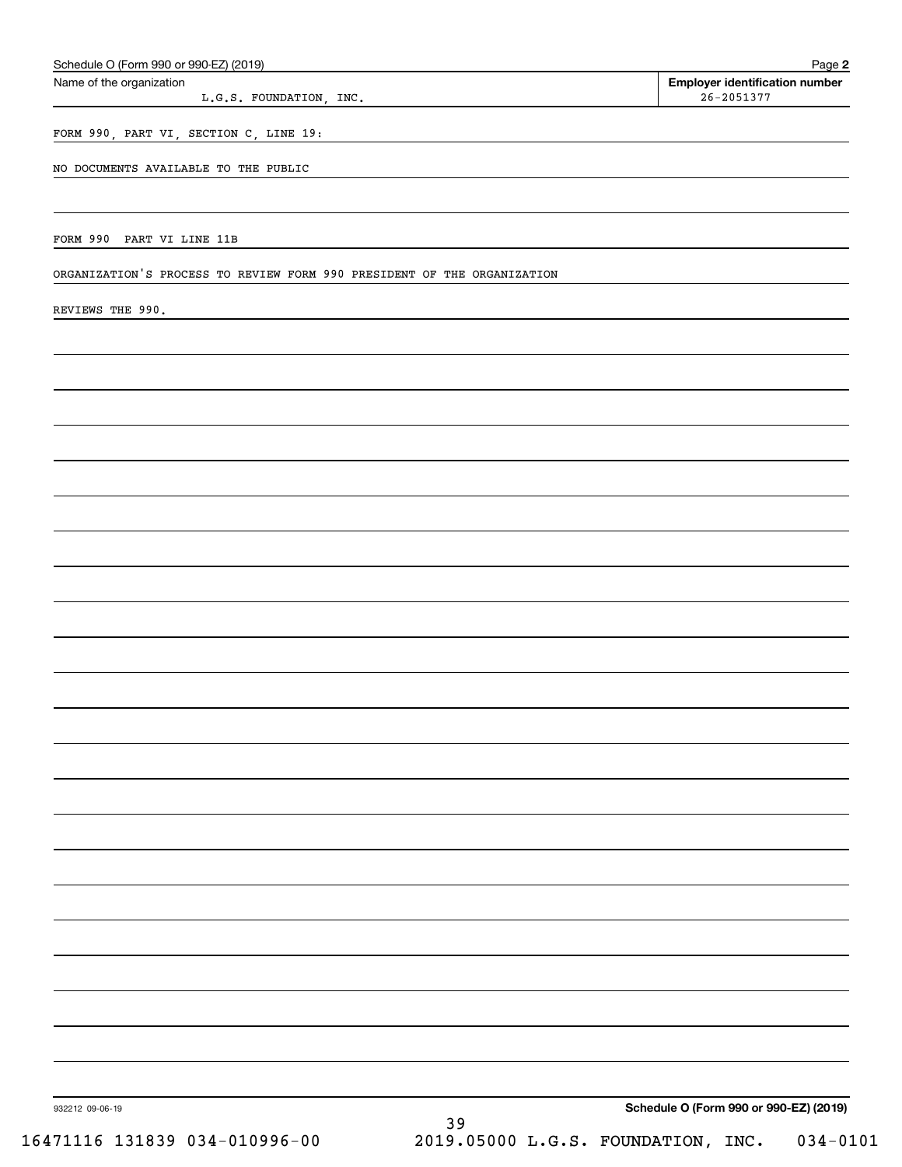| Name of the organization                                                | Employer identification number         |
|-------------------------------------------------------------------------|----------------------------------------|
| L.G.S. FOUNDATION, INC.                                                 | $26 - 2051377$                         |
| FORM 990, PART VI, SECTION C, LINE 19:                                  |                                        |
|                                                                         |                                        |
| NO DOCUMENTS AVAILABLE TO THE PUBLIC                                    |                                        |
|                                                                         |                                        |
| FORM 990 PART VI LINE 11B                                               |                                        |
|                                                                         |                                        |
| ORGANIZATION'S PROCESS TO REVIEW FORM 990 PRESIDENT OF THE ORGANIZATION |                                        |
| REVIEWS THE 990.                                                        |                                        |
|                                                                         |                                        |
|                                                                         |                                        |
|                                                                         |                                        |
|                                                                         |                                        |
|                                                                         |                                        |
|                                                                         |                                        |
|                                                                         |                                        |
|                                                                         |                                        |
|                                                                         |                                        |
|                                                                         |                                        |
|                                                                         |                                        |
|                                                                         |                                        |
|                                                                         |                                        |
|                                                                         |                                        |
|                                                                         |                                        |
|                                                                         |                                        |
|                                                                         |                                        |
|                                                                         |                                        |
|                                                                         |                                        |
|                                                                         |                                        |
|                                                                         |                                        |
|                                                                         |                                        |
|                                                                         |                                        |
|                                                                         |                                        |
|                                                                         |                                        |
|                                                                         |                                        |
|                                                                         |                                        |
|                                                                         |                                        |
|                                                                         |                                        |
|                                                                         |                                        |
|                                                                         |                                        |
|                                                                         |                                        |
| 932212 09-06-19<br>39                                                   | Schedule O (Form 990 or 990-EZ) (2019) |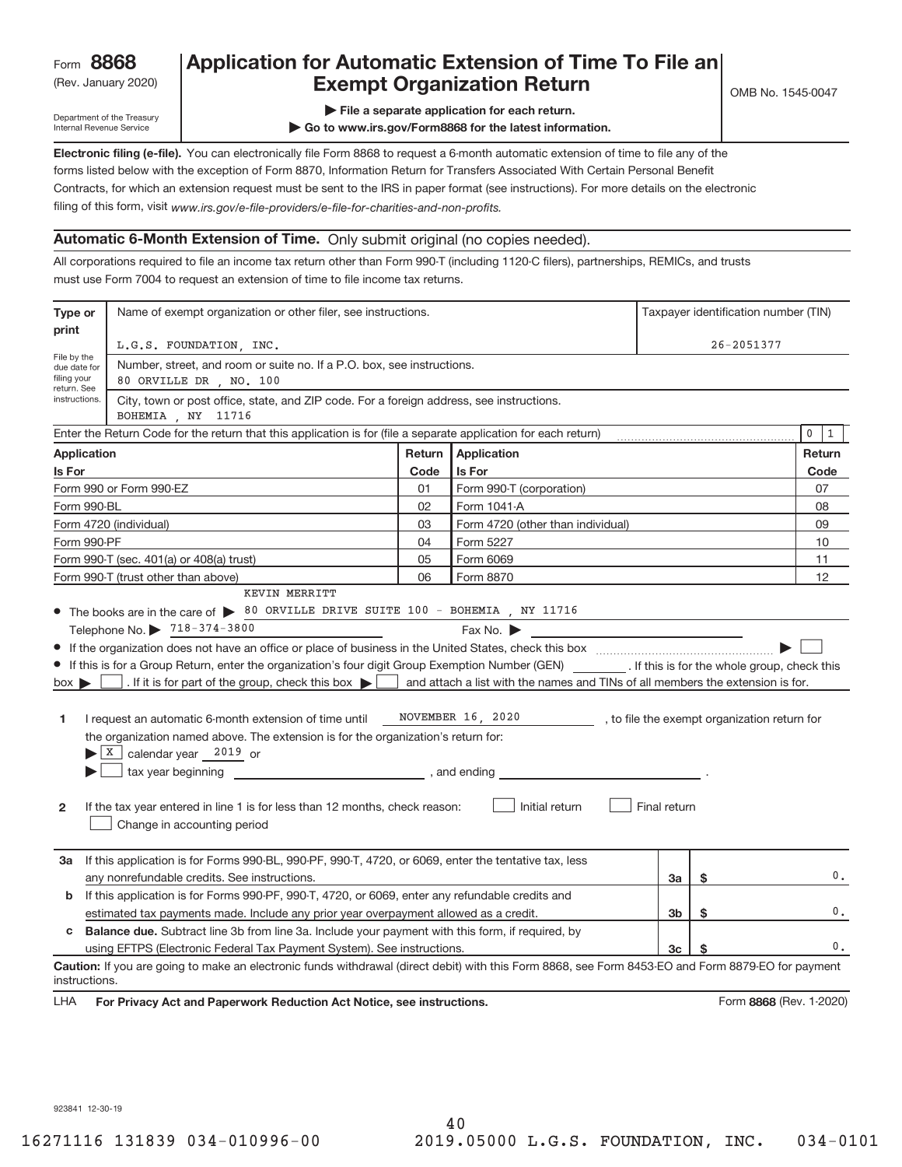## Rev. January 2020) **Cxempt Organization Return** Manuary 2020 and the Sea of the Sea of the Sea of the Sea of the S **Application for Automatic Extension of Time To File an**

Department of the Treasury Internal Revenue Service

**| File a separate application for each return.**

**| Go to www.irs.gov/Form8868 for the latest information.**

**Electronic filing (e‐file).**  You can electronically file Form 8868 to request a 6‐month automatic extension of time to file any of the filing of this form, visit www.irs.gov/e-file-providers/e-file-for-charities-and-non-profits. forms listed below with the exception of Form 8870, Information Return for Transfers Associated With Certain Personal Benefit Contracts, for which an extension request must be sent to the IRS in paper format (see instructions). For more details on the electronic

#### **Automatic 6‐Month Extension of Time.** Only submit original (no copies needed).

All corporations required to file an income tax return other than Form 990‐T (including 1120‐C filers), partnerships, REMICs, and trusts must use Form 7004 to request an extension of time to file income tax returns.

| Type or                                    | Name of exempt organization or other filer, see instructions.                                                                                                                                                                                                                                                                                                                                                                                                                                                                                                                                                                                                                                                                                                                                                  |        | Taxpayer identification number (TIN)                                                                                       |              |    |                         |  |
|--------------------------------------------|----------------------------------------------------------------------------------------------------------------------------------------------------------------------------------------------------------------------------------------------------------------------------------------------------------------------------------------------------------------------------------------------------------------------------------------------------------------------------------------------------------------------------------------------------------------------------------------------------------------------------------------------------------------------------------------------------------------------------------------------------------------------------------------------------------------|--------|----------------------------------------------------------------------------------------------------------------------------|--------------|----|-------------------------|--|
| print                                      | L.G.S. FOUNDATION, INC.                                                                                                                                                                                                                                                                                                                                                                                                                                                                                                                                                                                                                                                                                                                                                                                        |        |                                                                                                                            |              |    | 26-2051377              |  |
| File by the<br>due date for<br>filing your | Number, street, and room or suite no. If a P.O. box, see instructions.<br>80 ORVILLE DR , NO. 100                                                                                                                                                                                                                                                                                                                                                                                                                                                                                                                                                                                                                                                                                                              |        |                                                                                                                            |              |    |                         |  |
| return. See<br>instructions.               | City, town or post office, state, and ZIP code. For a foreign address, see instructions.<br>BOHEMIA , NY 11716                                                                                                                                                                                                                                                                                                                                                                                                                                                                                                                                                                                                                                                                                                 |        |                                                                                                                            |              |    |                         |  |
|                                            | Enter the Return Code for the return that this application is for (file a separate application for each return)                                                                                                                                                                                                                                                                                                                                                                                                                                                                                                                                                                                                                                                                                                |        |                                                                                                                            |              |    | $\mathsf{O}$<br>1       |  |
| Application                                |                                                                                                                                                                                                                                                                                                                                                                                                                                                                                                                                                                                                                                                                                                                                                                                                                | Return | <b>Application</b>                                                                                                         |              |    | Return                  |  |
| Is For                                     |                                                                                                                                                                                                                                                                                                                                                                                                                                                                                                                                                                                                                                                                                                                                                                                                                | Code   | Is For                                                                                                                     |              |    | Code                    |  |
|                                            | Form 990 or Form 990-EZ                                                                                                                                                                                                                                                                                                                                                                                                                                                                                                                                                                                                                                                                                                                                                                                        | 01     | Form 990-T (corporation)                                                                                                   |              |    | 07                      |  |
| Form 990-BL                                |                                                                                                                                                                                                                                                                                                                                                                                                                                                                                                                                                                                                                                                                                                                                                                                                                | 02     | Form 1041-A                                                                                                                |              |    | 08                      |  |
|                                            | Form 4720 (individual)                                                                                                                                                                                                                                                                                                                                                                                                                                                                                                                                                                                                                                                                                                                                                                                         | 03     | Form 4720 (other than individual)                                                                                          |              |    | 09                      |  |
| Form 990-PF                                |                                                                                                                                                                                                                                                                                                                                                                                                                                                                                                                                                                                                                                                                                                                                                                                                                | 04     | Form 5227                                                                                                                  |              |    | 10                      |  |
|                                            | Form 990-T (sec. 401(a) or 408(a) trust)                                                                                                                                                                                                                                                                                                                                                                                                                                                                                                                                                                                                                                                                                                                                                                       | 05     | Form 6069                                                                                                                  |              |    | 11                      |  |
|                                            | Form 990-T (trust other than above)                                                                                                                                                                                                                                                                                                                                                                                                                                                                                                                                                                                                                                                                                                                                                                            | 06     | Form 8870                                                                                                                  |              |    | 12                      |  |
| $box \triangleright$<br>1<br>$\mathbf{2}$  | • The books are in the care of $\triangleright$ 80 ORVILLE DRIVE SUITE 100 - BOHEMIA, NY 11716<br>Telephone No. 2718-374-3800<br>If this is for a Group Return, enter the organization's four digit Group Exemption Number (GEN) [If this is for the whole group, check this<br>If it is for part of the group, check this box $\blacktriangleright$ and attach a list with the names and TINs of all members the extension is for.<br>I request an automatic 6-month extension of time until<br>the organization named above. The extension is for the organization's return for:<br>$\blacktriangleright$ $\lfloor$ X $\rfloor$ calendar year 2019 or<br>tax year beginning tax year beginning<br>If the tax year entered in line 1 is for less than 12 months, check reason:<br>Change in accounting period |        | Fax No. $\blacktriangleright$<br>NOVEMBER 16, 2020 _________, to file the exempt organization return for<br>Initial return | Final return |    |                         |  |
| За                                         | If this application is for Forms 990-BL, 990-PF, 990-T, 4720, or 6069, enter the tentative tax, less<br>any nonrefundable credits. See instructions.                                                                                                                                                                                                                                                                                                                                                                                                                                                                                                                                                                                                                                                           |        |                                                                                                                            | 3a           | \$ | 0.                      |  |
| b                                          | If this application is for Forms 990-PF, 990-T, 4720, or 6069, enter any refundable credits and                                                                                                                                                                                                                                                                                                                                                                                                                                                                                                                                                                                                                                                                                                                |        |                                                                                                                            |              |    |                         |  |
|                                            | estimated tax payments made. Include any prior year overpayment allowed as a credit.                                                                                                                                                                                                                                                                                                                                                                                                                                                                                                                                                                                                                                                                                                                           |        |                                                                                                                            | 3b           | \$ | $\mathbf 0$ .           |  |
| c                                          | <b>Balance due.</b> Subtract line 3b from line 3a. Include your payment with this form, if required, by                                                                                                                                                                                                                                                                                                                                                                                                                                                                                                                                                                                                                                                                                                        |        |                                                                                                                            |              |    |                         |  |
|                                            | using EFTPS (Electronic Federal Tax Payment System). See instructions.                                                                                                                                                                                                                                                                                                                                                                                                                                                                                                                                                                                                                                                                                                                                         |        |                                                                                                                            | 3c           | \$ | 0.                      |  |
| instructions.<br><b>LHA</b>                | Caution: If you are going to make an electronic funds withdrawal (direct debit) with this Form 8868, see Form 8453-EO and Form 8879-EO for payment<br>For Privacy Act and Paperwork Reduction Act Notice, see instructions.                                                                                                                                                                                                                                                                                                                                                                                                                                                                                                                                                                                    |        |                                                                                                                            |              |    | Form 8868 (Rev. 1-2020) |  |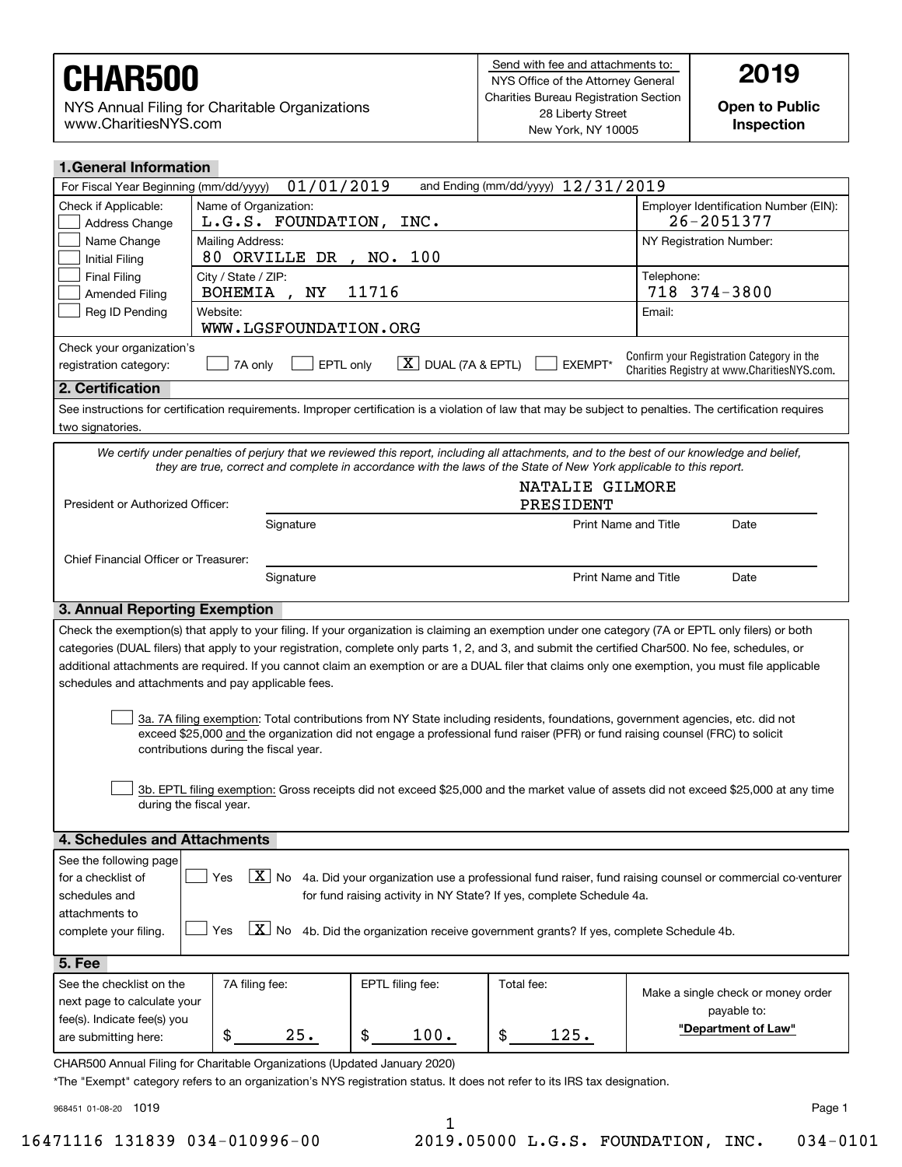NYS Annual Filing for Charitable Organizations www.CharitiesNYS.com

**Open to Public Inspection**

| <b>1.General Information</b>                                                                                                                                                                                                                                                                                                                                                                                                                                    |                                                                            |                  |                                     |                                                                                                                                                            |  |  |
|-----------------------------------------------------------------------------------------------------------------------------------------------------------------------------------------------------------------------------------------------------------------------------------------------------------------------------------------------------------------------------------------------------------------------------------------------------------------|----------------------------------------------------------------------------|------------------|-------------------------------------|------------------------------------------------------------------------------------------------------------------------------------------------------------|--|--|
| 01/01/2019<br>and Ending (mm/dd/yyyy) $12/31/2019$<br>For Fiscal Year Beginning (mm/dd/yyyy)                                                                                                                                                                                                                                                                                                                                                                    |                                                                            |                  |                                     |                                                                                                                                                            |  |  |
| Check if Applicable:<br>Address Change                                                                                                                                                                                                                                                                                                                                                                                                                          | Name of Organization:<br>L.G.S. FOUNDATION, INC.                           |                  |                                     | Employer Identification Number (EIN):<br>26-2051377                                                                                                        |  |  |
| Name Change<br><b>Initial Filing</b>                                                                                                                                                                                                                                                                                                                                                                                                                            | Mailing Address:<br>80 ORVILLE DR , NO. 100                                |                  |                                     | NY Registration Number:                                                                                                                                    |  |  |
| <b>Final Filing</b><br><b>Amended Filing</b>                                                                                                                                                                                                                                                                                                                                                                                                                    | City / State / ZIP:<br>11716<br><b>BOHEMIA</b><br>ΝY                       |                  |                                     | Telephone:<br>718 374-3800                                                                                                                                 |  |  |
| Reg ID Pending                                                                                                                                                                                                                                                                                                                                                                                                                                                  | Website:<br>WWW.LGSFOUNDATION.ORG                                          |                  |                                     | Email:                                                                                                                                                     |  |  |
| Check your organization's                                                                                                                                                                                                                                                                                                                                                                                                                                       |                                                                            |                  |                                     |                                                                                                                                                            |  |  |
| Confirm your Registration Category in the<br>$\boxed{\textbf{X}}$ DUAL (7A & EPTL)<br>7A only<br>EPTL only<br>EXEMPT*<br>registration category:<br>Charities Registry at www.CharitiesNYS.com.                                                                                                                                                                                                                                                                  |                                                                            |                  |                                     |                                                                                                                                                            |  |  |
| 2. Certification                                                                                                                                                                                                                                                                                                                                                                                                                                                |                                                                            |                  |                                     |                                                                                                                                                            |  |  |
| two signatories.                                                                                                                                                                                                                                                                                                                                                                                                                                                |                                                                            |                  |                                     | See instructions for certification requirements. Improper certification is a violation of law that may be subject to penalties. The certification requires |  |  |
| We certify under penalties of perjury that we reviewed this report, including all attachments, and to the best of our knowledge and belief,<br>they are true, correct and complete in accordance with the laws of the State of New York applicable to this report.                                                                                                                                                                                              |                                                                            |                  |                                     |                                                                                                                                                            |  |  |
|                                                                                                                                                                                                                                                                                                                                                                                                                                                                 |                                                                            |                  | NATALIE GILMORE                     |                                                                                                                                                            |  |  |
| President or Authorized Officer:                                                                                                                                                                                                                                                                                                                                                                                                                                |                                                                            |                  | PRESIDENT                           |                                                                                                                                                            |  |  |
| Signature<br><b>Print Name and Title</b><br>Date                                                                                                                                                                                                                                                                                                                                                                                                                |                                                                            |                  |                                     |                                                                                                                                                            |  |  |
| Chief Financial Officer or Treasurer:                                                                                                                                                                                                                                                                                                                                                                                                                           |                                                                            |                  |                                     |                                                                                                                                                            |  |  |
| Signature                                                                                                                                                                                                                                                                                                                                                                                                                                                       |                                                                            |                  | <b>Print Name and Title</b><br>Date |                                                                                                                                                            |  |  |
| 3. Annual Reporting Exemption                                                                                                                                                                                                                                                                                                                                                                                                                                   |                                                                            |                  |                                     |                                                                                                                                                            |  |  |
| Check the exemption(s) that apply to your filing. If your organization is claiming an exemption under one category (7A or EPTL only filers) or both<br>categories (DUAL filers) that apply to your registration, complete only parts 1, 2, and 3, and submit the certified Char500. No fee, schedules, or<br>additional attachments are required. If you cannot claim an exemption or are a DUAL filer that claims only one exemption, you must file applicable |                                                                            |                  |                                     |                                                                                                                                                            |  |  |
| schedules and attachments and pay applicable fees.                                                                                                                                                                                                                                                                                                                                                                                                              |                                                                            |                  |                                     |                                                                                                                                                            |  |  |
| 3a. 7A filing exemption: Total contributions from NY State including residents, foundations, government agencies, etc. did not<br>exceed \$25,000 and the organization did not engage a professional fund raiser (PFR) or fund raising counsel (FRC) to solicit<br>contributions during the fiscal year.                                                                                                                                                        |                                                                            |                  |                                     |                                                                                                                                                            |  |  |
| 3b. EPTL filing exemption: Gross receipts did not exceed \$25,000 and the market value of assets did not exceed \$25,000 at any time<br>during the fiscal year.                                                                                                                                                                                                                                                                                                 |                                                                            |                  |                                     |                                                                                                                                                            |  |  |
| <b>4. Schedules and Attachments</b>                                                                                                                                                                                                                                                                                                                                                                                                                             |                                                                            |                  |                                     |                                                                                                                                                            |  |  |
| See the following page<br>$\boxed{\textbf{X}}$ No 4a. Did your organization use a professional fund raiser, fund raising counsel or commercial co-venturer<br>for a checklist of<br>Yes<br>for fund raising activity in NY State? If yes, complete Schedule 4a.<br>schedules and<br>attachments to<br>$\boxed{\textbf{X}}$ No 4b. Did the organization receive government grants? If yes, complete Schedule 4b.<br>Yes<br>complete your filing.                 |                                                                            |                  |                                     |                                                                                                                                                            |  |  |
|                                                                                                                                                                                                                                                                                                                                                                                                                                                                 |                                                                            |                  |                                     |                                                                                                                                                            |  |  |
| 5. Fee                                                                                                                                                                                                                                                                                                                                                                                                                                                          |                                                                            |                  |                                     |                                                                                                                                                            |  |  |
| See the checklist on the                                                                                                                                                                                                                                                                                                                                                                                                                                        | 7A filing fee:                                                             | EPTL filing fee: | Total fee:                          | Make a single check or money order                                                                                                                         |  |  |
| next page to calculate your<br>fee(s). Indicate fee(s) you                                                                                                                                                                                                                                                                                                                                                                                                      |                                                                            |                  |                                     | payable to:                                                                                                                                                |  |  |
| are submitting here:                                                                                                                                                                                                                                                                                                                                                                                                                                            | 25.<br>\$                                                                  | \$<br>100.       | \$<br>125.                          | "Department of Law"                                                                                                                                        |  |  |
|                                                                                                                                                                                                                                                                                                                                                                                                                                                                 | CHAPEOO Appual Filipa for Charitable Organizations (LIndated January 2020) |                  |                                     |                                                                                                                                                            |  |  |

CHAR500 Annual Filing for Charitable Organizations (Updated January 2020)

\*The "Exempt" category refers to an organization's NYS registration status. It does not refer to its IRS tax designation.

968451 01-08-20 1019

1

16471116 131839 034-010996-00 2019.05000 L.G.S. FOUNDATION, INC. 034-0101